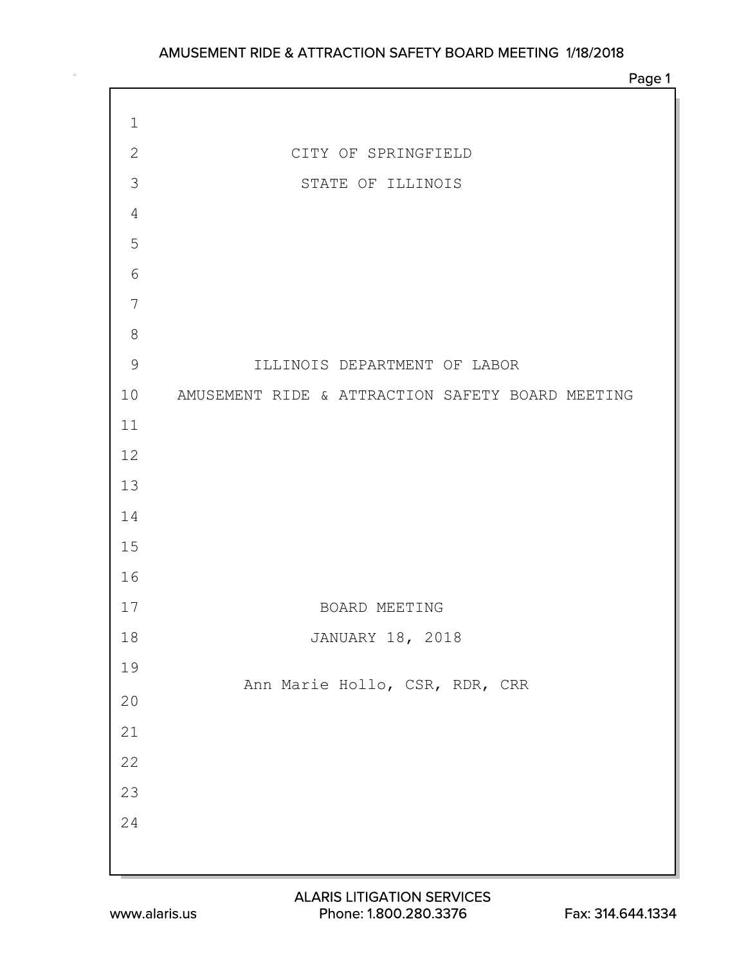Page 1

| $1\,$          |                                                  |
|----------------|--------------------------------------------------|
| $\mathbf{2}$   | CITY OF SPRINGFIELD                              |
| 3              | STATE OF ILLINOIS                                |
| $\overline{4}$ |                                                  |
| 5              |                                                  |
| $\sqrt{6}$     |                                                  |
| $\overline{7}$ |                                                  |
| $8\,$          |                                                  |
| $\mathsf 9$    | ILLINOIS DEPARTMENT OF LABOR                     |
| 10             | AMUSEMENT RIDE & ATTRACTION SAFETY BOARD MEETING |
| 11             |                                                  |
| 12             |                                                  |
| 13             |                                                  |
| 14             |                                                  |
| 15             |                                                  |
| 16             |                                                  |
| 17             | BOARD MEETING                                    |
| 18             | JANUARY 18, 2018                                 |
| 19             | Ann Marie Hollo, CSR, RDR, CRR                   |
| $20$           |                                                  |
| $2\sqrt{1}$    |                                                  |
| 22             |                                                  |
| 23             |                                                  |
| $2\sqrt{4}$    |                                                  |
|                |                                                  |

 $\Gamma$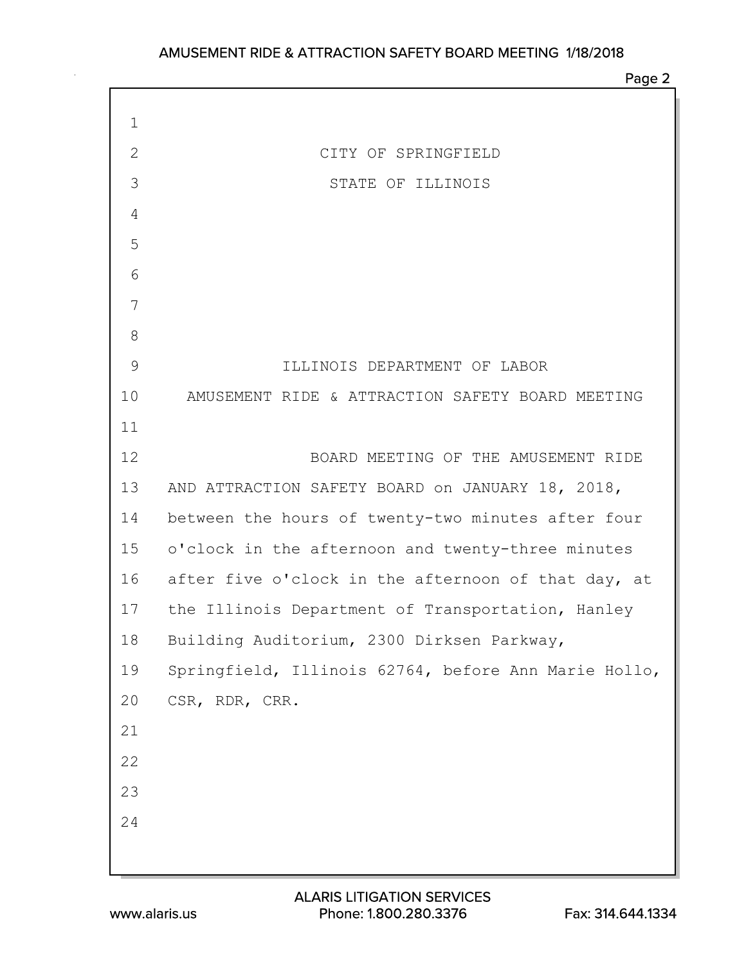| $\mathbf 1$  |                                                      |
|--------------|------------------------------------------------------|
| $\mathbf{2}$ | CITY OF SPRINGFIELD                                  |
| 3            | STATE OF ILLINOIS                                    |
| 4            |                                                      |
| 5            |                                                      |
| 6            |                                                      |
| 7            |                                                      |
| 8            |                                                      |
| 9            | ILLINOIS DEPARTMENT OF LABOR                         |
| 10           | AMUSEMENT RIDE & ATTRACTION SAFETY BOARD MEETING     |
| 11           |                                                      |
| 12           | BOARD MEETING OF THE AMUSEMENT RIDE                  |
| 13           | AND ATTRACTION SAFETY BOARD on JANUARY 18, 2018,     |
| 14           | between the hours of twenty-two minutes after four   |
| 15           | o'clock in the afternoon and twenty-three minutes    |
| 16           | after five o'clock in the afternoon of that day, at  |
| 17           | the Illinois Department of Transportation, Hanley    |
| 18           | Building Auditorium, 2300 Dirksen Parkway,           |
| 19           | Springfield, Illinois 62764, before Ann Marie Hollo, |
| 20           | CSR, RDR, CRR.                                       |
| 21           |                                                      |
| 22           |                                                      |
| 23           |                                                      |
| 24           |                                                      |
|              |                                                      |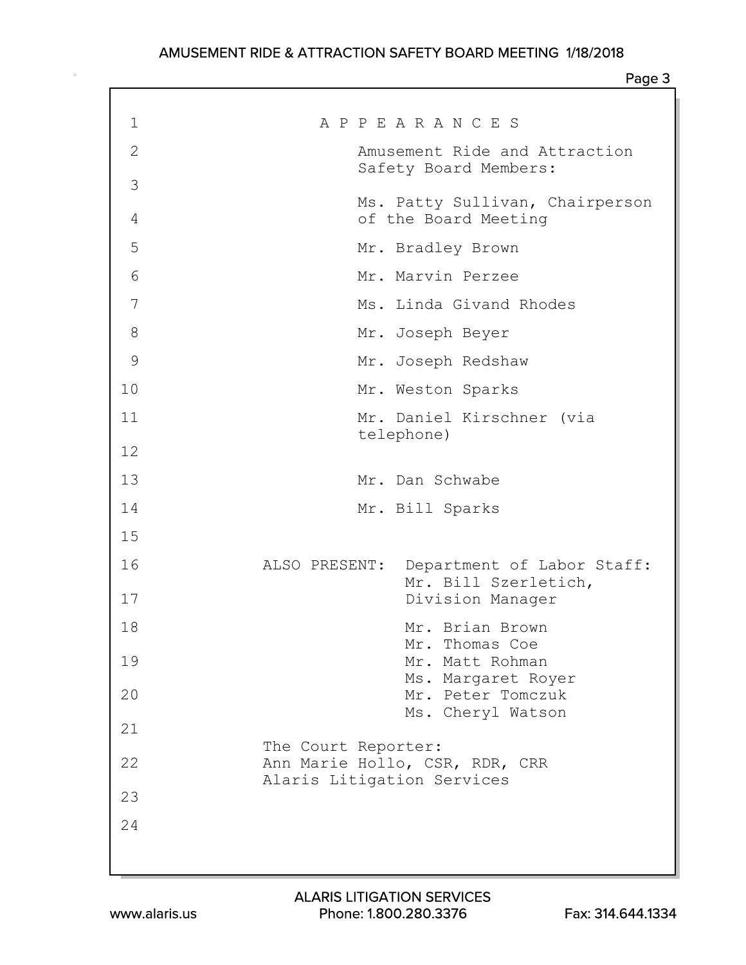| $\mathbf 1$ | A P P E A R A N C E S                                                               |
|-------------|-------------------------------------------------------------------------------------|
| 2           | Amusement Ride and Attraction<br>Safety Board Members:                              |
| 3           |                                                                                     |
| 4           | Ms. Patty Sullivan, Chairperson<br>of the Board Meeting                             |
| 5           | Mr. Bradley Brown                                                                   |
| 6           | Mr. Marvin Perzee                                                                   |
| 7           | Ms. Linda Givand Rhodes                                                             |
| 8           | Mr. Joseph Beyer                                                                    |
| 9           | Mr. Joseph Redshaw                                                                  |
| 10          | Mr. Weston Sparks                                                                   |
| 11          | Mr. Daniel Kirschner (via                                                           |
| 12          | telephone)                                                                          |
| 13          | Mr. Dan Schwabe                                                                     |
| 14          | Mr. Bill Sparks                                                                     |
| 15          |                                                                                     |
| 16          | ALSO PRESENT:<br>Department of Labor Staff:<br>Mr. Bill Szerletich,                 |
| 17          | Division Manager                                                                    |
| 18          | Mr. Brian Brown                                                                     |
| 19          | Mr. Thomas Coe<br>Mr. Matt Rohman                                                   |
| 20          | Ms. Margaret Royer<br>Mr. Peter Tomczuk                                             |
| 21          | Ms. Cheryl Watson                                                                   |
| 22          | The Court Reporter:<br>Ann Marie Hollo, CSR, RDR, CRR<br>Alaris Litigation Services |
| 23          |                                                                                     |
| 24          |                                                                                     |
|             |                                                                                     |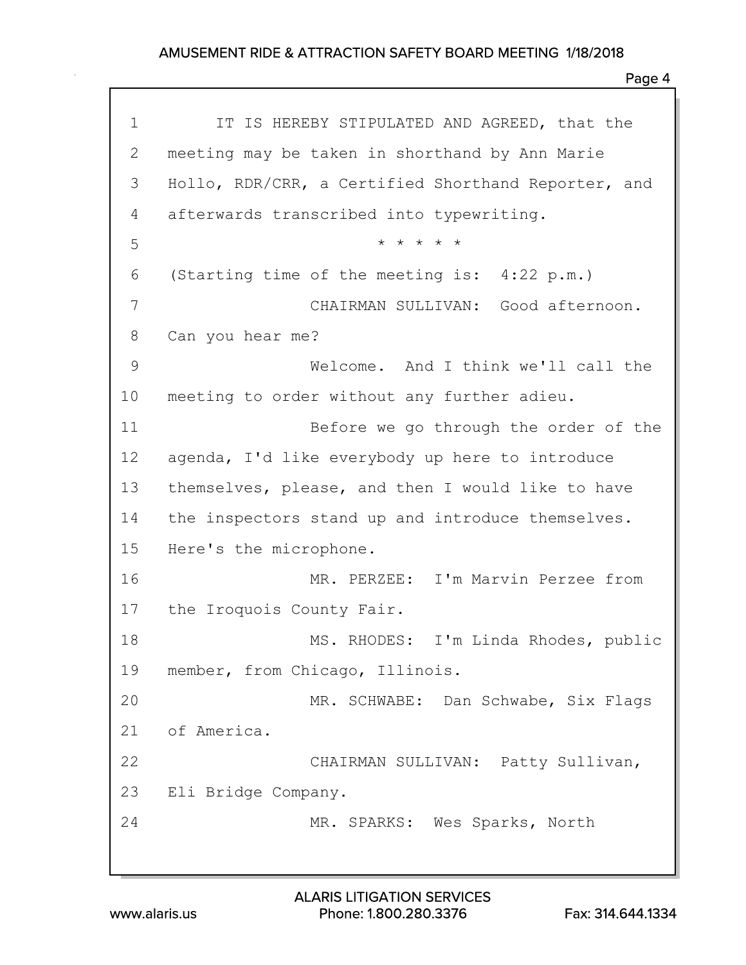| $\mathbf 1$ | IT IS HEREBY STIPULATED AND AGREED, that the        |
|-------------|-----------------------------------------------------|
| 2           | meeting may be taken in shorthand by Ann Marie      |
| 3           | Hollo, RDR/CRR, a Certified Shorthand Reporter, and |
| 4           | afterwards transcribed into typewriting.            |
| 5           | * * * * *                                           |
| 6           | (Starting time of the meeting is: 4:22 p.m.)        |
| 7           | CHAIRMAN SULLIVAN: Good afternoon.                  |
| 8           | Can you hear me?                                    |
| $\mathsf 9$ | Welcome. And I think we'll call the                 |
| 10          | meeting to order without any further adieu.         |
| 11          | Before we go through the order of the               |
| 12          | agenda, I'd like everybody up here to introduce     |
| 13          | themselves, please, and then I would like to have   |
| 14          | the inspectors stand up and introduce themselves.   |
| 15          | Here's the microphone.                              |
| 16          | MR. PERZEE: I'm Marvin Perzee from                  |
| 17          | the Iroquois County Fair.                           |
| 18          | MS. RHODES: I'm Linda Rhodes, public                |
| 19          | member, from Chicago, Illinois.                     |
| 20          | MR. SCHWABE: Dan Schwabe, Six Flags                 |
| 21          | of America.                                         |
| 22          | CHAIRMAN SULLIVAN: Patty Sullivan,                  |
| 23          | Eli Bridge Company.                                 |
| 24          | MR. SPARKS: Wes Sparks, North                       |
|             |                                                     |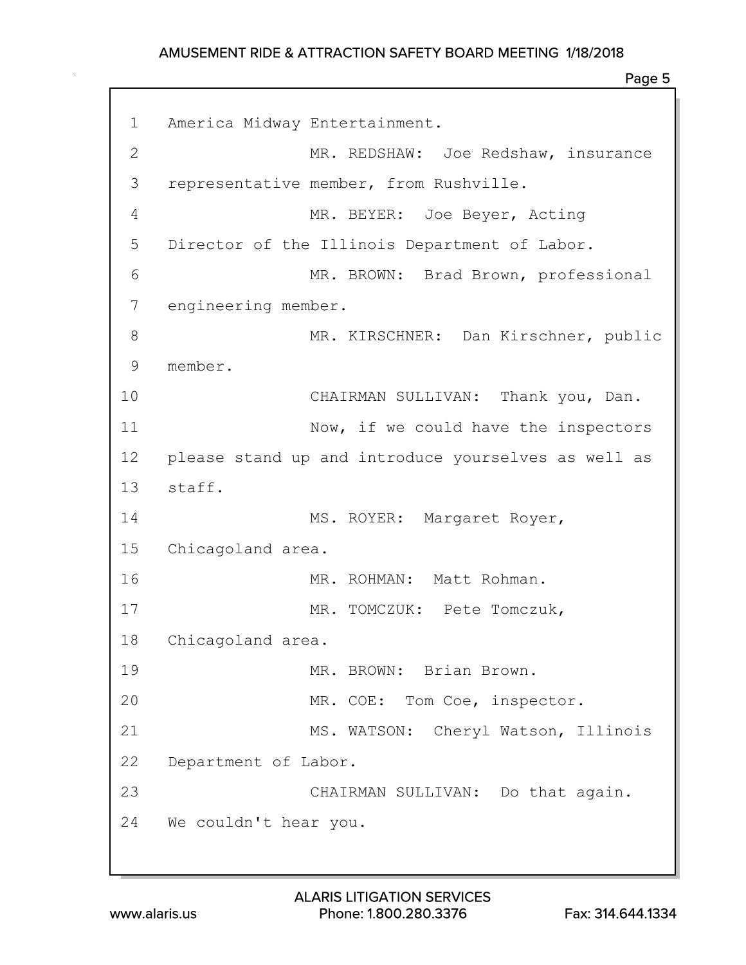| $\mathbf 1$  | America Midway Entertainment.                       |
|--------------|-----------------------------------------------------|
| $\mathbf{2}$ | MR. REDSHAW: Joe Redshaw, insurance                 |
| 3            | representative member, from Rushville.              |
| 4            | MR. BEYER: Joe Beyer, Acting                        |
| 5            | Director of the Illinois Department of Labor.       |
| 6            | MR. BROWN: Brad Brown, professional                 |
| 7            | engineering member.                                 |
| 8            | MR. KIRSCHNER: Dan Kirschner, public                |
| 9            | member.                                             |
| 10           | CHAIRMAN SULLIVAN: Thank you, Dan.                  |
| 11           | Now, if we could have the inspectors                |
| 12           | please stand up and introduce yourselves as well as |
| 13           | staff.                                              |
| 14           | MS. ROYER: Margaret Royer,                          |
| 15           | Chicagoland area.                                   |
| 16           | MR. ROHMAN: Matt Rohman.                            |
| 17           | MR. TOMCZUK: Pete Tomczuk,                          |
| 18           | Chicagoland area.                                   |
| 19           | MR. BROWN: Brian Brown.                             |
| 20           | MR. COE: Tom Coe, inspector.                        |
| 21           | MS. WATSON: Cheryl Watson, Illinois                 |
| 22           | Department of Labor.                                |
| 23           | CHAIRMAN SULLIVAN: Do that again.                   |
|              | 24 We couldn't hear you.                            |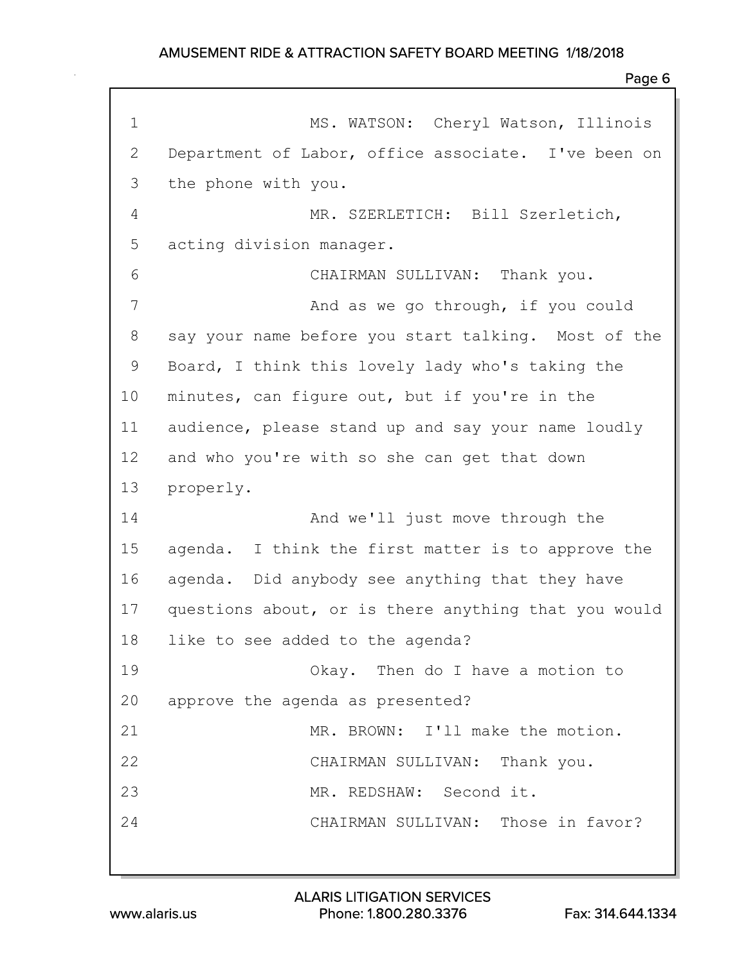| $\mathbf 1$  | MS. WATSON: Cheryl Watson, Illinois                  |
|--------------|------------------------------------------------------|
| $\mathbf{2}$ | Department of Labor, office associate. I've been on  |
| 3            | the phone with you.                                  |
| 4            | MR. SZERLETICH: Bill Szerletich,                     |
| 5            | acting division manager.                             |
| 6            | CHAIRMAN SULLIVAN: Thank you.                        |
| 7            | And as we go through, if you could                   |
| 8            | say your name before you start talking. Most of the  |
| 9            | Board, I think this lovely lady who's taking the     |
| 10           | minutes, can figure out, but if you're in the        |
| 11           | audience, please stand up and say your name loudly   |
| 12           | and who you're with so she can get that down         |
| 13           | properly.                                            |
| 14           | And we'll just move through the                      |
| 15           | agenda. I think the first matter is to approve the   |
| 16           | agenda. Did anybody see anything that they have      |
| 17           | questions about, or is there anything that you would |
| 18           | like to see added to the agenda?                     |
| 19           | Okay. Then do I have a motion to                     |
| 20           | approve the agenda as presented?                     |
| 21           | MR. BROWN: I'll make the motion.                     |
| 22           | CHAIRMAN SULLIVAN: Thank you.                        |
| 23           | MR. REDSHAW: Second it.                              |
| 24           | CHAIRMAN SULLIVAN: Those in favor?                   |
|              |                                                      |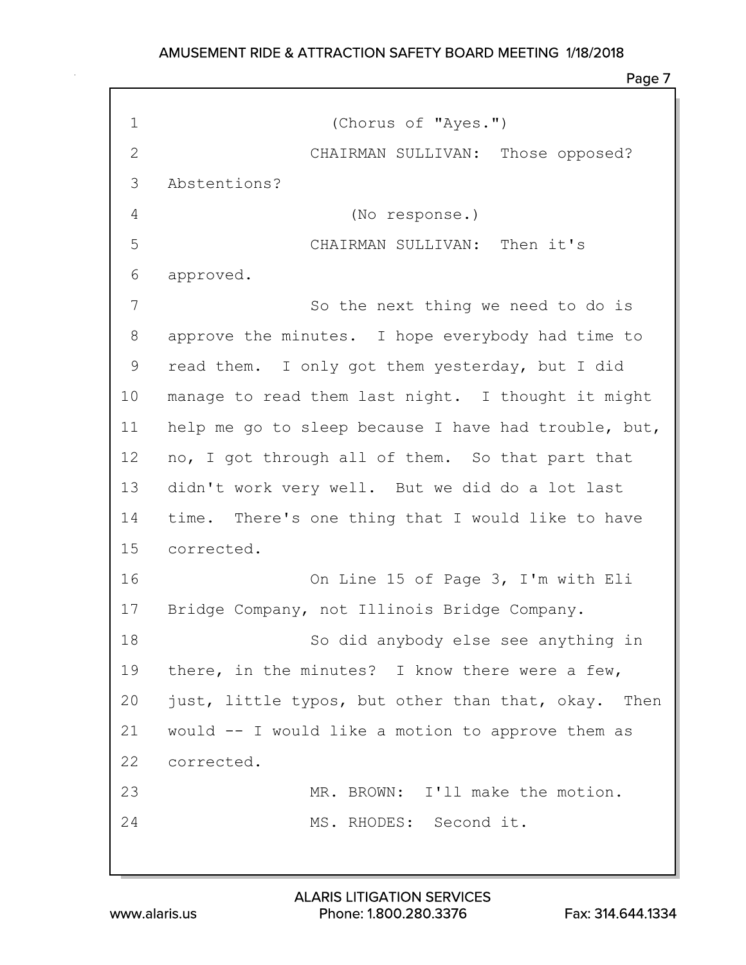Page 7

| $\mathbf 1$  | (Chorus of "Ayes.")                                  |
|--------------|------------------------------------------------------|
| $\mathbf{2}$ | CHAIRMAN SULLIVAN: Those opposed?                    |
| 3            | Abstentions?                                         |
| 4            | (No response.)                                       |
| 5            | CHAIRMAN SULLIVAN: Then it's                         |
| 6            | approved.                                            |
| 7            | So the next thing we need to do is                   |
| 8            | approve the minutes. I hope everybody had time to    |
| 9            | read them. I only got them yesterday, but I did      |
| 10           | manage to read them last night. I thought it might   |
| 11           | help me go to sleep because I have had trouble, but, |
| 12           | no, I got through all of them. So that part that     |
| 13           | didn't work very well. But we did do a lot last      |
| 14           | time. There's one thing that I would like to have    |
| 15           | corrected.                                           |
| 16           | On Line 15 of Page 3, I'm with Eli                   |
| 17           | Bridge Company, not Illinois Bridge Company.         |
| 18           | So did anybody else see anything in                  |
| 19           | there, in the minutes? I know there were a few,      |
| 20           | just, little typos, but other than that, okay. Then  |
| 21           | would -- I would like a motion to approve them as    |
| 22           | corrected.                                           |
| 23           | MR. BROWN: I'll make the motion.                     |
| 24           | MS. RHODES: Second it.                               |
|              |                                                      |

www.alaris.us Phone: 1.800.280.3376 Fax: 314.644.1334 ALARIS LITIGATION SERVICES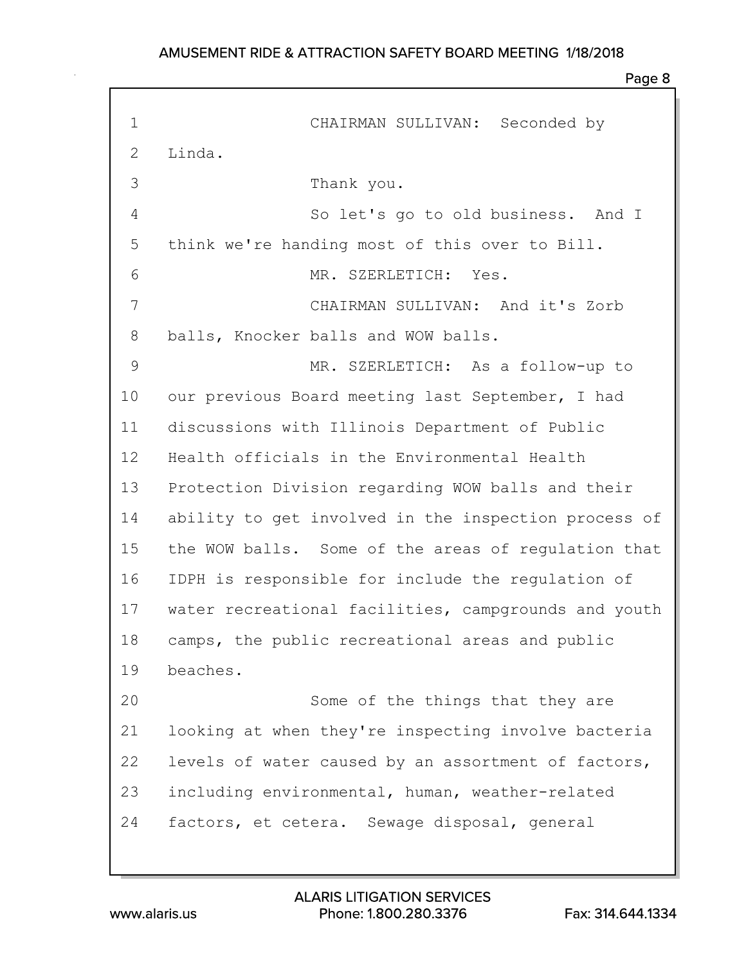| $\mathbf 1$  | CHAIRMAN SULLIVAN: Seconded by                       |
|--------------|------------------------------------------------------|
| $\mathbf{2}$ | Linda.                                               |
| 3            | Thank you.                                           |
| 4            | So let's go to old business. And I                   |
| 5            | think we're handing most of this over to Bill.       |
| 6            | MR. SZERLETICH: Yes.                                 |
| 7            | CHAIRMAN SULLIVAN: And it's Zorb                     |
| 8            | balls, Knocker balls and WOW balls.                  |
| 9            | MR. SZERLETICH: As a follow-up to                    |
| 10           | our previous Board meeting last September, I had     |
| 11           | discussions with Illinois Department of Public       |
| 12           | Health officials in the Environmental Health         |
| 13           | Protection Division regarding WOW balls and their    |
| 14           | ability to get involved in the inspection process of |
| 15           | the WOW balls. Some of the areas of regulation that  |
| 16           | IDPH is responsible for include the regulation of    |
| 17           | water recreational facilities, campgrounds and youth |
| 18           | camps, the public recreational areas and public      |
| 19           | beaches.                                             |
| 20           | Some of the things that they are                     |
| 21           | looking at when they're inspecting involve bacteria  |
| 22           | levels of water caused by an assortment of factors,  |
| 23           | including environmental, human, weather-related      |
| 24           | factors, et cetera. Sewage disposal, general         |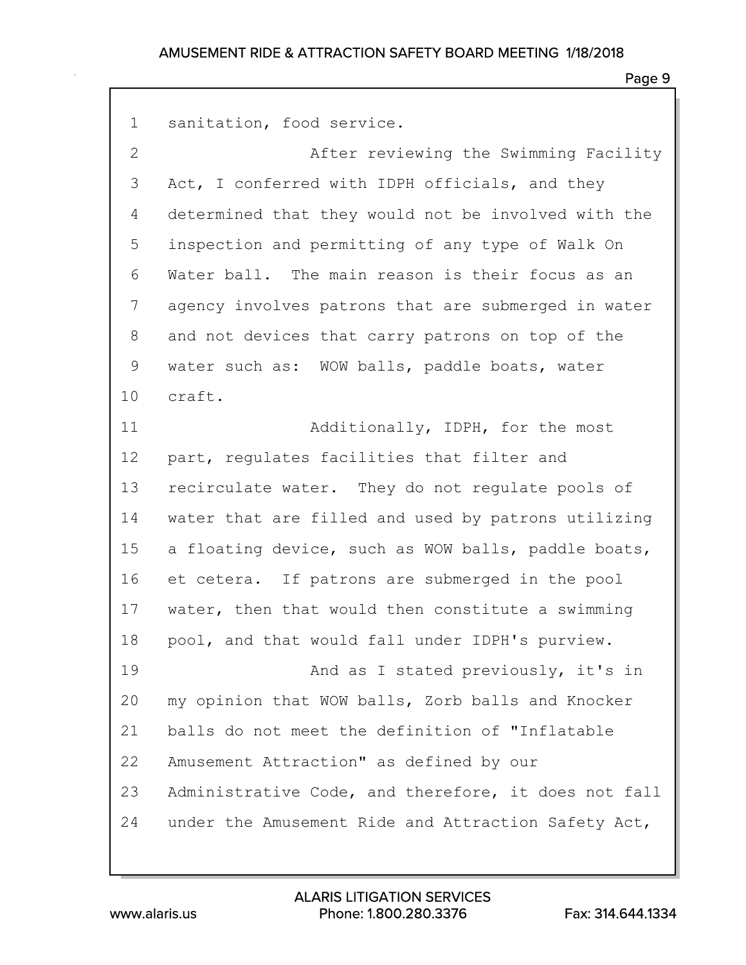Page 9

1 sanitation, food service.

2 After reviewing the Swimming Facility 3 Act, I conferred with IDPH officials, and they 4 determined that they would not be involved with the 5 inspection and permitting of any type of Walk On 6 Water ball. The main reason is their focus as an 7 agency involves patrons that are submerged in water 8 and not devices that carry patrons on top of the 9 water such as: WOW balls, paddle boats, water 10 craft. 11 Additionally, IDPH, for the most 12 part, regulates facilities that filter and 13 recirculate water. They do not regulate pools of 14 water that are filled and used by patrons utilizing

15 a floating device, such as WOW balls, paddle boats, 16 et cetera. If patrons are submerged in the pool 17 water, then that would then constitute a swimming 18 pool, and that would fall under IDPH's purview.

19 **And as I stated previously, it's in** 20 my opinion that WOW balls, Zorb balls and Knocker 21 balls do not meet the definition of "Inflatable 22 Amusement Attraction" as defined by our 23 Administrative Code, and therefore, it does not fall 24 under the Amusement Ride and Attraction Safety Act,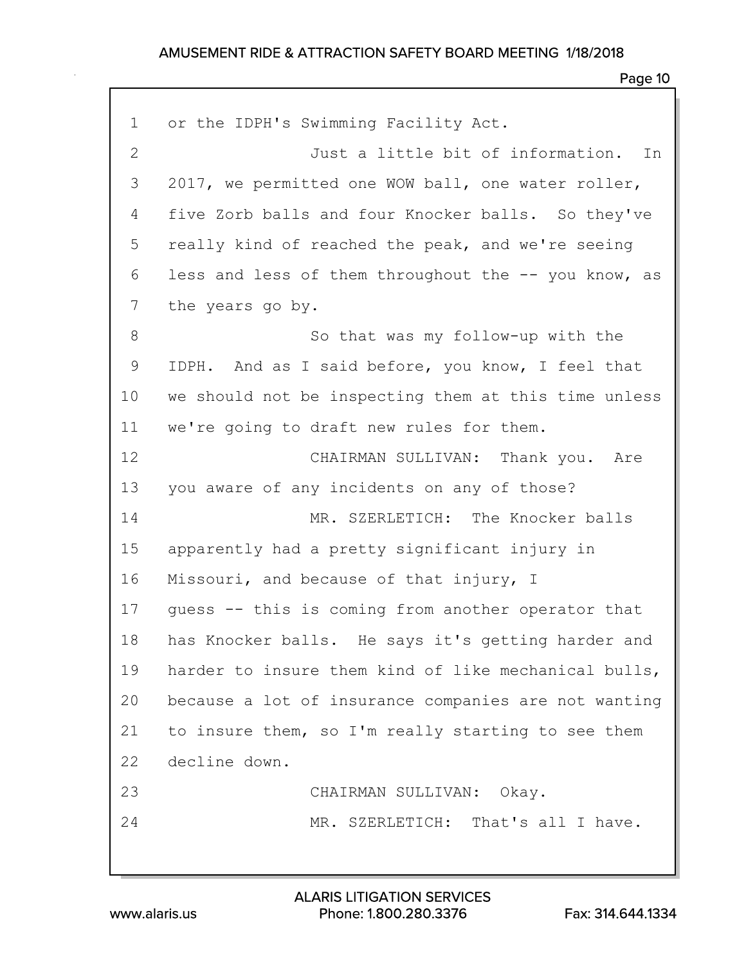| $\mathbf 1$  | or the IDPH's Swimming Facility Act.                 |
|--------------|------------------------------------------------------|
| $\mathbf{2}$ | Just a little bit of information. In                 |
| 3            | 2017, we permitted one WOW ball, one water roller,   |
| 4            | five Zorb balls and four Knocker balls. So they've   |
| 5            | really kind of reached the peak, and we're seeing    |
| 6            | less and less of them throughout the -- you know, as |
| 7            | the years go by.                                     |
| 8            | So that was my follow-up with the                    |
| 9            | IDPH. And as I said before, you know, I feel that    |
| 10           | we should not be inspecting them at this time unless |
| 11           | we're going to draft new rules for them.             |
| 12           | CHAIRMAN SULLIVAN: Thank you. Are                    |
| 13           | you aware of any incidents on any of those?          |
| 14           | MR. SZERLETICH: The Knocker balls                    |
| 15           | apparently had a pretty significant injury in        |
| 16           | Missouri, and because of that injury, I              |
| 17           | quess -- this is coming from another operator that   |
| 18           | has Knocker balls. He says it's getting harder and   |
| 19           | harder to insure them kind of like mechanical bulls, |
| 20           | because a lot of insurance companies are not wanting |
| 21           | to insure them, so I'm really starting to see them   |
| 22           | decline down.                                        |
| 23           | CHAIRMAN SULLIVAN: Okay.                             |
| 24           | MR. SZERLETICH: That's all I have.                   |
|              |                                                      |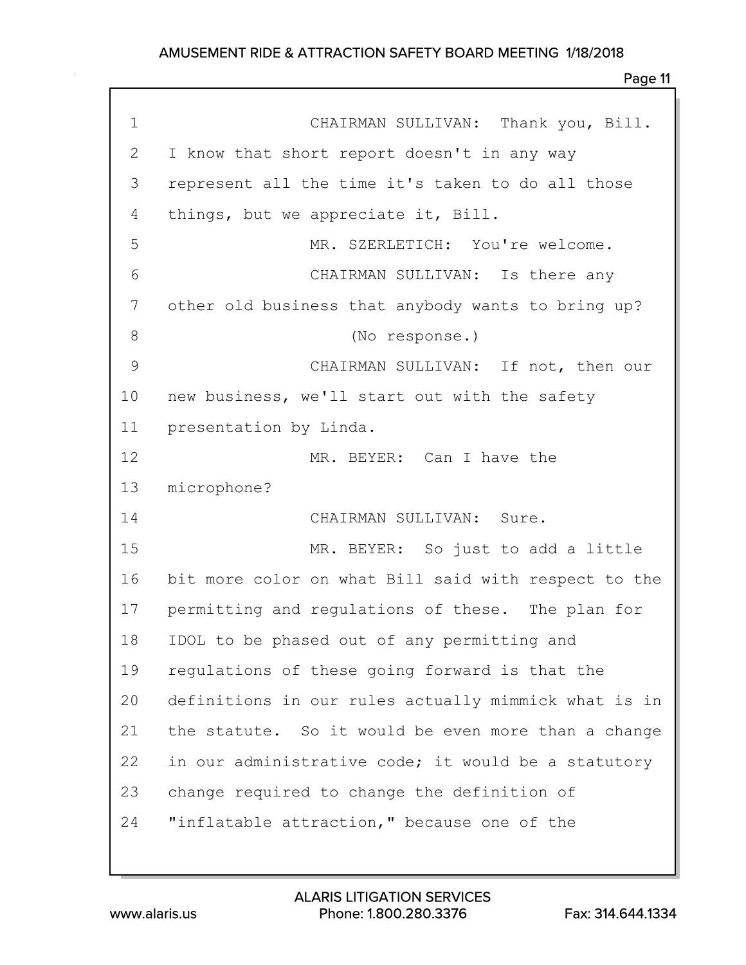| $\mathbf 1$  | CHAIRMAN SULLIVAN: Thank you, Bill.                  |
|--------------|------------------------------------------------------|
| $\mathbf{2}$ | I know that short report doesn't in any way          |
| 3            | represent all the time it's taken to do all those    |
| 4            | things, but we appreciate it, Bill.                  |
| 5            | MR. SZERLETICH: You're welcome.                      |
| 6            | CHAIRMAN SULLIVAN: Is there any                      |
| 7            | other old business that anybody wants to bring up?   |
| 8            | (No response.)                                       |
| 9            | CHAIRMAN SULLIVAN: If not, then our                  |
| 10           | new business, we'll start out with the safety        |
| 11           | presentation by Linda.                               |
| 12           | MR. BEYER: Can I have the                            |
| 13           | microphone?                                          |
| 14           | CHAIRMAN SULLIVAN: Sure.                             |
| 15           | MR. BEYER: So just to add a little                   |
| 16           | bit more color on what Bill said with respect to the |
| 17           | permitting and regulations of these. The plan for    |
| 18           | IDOL to be phased out of any permitting and          |
| 19           | regulations of these going forward is that the       |
| 20           | definitions in our rules actually mimmick what is in |
| 21           | the statute. So it would be even more than a change  |
| 22           | in our administrative code; it would be a statutory  |
| 23           | change required to change the definition of          |
| 24           | "inflatable attraction," because one of the          |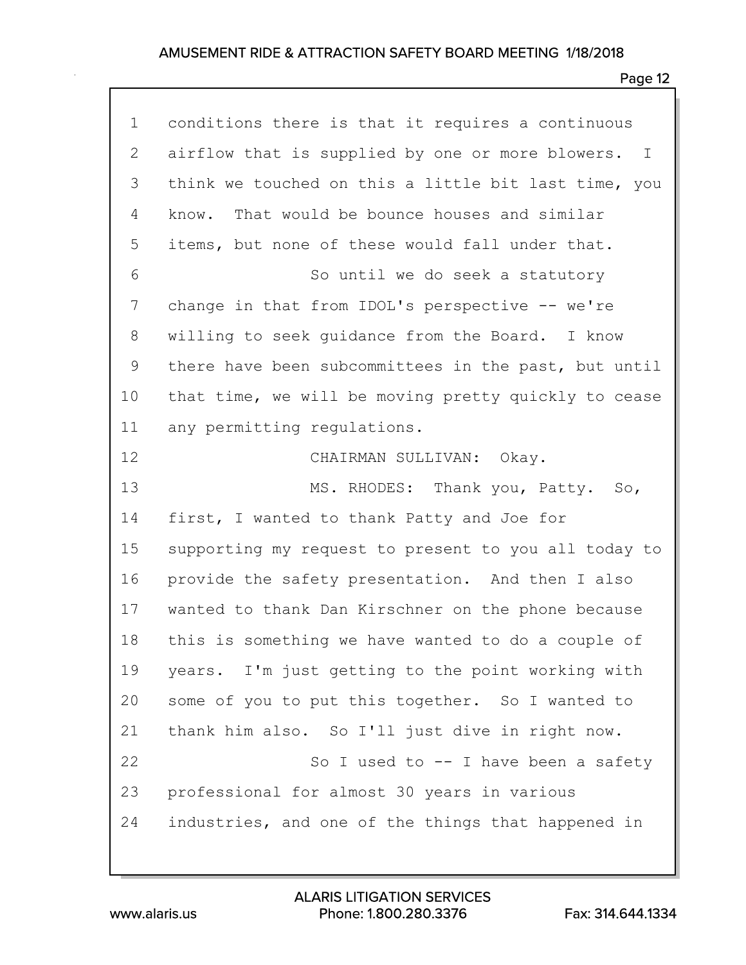| conditions there is that it requires a continuous                |
|------------------------------------------------------------------|
| airflow that is supplied by one or more blowers.<br>$\mathbb{I}$ |
| think we touched on this a little bit last time, you             |
| That would be bounce houses and similar<br>know.                 |
| items, but none of these would fall under that.                  |
| So until we do seek a statutory                                  |
| change in that from IDOL's perspective -- we're                  |
| willing to seek quidance from the Board. I know                  |
| there have been subcommittees in the past, but until             |
| that time, we will be moving pretty quickly to cease             |
| any permitting regulations.                                      |
| CHAIRMAN SULLIVAN: Okay.                                         |
| MS. RHODES: Thank you, Patty. So,                                |
| first, I wanted to thank Patty and Joe for                       |
| supporting my request to present to you all today to             |
|                                                                  |
| provide the safety presentation. And then I also                 |
| wanted to thank Dan Kirschner on the phone because               |
| this is something we have wanted to do a couple of               |
| years. I'm just getting to the point working with                |
| some of you to put this together. So I wanted to                 |
| thank him also. So I'll just dive in right now.                  |
| So I used to $-$ I have been a safety                            |
| professional for almost 30 years in various                      |
|                                                                  |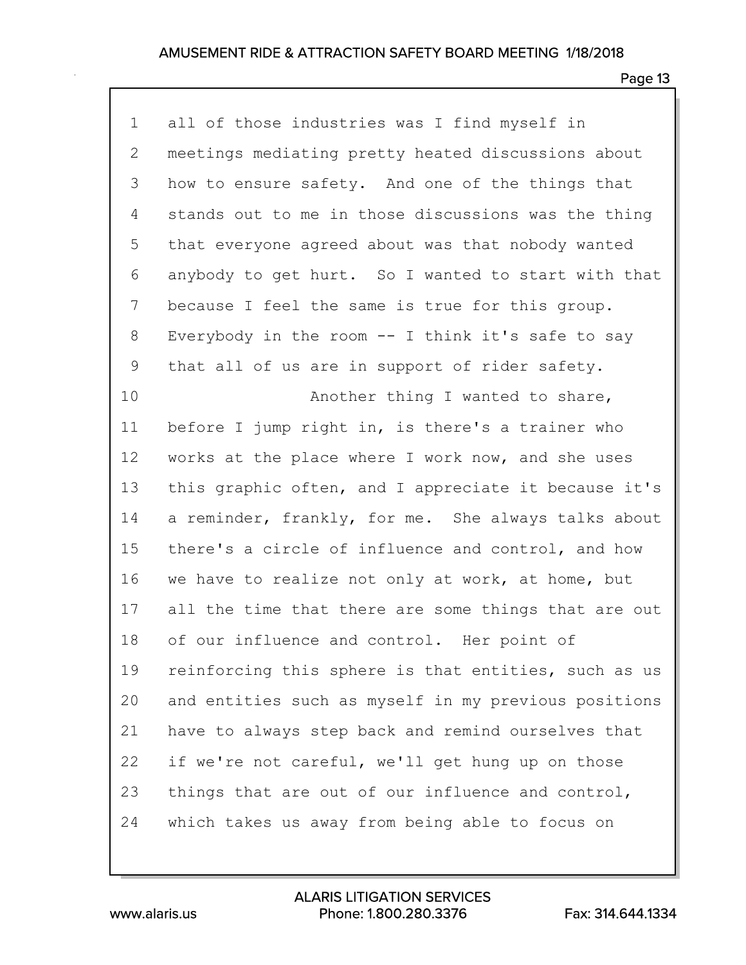### Page 13

1 all of those industries was I find myself in 2 meetings mediating pretty heated discussions about 3 how to ensure safety. And one of the things that 4 stands out to me in those discussions was the thing 5 that everyone agreed about was that nobody wanted 6 anybody to get hurt. So I wanted to start with that 7 because I feel the same is true for this group. 8 Everybody in the room -- I think it's safe to say 9 that all of us are in support of rider safety. 10 **Another thing I wanted to share,** 11 before I jump right in, is there's a trainer who 12 works at the place where I work now, and she uses 13 this graphic often, and I appreciate it because it's 14 a reminder, frankly, for me. She always talks about 15 there's a circle of influence and control, and how 16 we have to realize not only at work, at home, but 17 all the time that there are some things that are out 18 of our influence and control. Her point of 19 reinforcing this sphere is that entities, such as us 20 and entities such as myself in my previous positions 21 have to always step back and remind ourselves that 22 if we're not careful, we'll get hung up on those 23 things that are out of our influence and control, 24 which takes us away from being able to focus on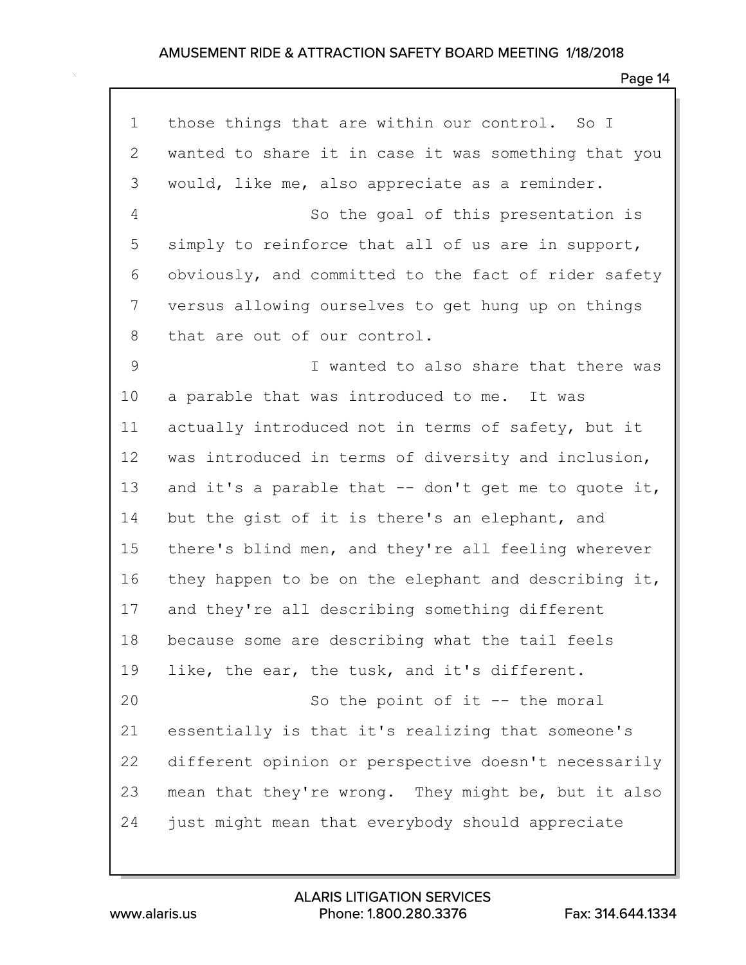| $\mathbf 1$ | those things that are within our control. So I        |
|-------------|-------------------------------------------------------|
| 2           | wanted to share it in case it was something that you  |
| 3           | would, like me, also appreciate as a reminder.        |
| 4           | So the goal of this presentation is                   |
| 5           | simply to reinforce that all of us are in support,    |
| 6           | obviously, and committed to the fact of rider safety  |
| 7           | versus allowing ourselves to get hung up on things    |
| 8           | that are out of our control.                          |
| 9           | I wanted to also share that there was                 |
| 10          | a parable that was introduced to me. It was           |
| 11          | actually introduced not in terms of safety, but it    |
| 12          | was introduced in terms of diversity and inclusion,   |
| 13          | and it's a parable that $-$ don't get me to quote it, |
| 14          | but the gist of it is there's an elephant, and        |
| 15          | there's blind men, and they're all feeling wherever   |
| 16          | they happen to be on the elephant and describing it,  |
| 17          | and they're all describing something different        |
| 18          | because some are describing what the tail feels       |
| 19          | like, the ear, the tusk, and it's different.          |
| 20          | So the point of it $-$ - the moral                    |
| 21          | essentially is that it's realizing that someone's     |
| 22          | different opinion or perspective doesn't necessarily  |
| 23          | mean that they're wrong. They might be, but it also   |
| 24          | just might mean that everybody should appreciate      |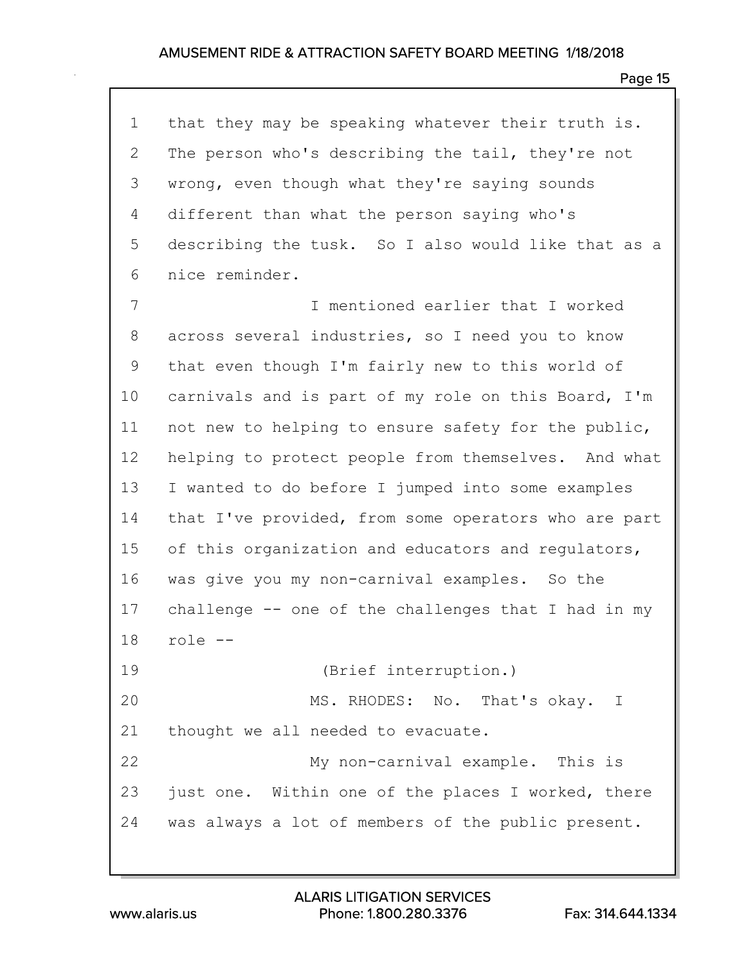Page 15

1 that they may be speaking whatever their truth is. 2 The person who's describing the tail, they're not 3 wrong, even though what they're saying sounds 4 different than what the person saying who's 5 describing the tusk. So I also would like that as a 6 nice reminder. 7 I mentioned earlier that I worked 8 across several industries, so I need you to know 9 that even though I'm fairly new to this world of 10 carnivals and is part of my role on this Board, I'm 11 not new to helping to ensure safety for the public, 12 helping to protect people from themselves. And what 13 I wanted to do before I jumped into some examples 14 that I've provided, from some operators who are part 15 of this organization and educators and regulators, 16 was give you my non-carnival examples. So the 17 challenge -- one of the challenges that I had in my 18 role -- 19 (Brief interruption.) 20 MS. RHODES: No. That's okay. I 21 thought we all needed to evacuate. 22 My non-carnival example. This is 23 just one. Within one of the places I worked, there 24 was always a lot of members of the public present.

www.alaris.us Phone: 1.800.280.3376 Fax: 314.644.1334 ALARIS LITIGATION SERVICES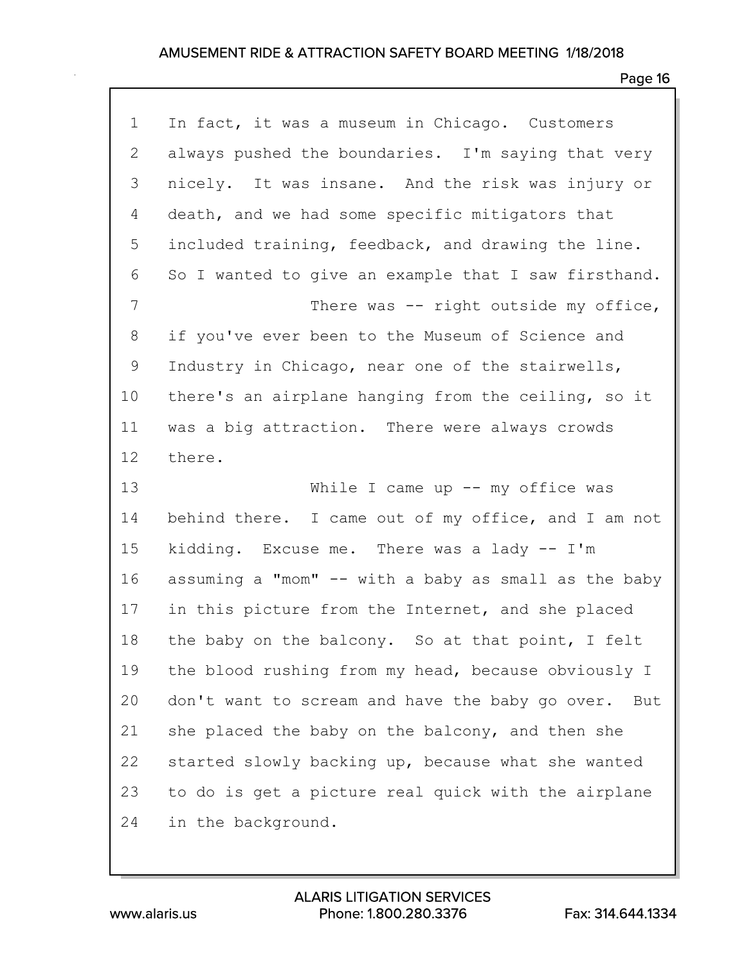| 1              | In fact, it was a museum in Chicago. Customers         |
|----------------|--------------------------------------------------------|
| $\overline{2}$ | always pushed the boundaries. I'm saying that very     |
| 3              | nicely. It was insane. And the risk was injury or      |
| 4              | death, and we had some specific mitigators that        |
| 5              | included training, feedback, and drawing the line.     |
| 6              | So I wanted to give an example that I saw firsthand.   |
| 7              | There was $-$ right outside my office,                 |
| 8              | if you've ever been to the Museum of Science and       |
| 9              | Industry in Chicago, near one of the stairwells,       |
| 10             | there's an airplane hanging from the ceiling, so it    |
| 11             | was a big attraction. There were always crowds         |
| 12             | there.                                                 |
|                |                                                        |
| 13             | While I came up $--$ my office was                     |
| 14             | behind there. I came out of my office, and I am not    |
| 15             | kidding. Excuse me. There was a lady -- I'm            |
| 16             | assuming a "mom" -- with a baby as small as the baby   |
| 17             | in this picture from the Internet, and she placed      |
| 18             | the baby on the balcony. So at that point, I felt      |
| 19             | the blood rushing from my head, because obviously I    |
| 20             | don't want to scream and have the baby go over.<br>But |
| 21             | she placed the baby on the balcony, and then she       |
| 22             | started slowly backing up, because what she wanted     |
| 23             | to do is get a picture real quick with the airplane    |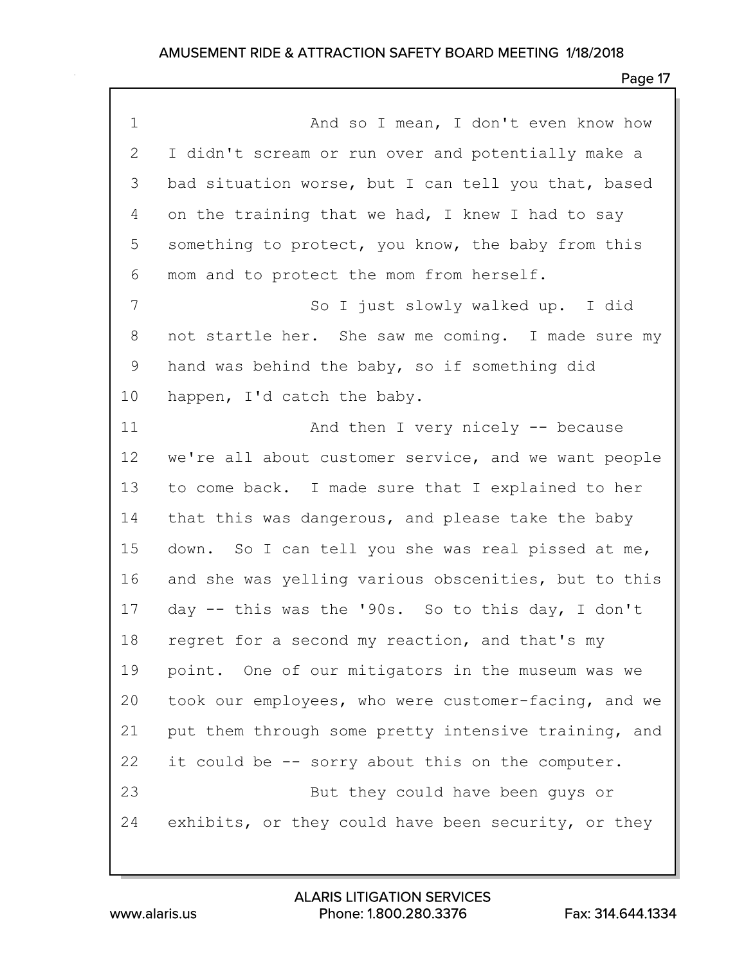| $\mathbf 1$  | And so I mean, I don't even know how                 |
|--------------|------------------------------------------------------|
| $\mathbf{2}$ | I didn't scream or run over and potentially make a   |
| 3            | bad situation worse, but I can tell you that, based  |
| 4            | on the training that we had, I knew I had to say     |
| 5            | something to protect, you know, the baby from this   |
| 6            | mom and to protect the mom from herself.             |
| 7            | So I just slowly walked up. I did                    |
| 8            | not startle her. She saw me coming. I made sure my   |
| 9            | hand was behind the baby, so if something did        |
| 10           | happen, I'd catch the baby.                          |
| 11           | And then I very nicely -- because                    |
| 12           | we're all about customer service, and we want people |
| 13           | to come back. I made sure that I explained to her    |
| 14           | that this was dangerous, and please take the baby    |
| 15           | down. So I can tell you she was real pissed at me,   |
| 16           | and she was yelling various obscenities, but to this |
| 17           | day -- this was the '90s. So to this day, I don't    |
| 18           | regret for a second my reaction, and that's my       |
| 19           | point. One of our mitigators in the museum was we    |
| 20           | took our employees, who were customer-facing, and we |
| 21           | put them through some pretty intensive training, and |
| 22           | it could be -- sorry about this on the computer.     |
| 23           | But they could have been guys or                     |
| 24           | exhibits, or they could have been security, or they  |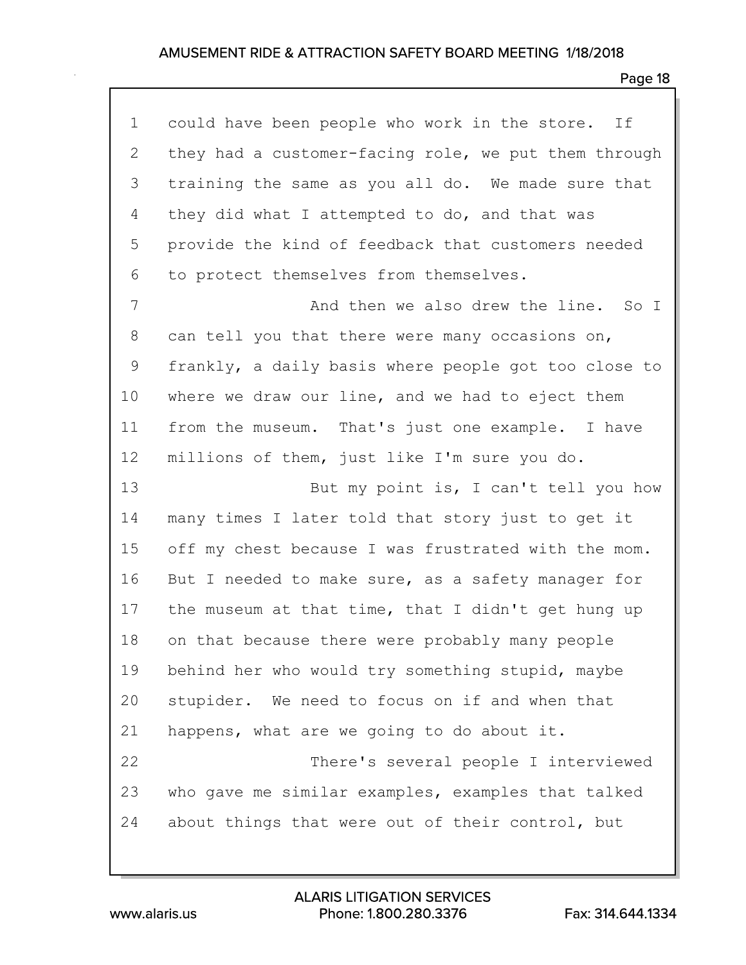| $\mathbf 1$    | could have been people who work in the store. If     |
|----------------|------------------------------------------------------|
| $\overline{2}$ | they had a customer-facing role, we put them through |
| 3              | training the same as you all do. We made sure that   |
| 4              | they did what I attempted to do, and that was        |
| 5              | provide the kind of feedback that customers needed   |
| 6              | to protect themselves from themselves.               |
| 7              | And then we also drew the line. So I                 |
| 8              | can tell you that there were many occasions on,      |
| 9              | frankly, a daily basis where people got too close to |
| 10             | where we draw our line, and we had to eject them     |
| 11             | from the museum. That's just one example. I have     |
| 12             | millions of them, just like I'm sure you do.         |
|                |                                                      |
| 13             | But my point is, I can't tell you how                |
| 14             | many times I later told that story just to get it    |
| 15             | off my chest because I was frustrated with the mom.  |
| 16             | But I needed to make sure, as a safety manager for   |
| 17             | the museum at that time, that I didn't get hung up   |
| 18             | on that because there were probably many people      |
| 19             | behind her who would try something stupid, maybe     |
| 20             | stupider. We need to focus on if and when that       |
| 21             | happens, what are we going to do about it.           |
| 22             | There's several people I interviewed                 |
| 23             | who gave me similar examples, examples that talked   |
| 24             | about things that were out of their control, but     |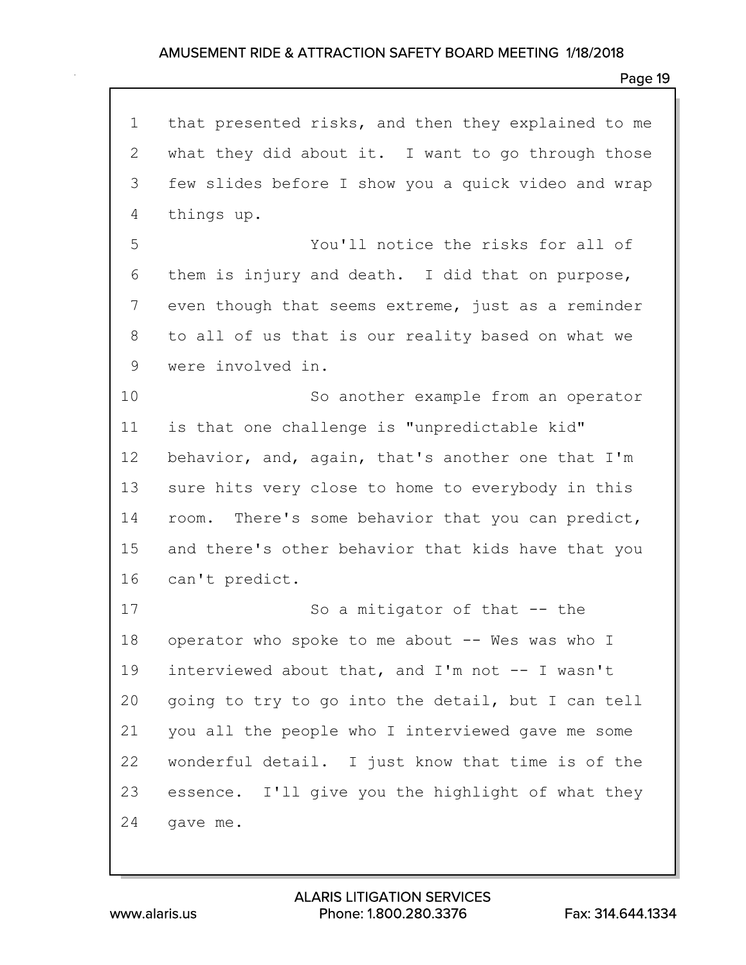1 that presented risks, and then they explained to me 2 what they did about it. I want to go through those 3 few slides before I show you a quick video and wrap 4 things up. 5 You'll notice the risks for all of 6 them is injury and death. I did that on purpose, 7 even though that seems extreme, just as a reminder 8 to all of us that is our reality based on what we 9 were involved in. 10 So another example from an operator 11 is that one challenge is "unpredictable kid" 12 behavior, and, again, that's another one that I'm 13 sure hits very close to home to everybody in this 14 room. There's some behavior that you can predict, 15 and there's other behavior that kids have that you 16 can't predict. 17 So a mitigator of that -- the 18 operator who spoke to me about -- Wes was who I 19 interviewed about that, and I'm not -- I wasn't 20 going to try to go into the detail, but I can tell 21 you all the people who I interviewed gave me some 22 wonderful detail. I just know that time is of the 23 essence. I'll give you the highlight of what they 24 gave me.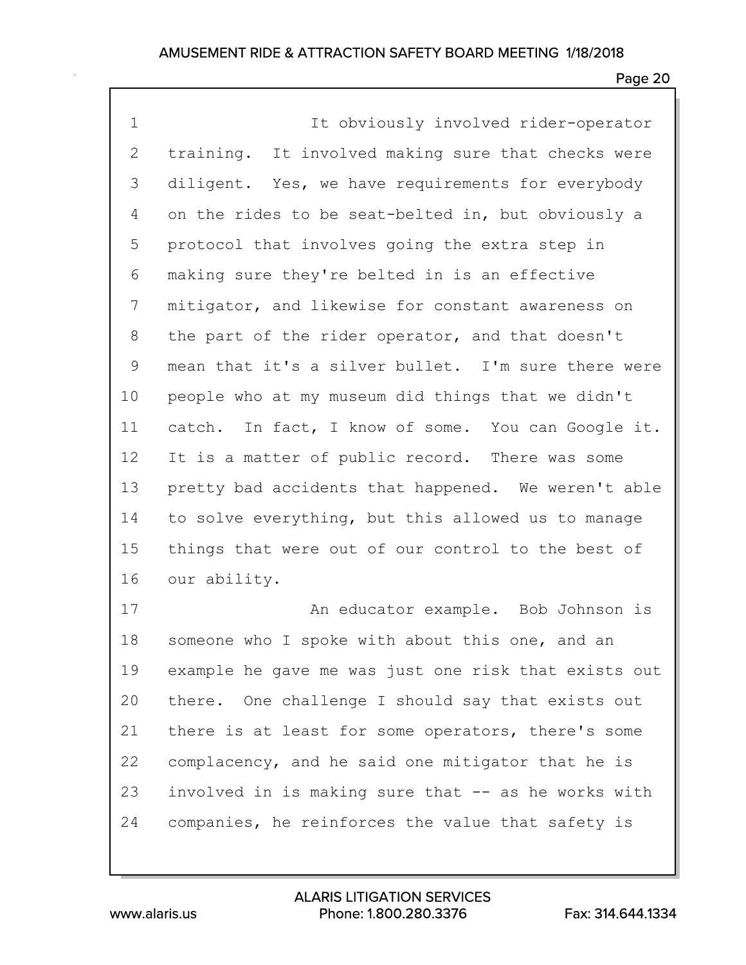| $\mathbf 1$  | It obviously involved rider-operator                 |
|--------------|------------------------------------------------------|
| $\mathbf{2}$ | training. It involved making sure that checks were   |
| 3            | diligent. Yes, we have requirements for everybody    |
| 4            | on the rides to be seat-belted in, but obviously a   |
| 5            | protocol that involves going the extra step in       |
| 6            | making sure they're belted in is an effective        |
| 7            | mitigator, and likewise for constant awareness on    |
| 8            | the part of the rider operator, and that doesn't     |
| 9            | mean that it's a silver bullet. I'm sure there were  |
| 10           | people who at my museum did things that we didn't    |
| 11           | catch. In fact, I know of some. You can Google it.   |
| 12           | It is a matter of public record. There was some      |
| 13           | pretty bad accidents that happened. We weren't able  |
| 14           | to solve everything, but this allowed us to manage   |
| 15           | things that were out of our control to the best of   |
| 16           | our ability.                                         |
| 17           | An educator example. Bob Johnson is                  |
| 18           | someone who I spoke with about this one, and an      |
| 19           | example he gave me was just one risk that exists out |
| 20           | there. One challenge I should say that exists out    |
| 21           | there is at least for some operators, there's some   |
| 22           | complacency, and he said one mitigator that he is    |
| 23           | involved in is making sure that -- as he works with  |
| 24           | companies, he reinforces the value that safety is    |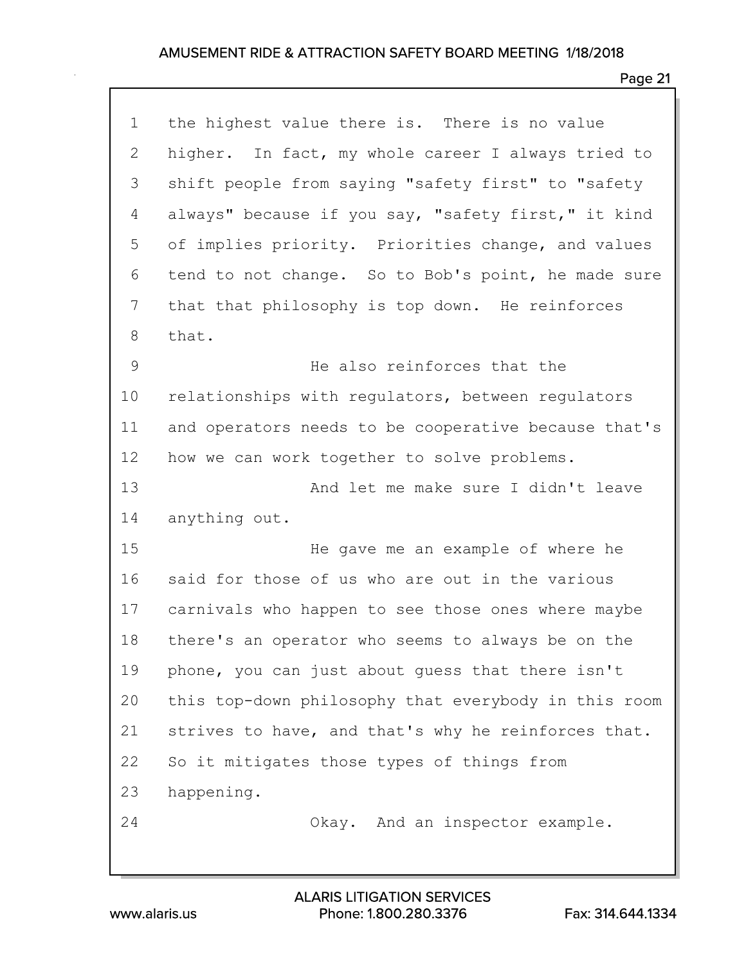| $\mathbf 1$ | the highest value there is. There is no value        |
|-------------|------------------------------------------------------|
| 2           | higher. In fact, my whole career I always tried to   |
| 3           | shift people from saying "safety first" to "safety   |
| 4           | always" because if you say, "safety first," it kind  |
| 5           | of implies priority. Priorities change, and values   |
| 6           | tend to not change. So to Bob's point, he made sure  |
| 7           | that that philosophy is top down. He reinforces      |
| 8           | that.                                                |
| $\mathsf 9$ | He also reinforces that the                          |
| 10          | relationships with regulators, between regulators    |
| 11          | and operators needs to be cooperative because that's |
| 12          | how we can work together to solve problems.          |
| 13          | And let me make sure I didn't leave                  |
| 14          | anything out.                                        |
| 15          | He gave me an example of where he                    |
| 16          | said for those of us who are out in the various      |
| 17          | carnivals who happen to see those ones where maybe   |
| 18          | there's an operator who seems to always be on the    |
| 19          | phone, you can just about guess that there isn't     |
| 20          | this top-down philosophy that everybody in this room |
| 21          | strives to have, and that's why he reinforces that.  |
| 22          | So it mitigates those types of things from           |
| 23          | happening.                                           |
| 24          | Okay. And an inspector example.                      |
|             |                                                      |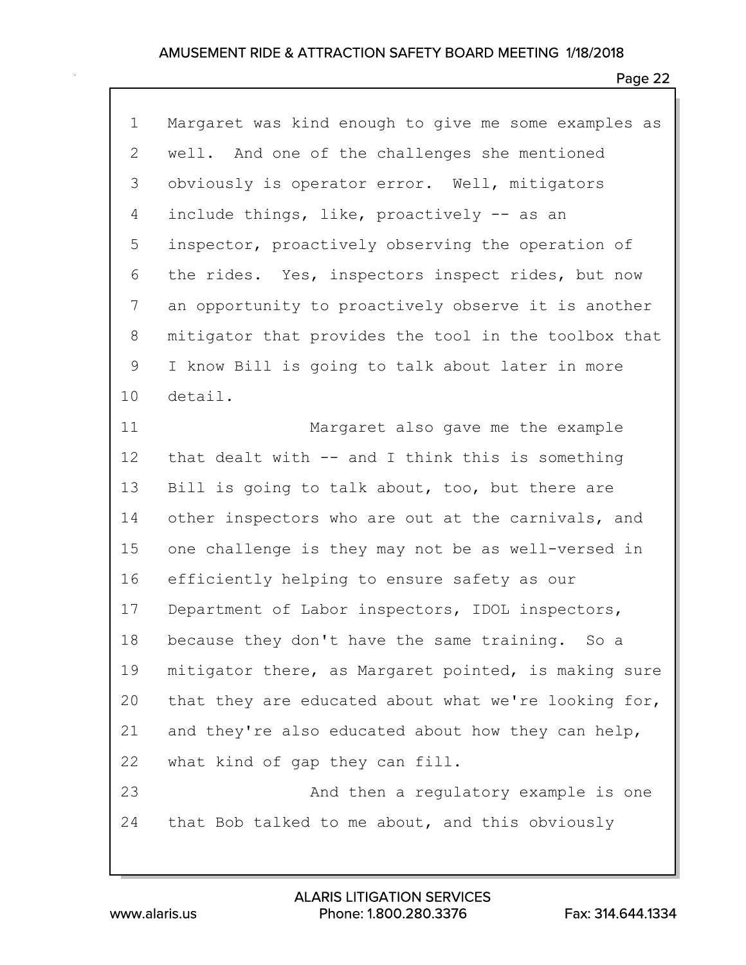| $\mathbf 1$ | Margaret was kind enough to give me some examples as |
|-------------|------------------------------------------------------|
| 2           | well. And one of the challenges she mentioned        |
| 3           | obviously is operator error. Well, mitigators        |
| 4           | include things, like, proactively -- as an           |
| 5           | inspector, proactively observing the operation of    |
| 6           | the rides. Yes, inspectors inspect rides, but now    |
| 7           | an opportunity to proactively observe it is another  |
| 8           | mitigator that provides the tool in the toolbox that |
| 9           | I know Bill is going to talk about later in more     |
| 10          | detail.                                              |
| 11          | Margaret also gave me the example                    |
| 12          | that dealt with $--$ and I think this is something   |
| 13          | Bill is going to talk about, too, but there are      |
| 14          | other inspectors who are out at the carnivals, and   |
| 15          | one challenge is they may not be as well-versed in   |
| 16          | efficiently helping to ensure safety as our          |
| 17          | Department of Labor inspectors, IDOL inspectors,     |
| 18          | because they don't have the same training. So a      |
| 19          | mitigator there, as Margaret pointed, is making sure |
| 20          | that they are educated about what we're looking for, |
| 21          | and they're also educated about how they can help,   |
| 22          | what kind of gap they can fill.                      |
| 23          | And then a regulatory example is one                 |
| 24          | that Bob talked to me about, and this obviously      |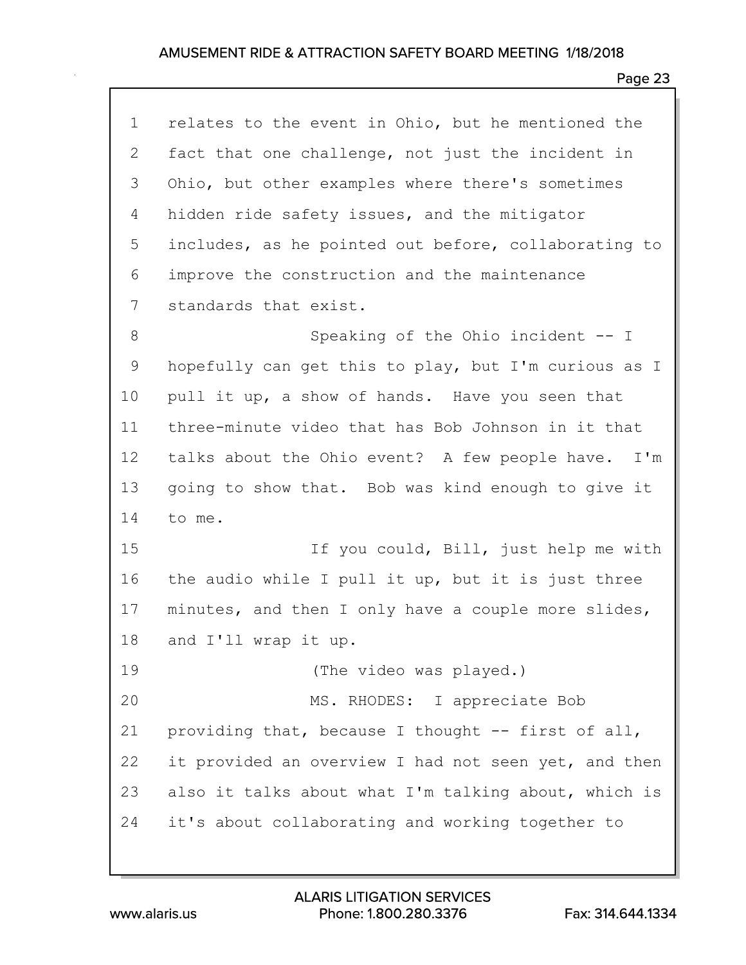| $\mathbf 1$ | relates to the event in Ohio, but he mentioned the   |
|-------------|------------------------------------------------------|
| 2           | fact that one challenge, not just the incident in    |
| 3           | Ohio, but other examples where there's sometimes     |
| 4           | hidden ride safety issues, and the mitigator         |
| 5           | includes, as he pointed out before, collaborating to |
| 6           | improve the construction and the maintenance         |
| 7           | standards that exist.                                |
| 8           | Speaking of the Ohio incident -- I                   |
| 9           | hopefully can get this to play, but I'm curious as I |
| 10          | pull it up, a show of hands. Have you seen that      |
| 11          | three-minute video that has Bob Johnson in it that   |
| 12          | talks about the Ohio event? A few people have. I'm   |
| 13          | going to show that. Bob was kind enough to give it   |
| 14          | to me.                                               |
| 15          | If you could, Bill, just help me with                |
| 16          | the audio while I pull it up, but it is just three   |
| 17          | minutes, and then I only have a couple more slides,  |
| 18          | and I'll wrap it up.                                 |
| 19          | (The video was played.)                              |
| 20          | MS. RHODES: I appreciate Bob                         |
| 21          | providing that, because I thought -- first of all,   |
| 22          | it provided an overview I had not seen yet, and then |
| 23          | also it talks about what I'm talking about, which is |
| 24          | it's about collaborating and working together to     |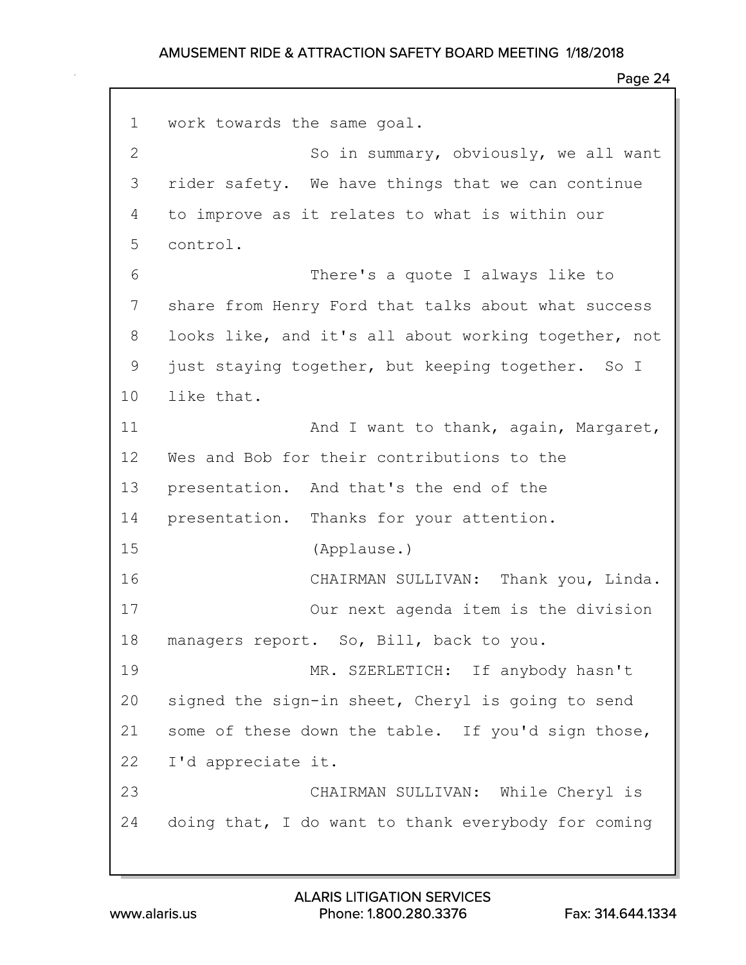```
1 work towards the same goal.
2 So in summary, obviously, we all want
3 rider safety. We have things that we can continue
4 to improve as it relates to what is within our
5 control.
 6 There's a quote I always like to
7 share from Henry Ford that talks about what success
8 looks like, and it's all about working together, not
9 just staying together, but keeping together. So I
10 like that.
11 And I want to thank, again, Margaret,
12 Wes and Bob for their contributions to the
13 presentation. And that's the end of the
14 presentation. Thanks for your attention.
15 (Applause.)
16 CHAIRMAN SULLIVAN: Thank you, Linda.
17 Our next agenda item is the division
18 managers report. So, Bill, back to you.
19 MR. SZERLETICH: If anybody hasn't
20 signed the sign-in sheet, Cheryl is going to send
21 some of these down the table. If you'd sign those,
22 I'd appreciate it.
23 CHAIRMAN SULLIVAN: While Cheryl is
24 doing that, I do want to thank everybody for coming
```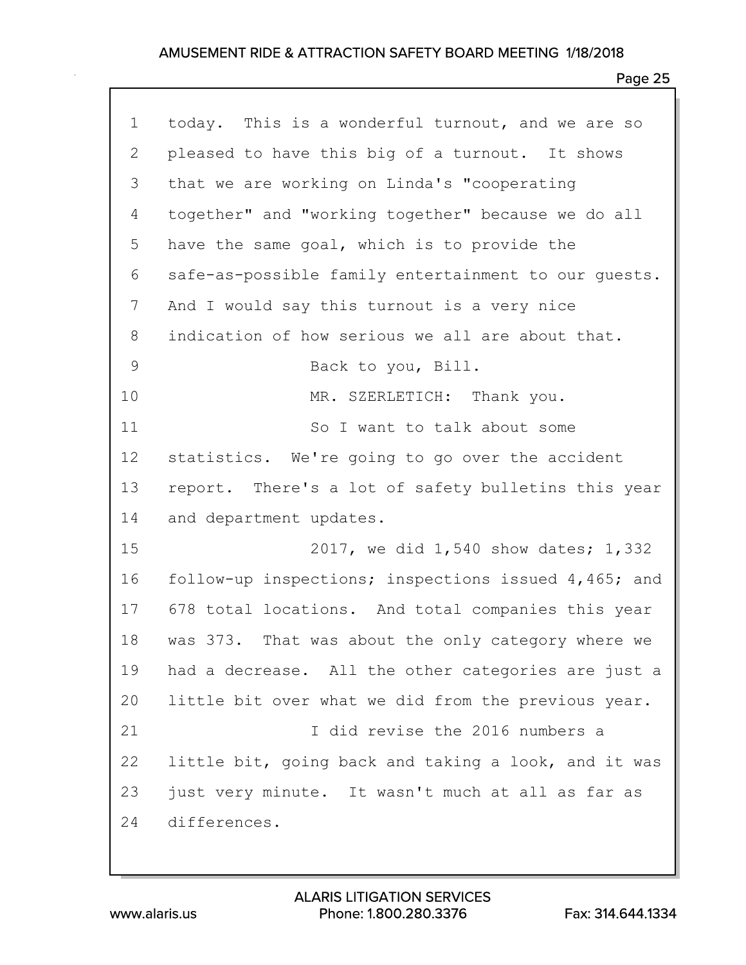| $\mathbf 1$ | today. This is a wonderful turnout, and we are so    |
|-------------|------------------------------------------------------|
| 2           | pleased to have this big of a turnout. It shows      |
| 3           | that we are working on Linda's "cooperating          |
| 4           | together" and "working together" because we do all   |
| 5           | have the same goal, which is to provide the          |
| 6           | safe-as-possible family entertainment to our quests. |
| 7           | And I would say this turnout is a very nice          |
| 8           | indication of how serious we all are about that.     |
| $\mathsf 9$ | Back to you, Bill.                                   |
| 10          | MR. SZERLETICH: Thank you.                           |
| 11          | So I want to talk about some                         |
| 12          | statistics. We're going to go over the accident      |
| 13          | report. There's a lot of safety bulletins this year  |
| 14          | and department updates.                              |
| 15          | 2017, we did 1,540 show dates; 1,332                 |
| 16          | follow-up inspections; inspections issued 4,465; and |
| 17          | 678 total locations. And total companies this year   |
| 18          | was 373. That was about the only category where we   |
| 19          | had a decrease. All the other categories are just a  |
| 20          | little bit over what we did from the previous year.  |
| 21          | I did revise the 2016 numbers a                      |
| 22          | little bit, going back and taking a look, and it was |
| 23          | just very minute. It wasn't much at all as far as    |
| 24          | differences.                                         |
|             |                                                      |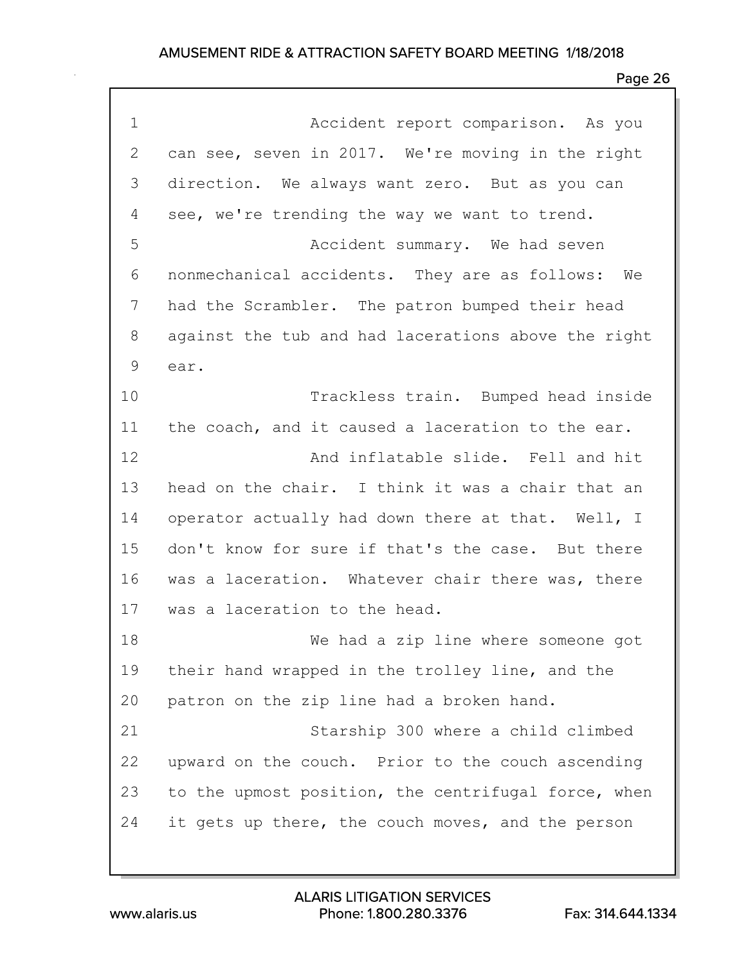| $\mathbf 1$ | Accident report comparison. As you                  |
|-------------|-----------------------------------------------------|
| 2           | can see, seven in 2017. We're moving in the right   |
| 3           | direction. We always want zero. But as you can      |
| 4           | see, we're trending the way we want to trend.       |
| 5           | Accident summary. We had seven                      |
| 6           | nonmechanical accidents. They are as follows: We    |
| 7           | had the Scrambler. The patron bumped their head     |
| 8           | against the tub and had lacerations above the right |
| 9           | ear.                                                |
| 10          | Trackless train. Bumped head inside                 |
| 11          | the coach, and it caused a laceration to the ear.   |
| 12          | And inflatable slide. Fell and hit                  |
| 13          | head on the chair. I think it was a chair that an   |
| 14          | operator actually had down there at that. Well, I   |
| 15          | don't know for sure if that's the case. But there   |
| 16          | was a laceration. Whatever chair there was, there   |
| 17          | was a laceration to the head.                       |
| 18          | We had a zip line where someone got                 |
| 19          | their hand wrapped in the trolley line, and the     |
| 20          | patron on the zip line had a broken hand.           |
| 21          | Starship 300 where a child climbed                  |
| 22          | upward on the couch. Prior to the couch ascending   |
| 23          | to the upmost position, the centrifugal force, when |
| 24          | it gets up there, the couch moves, and the person   |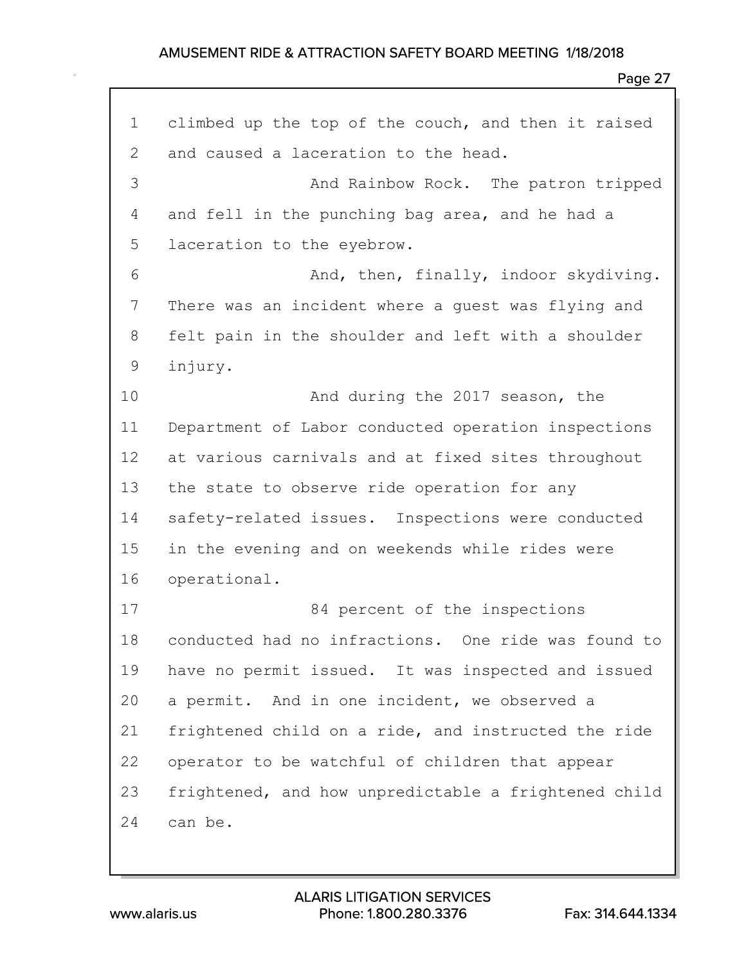| $\mathbf 1$  | climbed up the top of the couch, and then it raised  |
|--------------|------------------------------------------------------|
| $\mathbf{2}$ | and caused a laceration to the head.                 |
| 3            | And Rainbow Rock. The patron tripped                 |
| 4            | and fell in the punching bag area, and he had a      |
| 5            | laceration to the eyebrow.                           |
| 6            | And, then, finally, indoor skydiving.                |
| 7            | There was an incident where a guest was flying and   |
| 8            | felt pain in the shoulder and left with a shoulder   |
| $\mathsf 9$  | injury.                                              |
| 10           | And during the 2017 season, the                      |
| 11           | Department of Labor conducted operation inspections  |
| 12           | at various carnivals and at fixed sites throughout   |
| 13           | the state to observe ride operation for any          |
| 14           | safety-related issues. Inspections were conducted    |
| 15           | in the evening and on weekends while rides were      |
| 16           | operational.                                         |
| 17           | 84 percent of the inspections                        |
| 18           | conducted had no infractions. One ride was found to  |
| 19           | have no permit issued. It was inspected and issued   |
| 20           | a permit. And in one incident, we observed a         |
| 21           | frightened child on a ride, and instructed the ride  |
| 22           | operator to be watchful of children that appear      |
| 23           | frightened, and how unpredictable a frightened child |
| 24           | can be.                                              |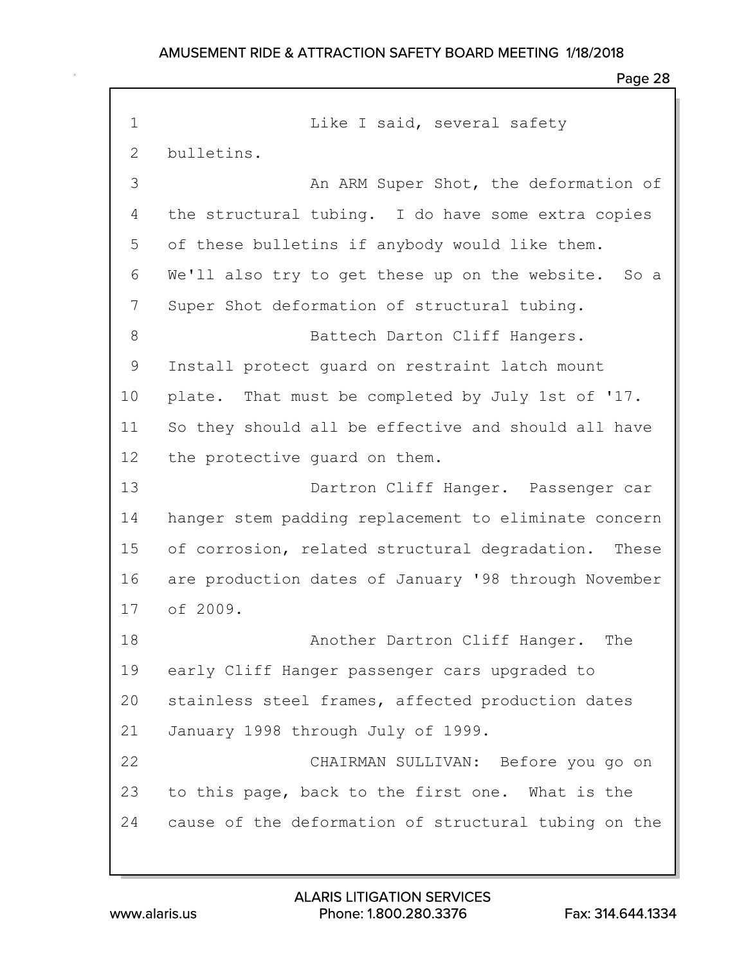### Page 28

1 Like I said, several safety 2 bulletins. 3 An ARM Super Shot, the deformation of 4 the structural tubing. I do have some extra copies 5 of these bulletins if anybody would like them. 6 We'll also try to get these up on the website. So a 7 Super Shot deformation of structural tubing. 8 Battech Darton Cliff Hangers. 9 Install protect guard on restraint latch mount 10 plate. That must be completed by July 1st of '17. 11 So they should all be effective and should all have 12 the protective guard on them. 13 Dartron Cliff Hanger. Passenger car 14 hanger stem padding replacement to eliminate concern 15 of corrosion, related structural degradation. These 16 are production dates of January '98 through November 17 of 2009. 18 Another Dartron Cliff Hanger. The 19 early Cliff Hanger passenger cars upgraded to 20 stainless steel frames, affected production dates 21 January 1998 through July of 1999. 22 CHAIRMAN SULLIVAN: Before you go on 23 to this page, back to the first one. What is the 24 cause of the deformation of structural tubing on the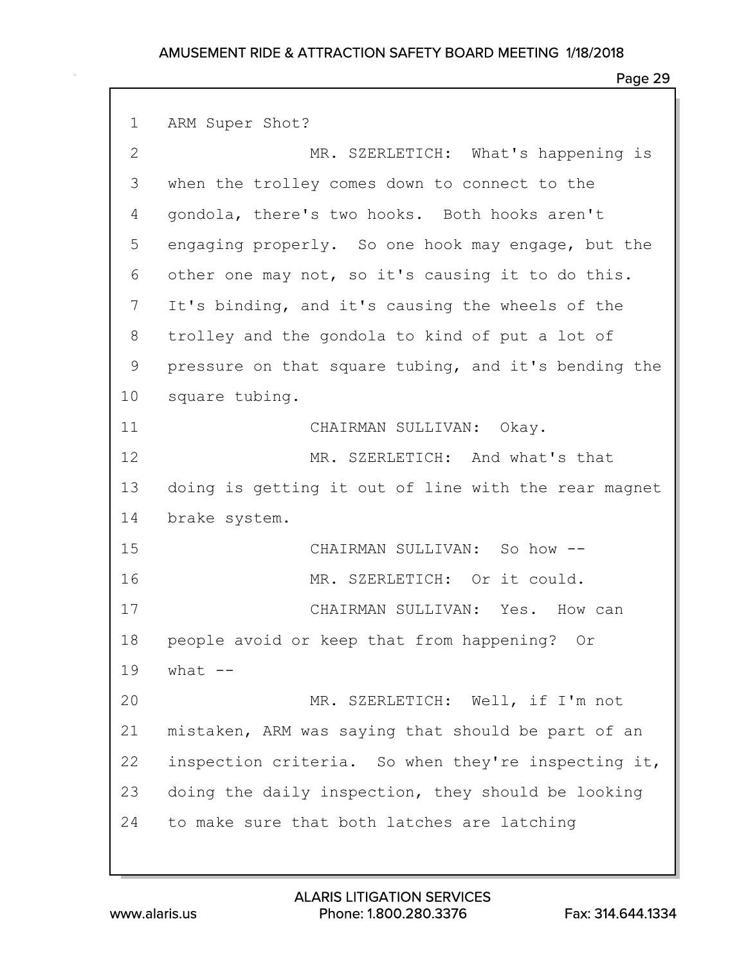### Page 29

1 ARM Super Shot? 2 MR. SZERLETICH: What's happening is 3 when the trolley comes down to connect to the 4 gondola, there's two hooks. Both hooks aren't 5 engaging properly. So one hook may engage, but the 6 other one may not, so it's causing it to do this. 7 It's binding, and it's causing the wheels of the 8 trolley and the gondola to kind of put a lot of 9 pressure on that square tubing, and it's bending the 10 square tubing. 11 CHAIRMAN SULLIVAN: Okay. 12 MR. SZERLETICH: And what's that 13 doing is getting it out of line with the rear magnet 14 brake system. 15 CHAIRMAN SULLIVAN: So how -- 16 MR. SZERLETICH: Or it could. 17 CHAIRMAN SULLIVAN: Yes. How can 18 people avoid or keep that from happening? Or 19 what -- 20 MR. SZERLETICH: Well, if I'm not 21 mistaken, ARM was saying that should be part of an 22 inspection criteria. So when they're inspecting it, 23 doing the daily inspection, they should be looking 24 to make sure that both latches are latching

www.alaris.us Phone: 1.800.280.3376 Fax: 314.644.1334 ALARIS LITIGATION SERVICES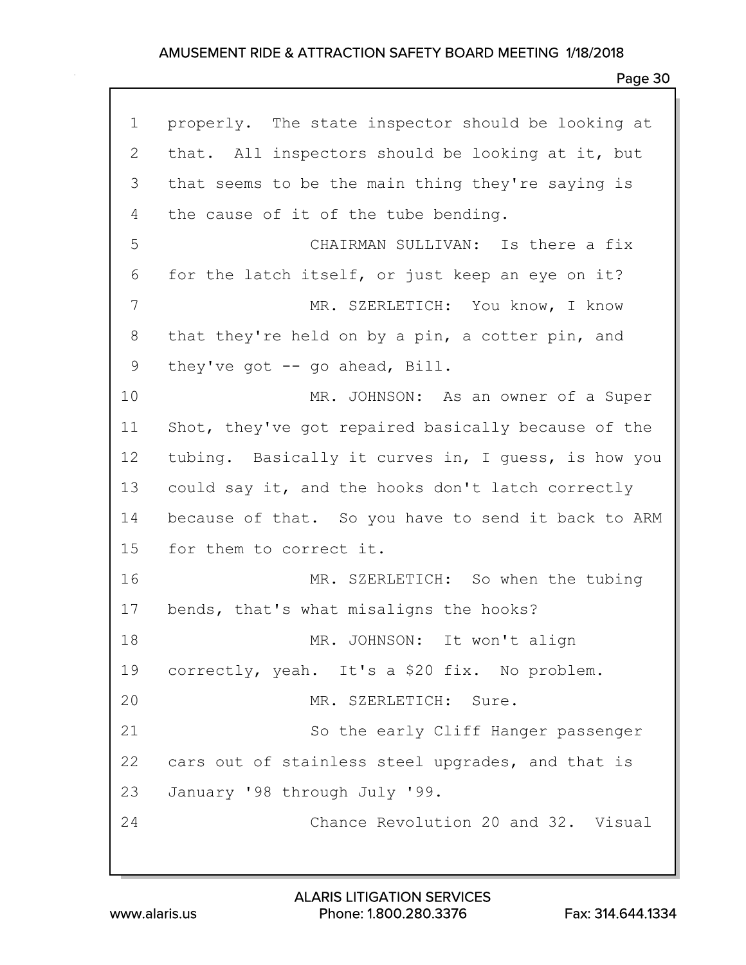| $\mathbf 1$  | properly. The state inspector should be looking at  |
|--------------|-----------------------------------------------------|
| $\mathbf{2}$ | that. All inspectors should be looking at it, but   |
| 3            | that seems to be the main thing they're saying is   |
| 4            | the cause of it of the tube bending.                |
| 5            | CHAIRMAN SULLIVAN: Is there a fix                   |
| 6            | for the latch itself, or just keep an eye on it?    |
| 7            | MR. SZERLETICH: You know, I know                    |
| 8            | that they're held on by a pin, a cotter pin, and    |
| 9            | they've got $-$ go ahead, Bill.                     |
| 10           | MR. JOHNSON: As an owner of a Super                 |
| 11           | Shot, they've got repaired basically because of the |
| 12           | tubing. Basically it curves in, I guess, is how you |
| 13           | could say it, and the hooks don't latch correctly   |
| 14           | because of that. So you have to send it back to ARM |
| 15           | for them to correct it.                             |
| 16           | MR. SZERLETICH: So when the tubing                  |
| 17           | bends, that's what misaligns the hooks?             |
| 18           | MR. JOHNSON: It won't align                         |
|              | 19 correctly, yeah. It's a \$20 fix. No problem.    |
| 20           | MR. SZERLETICH: Sure.                               |
| 21           | So the early Cliff Hanger passenger                 |
| 22           | cars out of stainless steel upgrades, and that is   |
| 23           | January '98 through July '99.                       |
| 24           | Chance Revolution 20 and 32. Visual                 |
|              |                                                     |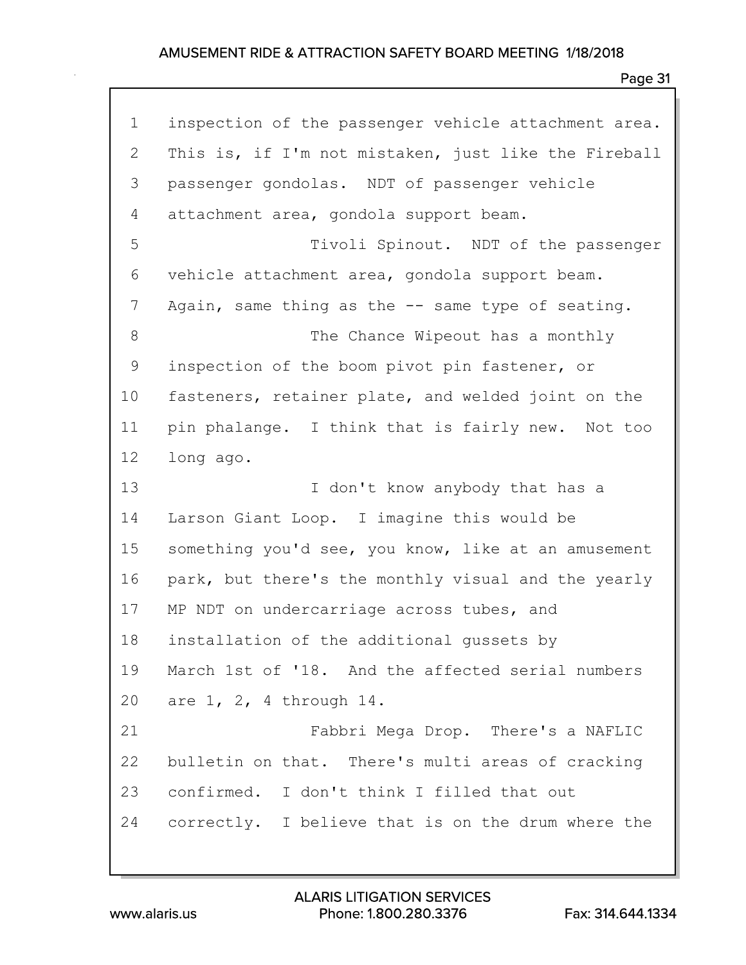| $\mathbf 1$ | inspection of the passenger vehicle attachment area. |
|-------------|------------------------------------------------------|
| 2           | This is, if I'm not mistaken, just like the Fireball |
| 3           | passenger gondolas. NDT of passenger vehicle         |
| 4           | attachment area, gondola support beam.               |
| 5           | Tivoli Spinout. NDT of the passenger                 |
| 6           | vehicle attachment area, gondola support beam.       |
| 7           | Again, same thing as the -- same type of seating.    |
| 8           | The Chance Wipeout has a monthly                     |
| 9           | inspection of the boom pivot pin fastener, or        |
| 10          | fasteners, retainer plate, and welded joint on the   |
| 11          | pin phalange. I think that is fairly new. Not too    |
| 12          | long ago.                                            |
| 13          | I don't know anybody that has a                      |
| 14          | Larson Giant Loop. I imagine this would be           |
| 15          | something you'd see, you know, like at an amusement  |
| 16          | park, but there's the monthly visual and the yearly  |
| 17          | MP NDT on undercarriage across tubes, and            |
| 18          | installation of the additional gussets by            |
| 19          | March 1st of '18. And the affected serial numbers    |
| 20          | are 1, 2, 4 through 14.                              |
| 21          | Fabbri Mega Drop. There's a NAFLIC                   |
| 22          | bulletin on that. There's multi areas of cracking    |
| 23          | confirmed. I don't think I filled that out           |
| 24          | correctly. I believe that is on the drum where the   |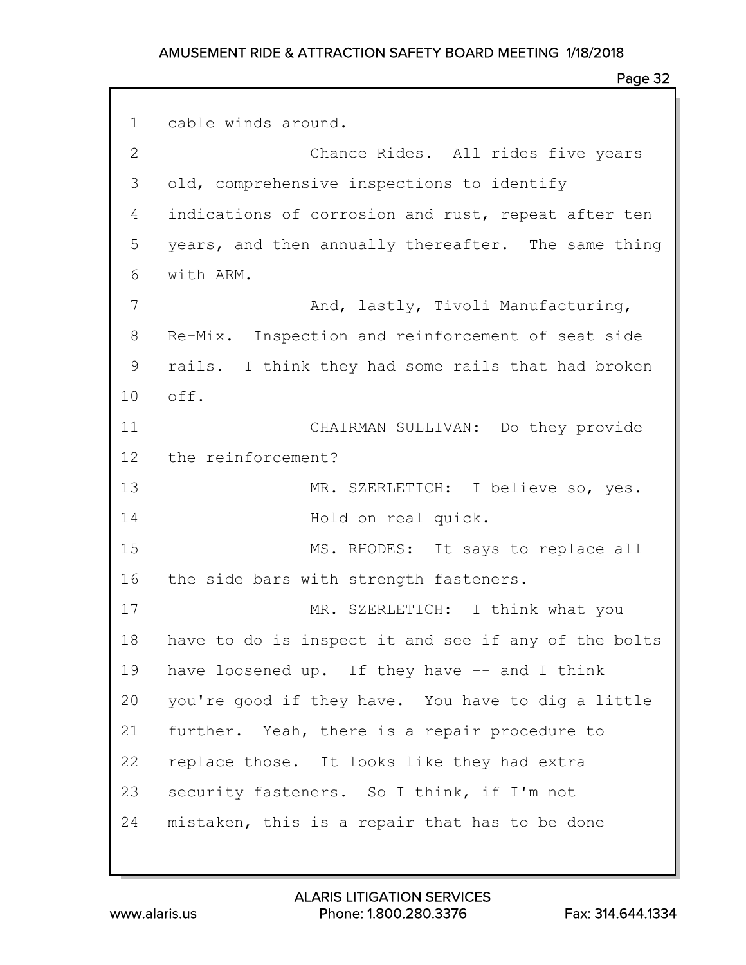#### Page 32

1 cable winds around. 2 Chance Rides. All rides five years 3 old, comprehensive inspections to identify 4 indications of corrosion and rust, repeat after ten 5 years, and then annually thereafter. The same thing 6 with ARM. 7 And, lastly, Tivoli Manufacturing, 8 Re-Mix. Inspection and reinforcement of seat side 9 rails. I think they had some rails that had broken 10 off. 11 CHAIRMAN SULLIVAN: Do they provide 12 the reinforcement? 13 MR. SZERLETICH: I believe so, yes. 14 Hold on real quick. 15 MS. RHODES: It says to replace all 16 the side bars with strength fasteners. 17 MR. SZERLETICH: I think what you 18 have to do is inspect it and see if any of the bolts 19 have loosened up. If they have -- and I think 20 you're good if they have. You have to dig a little 21 further. Yeah, there is a repair procedure to 22 replace those. It looks like they had extra 23 security fasteners. So I think, if I'm not 24 mistaken, this is a repair that has to be done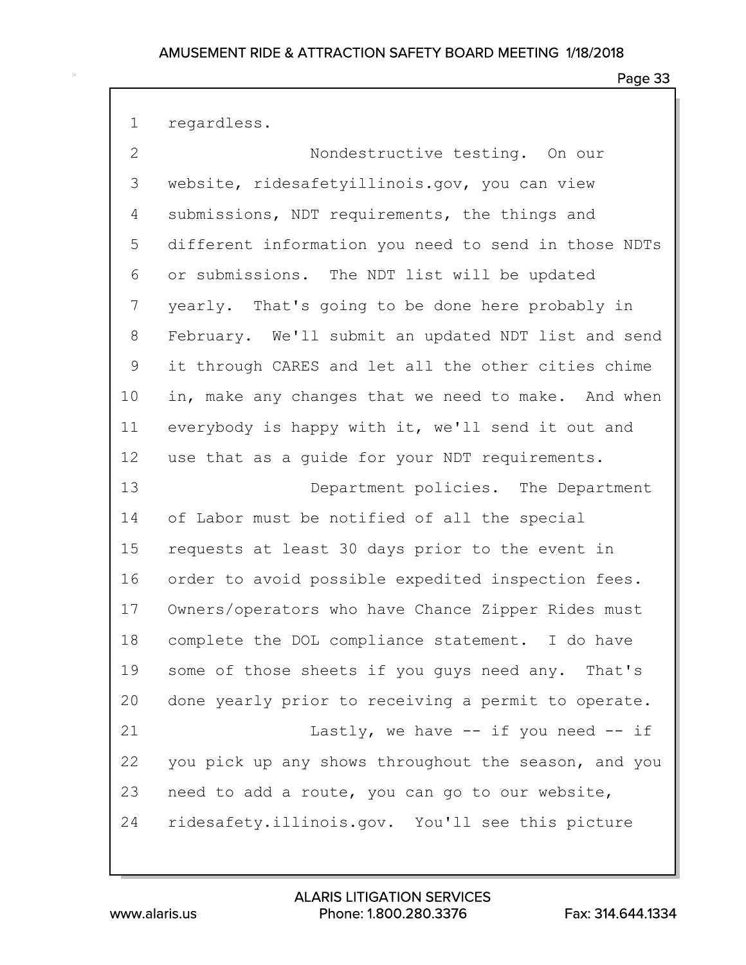| $\overline{2}$ | Nondestructive testing. On our                       |
|----------------|------------------------------------------------------|
| 3              | website, ridesafetyillinois.gov, you can view        |
| 4              | submissions, NDT requirements, the things and        |
| 5              | different information you need to send in those NDTs |
| 6              | or submissions. The NDT list will be updated         |
| 7              | yearly. That's going to be done here probably in     |
| 8              | February. We'll submit an updated NDT list and send  |
| $\mathsf 9$    | it through CARES and let all the other cities chime  |
| 10             | in, make any changes that we need to make. And when  |
| 11             | everybody is happy with it, we'll send it out and    |
| 12             | use that as a guide for your NDT requirements.       |
| 13             | Department policies. The Department                  |
| 14             | of Labor must be notified of all the special         |
| 15             | requests at least 30 days prior to the event in      |
| 16             | order to avoid possible expedited inspection fees.   |
| 17             | Owners/operators who have Chance Zipper Rides must   |
| 18             | complete the DOL compliance statement. I do have     |
| 19             | some of those sheets if you guys need any. That's    |
| 20             | done yearly prior to receiving a permit to operate.  |
| 21             | Lastly, we have $--$ if you need $--$ if             |
| 22             | you pick up any shows throughout the season, and you |
| 23             | need to add a route, you can go to our website,      |
| 24             | ridesafety.illinois.gov. You'll see this picture     |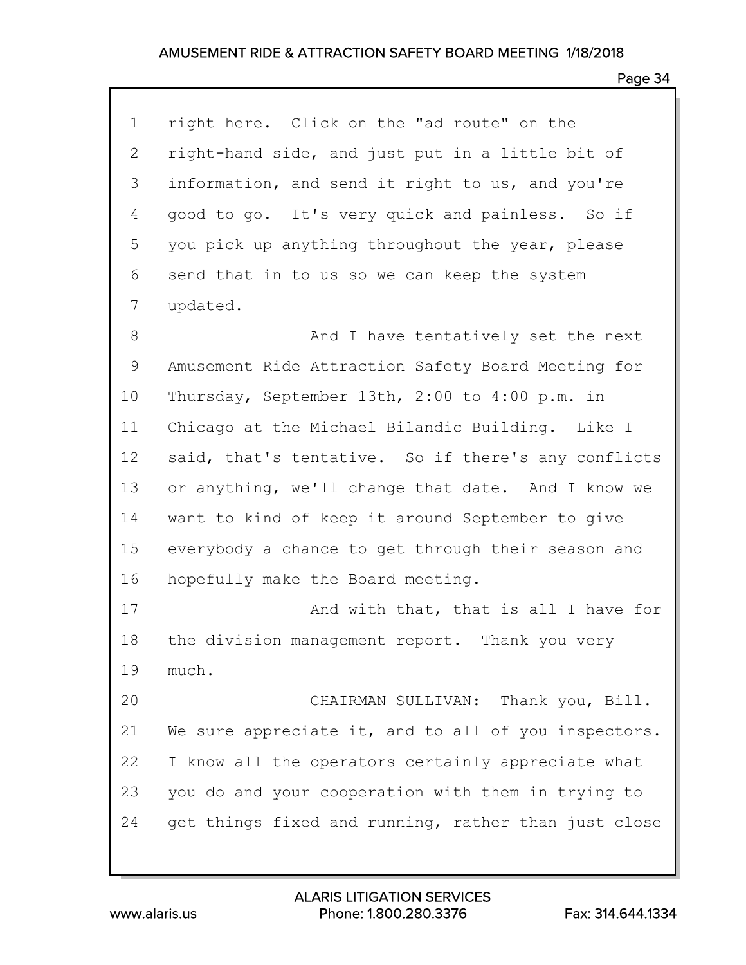| $\mathbf 1$ | right here. Click on the "ad route" on the           |
|-------------|------------------------------------------------------|
| 2           | right-hand side, and just put in a little bit of     |
| 3           | information, and send it right to us, and you're     |
| 4           | good to go. It's very quick and painless. So if      |
| 5           | you pick up anything throughout the year, please     |
| 6           | send that in to us so we can keep the system         |
| 7           | updated.                                             |
| 8           | And I have tentatively set the next                  |
| 9           | Amusement Ride Attraction Safety Board Meeting for   |
| 10          | Thursday, September 13th, 2:00 to 4:00 p.m. in       |
| 11          | Chicago at the Michael Bilandic Building. Like I     |
| 12          | said, that's tentative. So if there's any conflicts  |
| 13          | or anything, we'll change that date. And I know we   |
| 14          | want to kind of keep it around September to give     |
| 15          | everybody a chance to get through their season and   |
| 16          | hopefully make the Board meeting.                    |
| 17          | And with that, that is all I have for                |
| 18          | the division management report. Thank you very       |
| 19          | much.                                                |
| 20          | CHAIRMAN SULLIVAN: Thank you, Bill.                  |
| 21          | We sure appreciate it, and to all of you inspectors. |
| 22          | I know all the operators certainly appreciate what   |
| 23          | you do and your cooperation with them in trying to   |
| 24          | get things fixed and running, rather than just close |
|             |                                                      |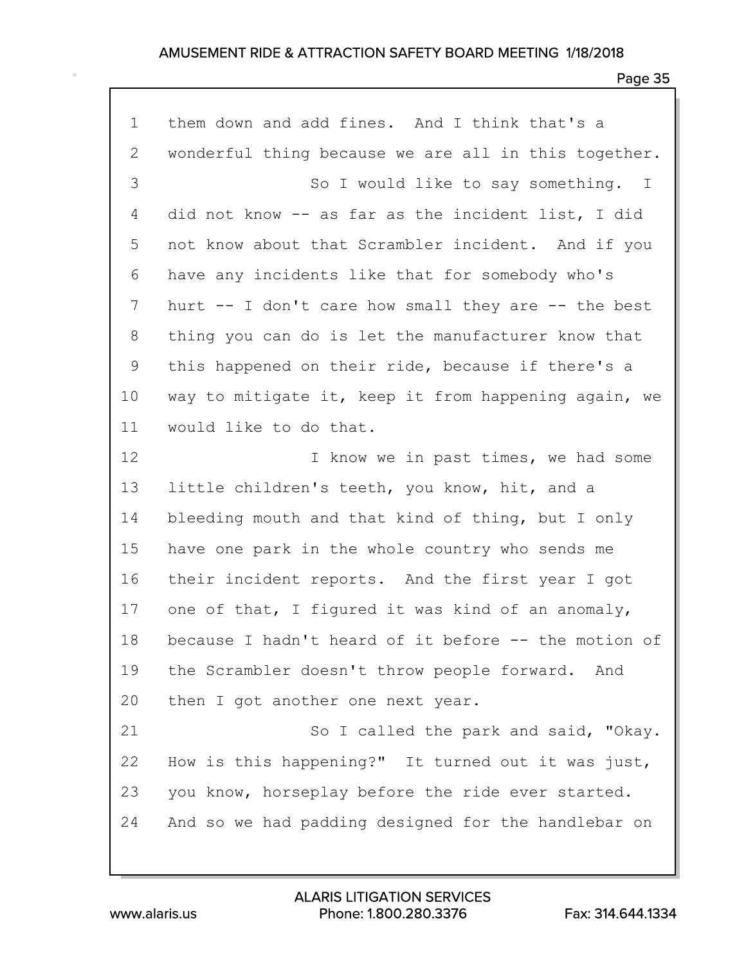| $\mathbf 1$ | them down and add fines. And I think that's a        |
|-------------|------------------------------------------------------|
| 2           | wonderful thing because we are all in this together. |
| 3           | So I would like to say something. I                  |
| 4           | did not know -- as far as the incident list, I did   |
| 5           | not know about that Scrambler incident. And if you   |
| 6           | have any incidents like that for somebody who's      |
| 7           | hurt -- I don't care how small they are -- the best  |
| 8           | thing you can do is let the manufacturer know that   |
| 9           | this happened on their ride, because if there's a    |
| 10          | way to mitigate it, keep it from happening again, we |
| 11          | would like to do that.                               |
| 12          | I know we in past times, we had some                 |
| 13          | little children's teeth, you know, hit, and a        |
| 14          | bleeding mouth and that kind of thing, but I only    |
| 15          | have one park in the whole country who sends me      |
| 16          | their incident reports. And the first year I got     |
| 17          | one of that, I figured it was kind of an anomaly,    |
| 18          | because I hadn't heard of it before -- the motion of |
| 19          | the Scrambler doesn't throw people forward. And      |
| 20          | then I got another one next year.                    |
| 21          | So I called the park and said, "Okay.                |
| 22          | How is this happening?" It turned out it was just,   |
| 23          | you know, horseplay before the ride ever started.    |
| 24          | And so we had padding designed for the handlebar on  |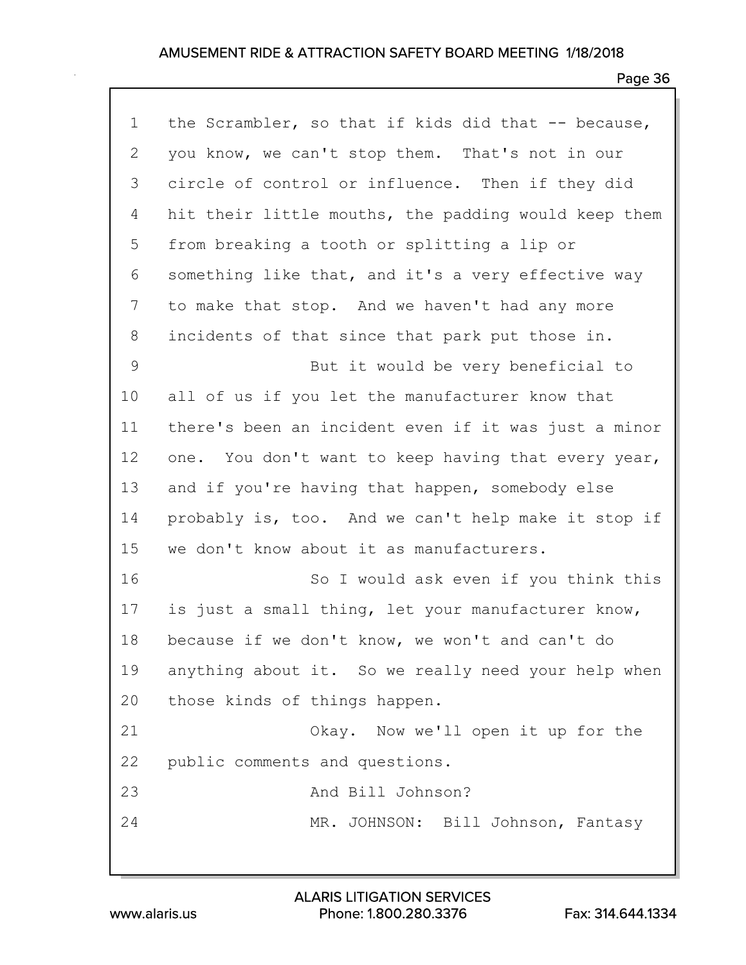| $\mathbf 1$ | the Scrambler, so that if kids did that -- because,  |
|-------------|------------------------------------------------------|
| 2           | you know, we can't stop them. That's not in our      |
| 3           | circle of control or influence. Then if they did     |
| 4           | hit their little mouths, the padding would keep them |
| 5           | from breaking a tooth or splitting a lip or          |
| 6           | something like that, and it's a very effective way   |
| 7           | to make that stop. And we haven't had any more       |
| 8           | incidents of that since that park put those in.      |
| 9           | But it would be very beneficial to                   |
| 10          | all of us if you let the manufacturer know that      |
| 11          | there's been an incident even if it was just a minor |
| 12          | one. You don't want to keep having that every year,  |
| 13          | and if you're having that happen, somebody else      |
| 14          | probably is, too. And we can't help make it stop if  |
| 15          | we don't know about it as manufacturers.             |
| 16          | So I would ask even if you think this                |
| 17          | is just a small thing, let your manufacturer know,   |
| 18          | because if we don't know, we won't and can't do      |
| 19          | anything about it. So we really need your help when  |
| 20          | those kinds of things happen.                        |
| 21          | Okay. Now we'll open it up for the                   |
| 22          | public comments and questions.                       |
| 23          | And Bill Johnson?                                    |
| 24          | MR. JOHNSON: Bill Johnson, Fantasy                   |
|             |                                                      |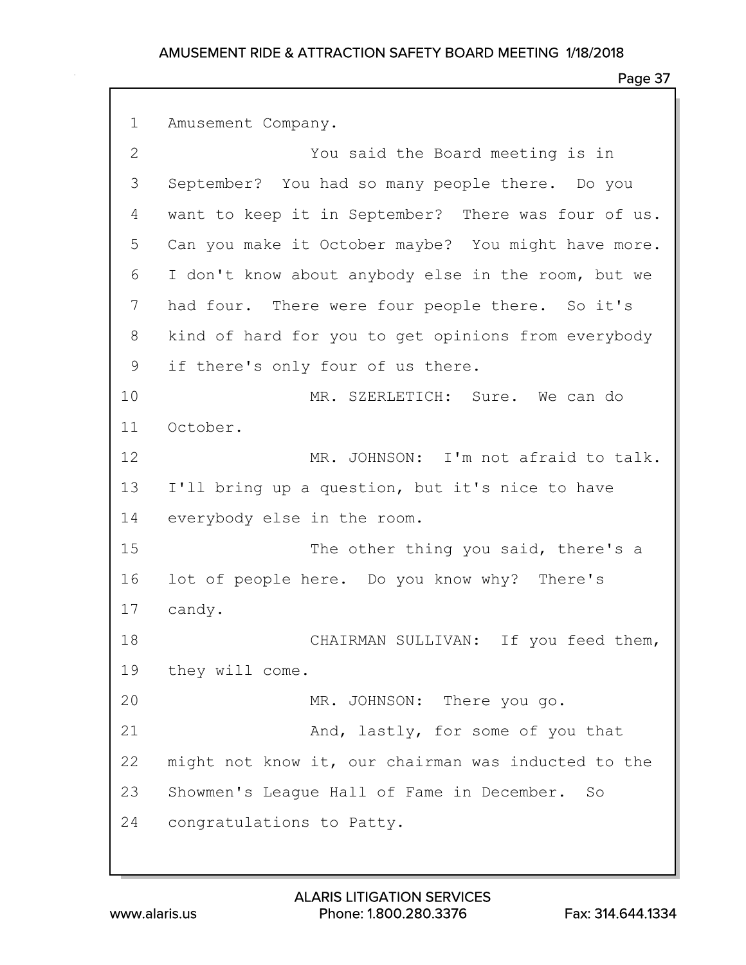### Page 37

1 Amusement Company. 2 You said the Board meeting is in 3 September? You had so many people there. Do you 4 want to keep it in September? There was four of us. 5 Can you make it October maybe? You might have more. 6 I don't know about anybody else in the room, but we 7 had four. There were four people there. So it's 8 kind of hard for you to get opinions from everybody 9 if there's only four of us there. 10 MR. SZERLETICH: Sure. We can do 11 October. 12 MR. JOHNSON: I'm not afraid to talk. 13 I'll bring up a question, but it's nice to have 14 everybody else in the room. 15 The other thing you said, there's a 16 lot of people here. Do you know why? There's 17 candy. 18 CHAIRMAN SULLIVAN: If you feed them, 19 they will come. 20 MR. JOHNSON: There you go. 21 And, lastly, for some of you that 22 might not know it, our chairman was inducted to the 23 Showmen's League Hall of Fame in December. So 24 congratulations to Patty.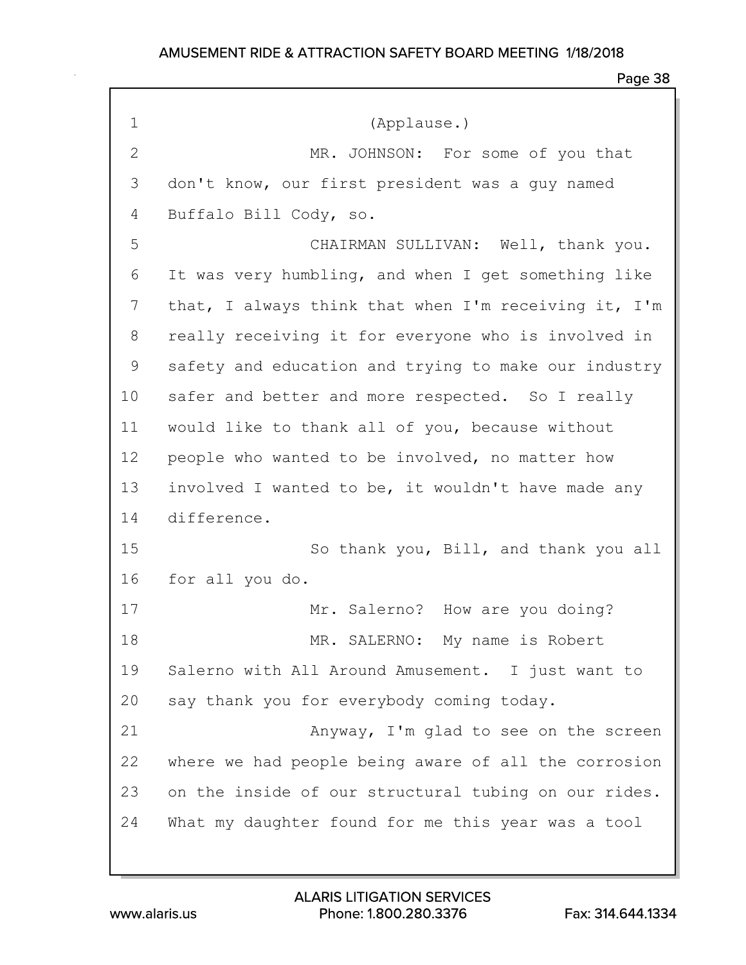| $\mathbf 1$  | (Applause.)                                          |
|--------------|------------------------------------------------------|
| $\mathbf{2}$ | MR. JOHNSON: For some of you that                    |
| 3            | don't know, our first president was a guy named      |
| 4            | Buffalo Bill Cody, so.                               |
| 5            | CHAIRMAN SULLIVAN: Well, thank you.                  |
| 6            | It was very humbling, and when I get something like  |
| 7            | that, I always think that when I'm receiving it, I'm |
| 8            | really receiving it for everyone who is involved in  |
| 9            | safety and education and trying to make our industry |
| 10           | safer and better and more respected. So I really     |
| 11           | would like to thank all of you, because without      |
| 12           | people who wanted to be involved, no matter how      |
| 13           | involved I wanted to be, it wouldn't have made any   |
| 14           | difference.                                          |
| 15           | So thank you, Bill, and thank you all                |
| 16           | for all you do.                                      |
| 17           | Mr. Salerno? How are you doing?                      |
| 18           | MR. SALERNO: My name is Robert                       |
| 19           | Salerno with All Around Amusement. I just want to    |
| 20           | say thank you for everybody coming today.            |
| 21           | Anyway, I'm glad to see on the screen                |
| 22           | where we had people being aware of all the corrosion |
| 23           | on the inside of our structural tubing on our rides. |
| 24           | What my daughter found for me this year was a tool   |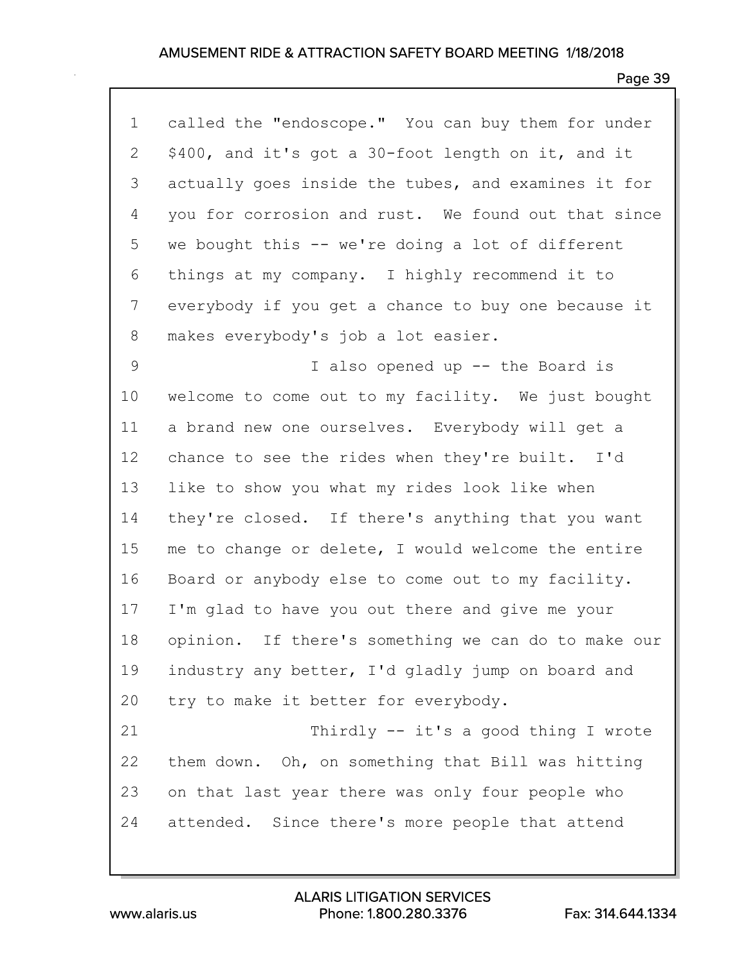| $\mathbf 1$ | called the "endoscope." You can buy them for under  |
|-------------|-----------------------------------------------------|
| 2           | \$400, and it's got a 30-foot length on it, and it  |
| 3           | actually goes inside the tubes, and examines it for |
| 4           | you for corrosion and rust. We found out that since |
| 5           | we bought this -- we're doing a lot of different    |
| 6           | things at my company. I highly recommend it to      |
| 7           | everybody if you get a chance to buy one because it |
| 8           | makes everybody's job a lot easier.                 |
| 9           | I also opened up -- the Board is                    |
| 10          | welcome to come out to my facility. We just bought  |
| 11          | a brand new one ourselves. Everybody will get a     |
| 12          | chance to see the rides when they're built. I'd     |
| 13          | like to show you what my rides look like when       |
| 14          | they're closed. If there's anything that you want   |
| 15          | me to change or delete, I would welcome the entire  |
| 16          | Board or anybody else to come out to my facility.   |
| 17          | I'm glad to have you out there and give me your     |
| 18          | opinion. If there's something we can do to make our |
| 19          | industry any better, I'd gladly jump on board and   |
| 20          | try to make it better for everybody.                |
| 21          | Thirdly -- it's a good thing I wrote                |
| 22          | them down. Oh, on something that Bill was hitting   |
| 23          | on that last year there was only four people who    |
| 24          | attended. Since there's more people that attend     |
|             |                                                     |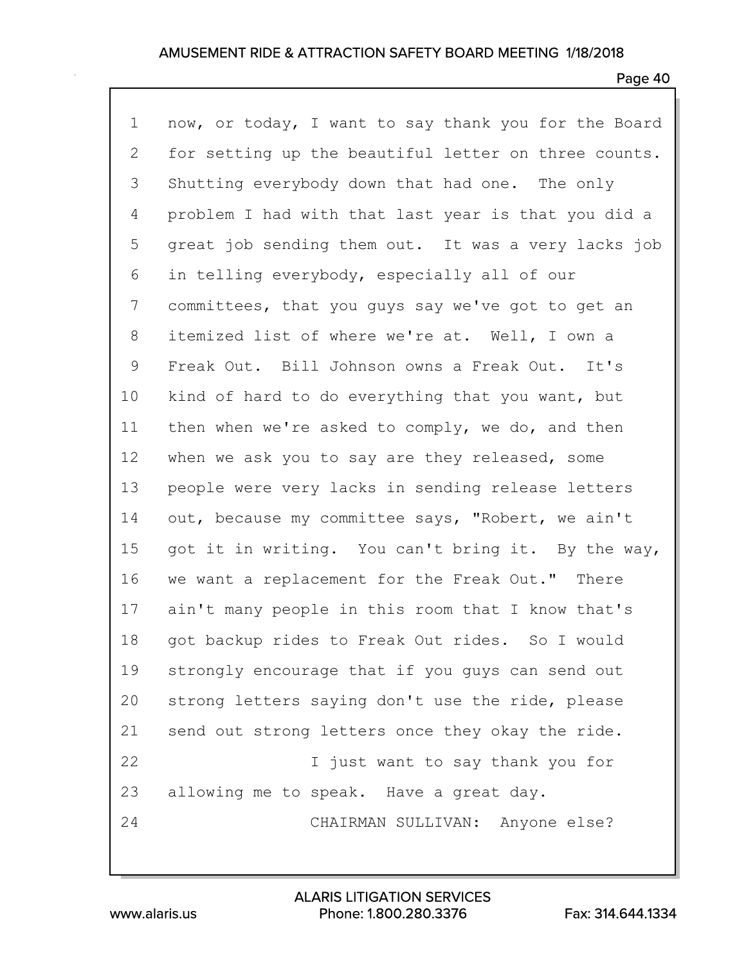### Page 40

1 now, or today, I want to say thank you for the Board 2 for setting up the beautiful letter on three counts. 3 Shutting everybody down that had one. The only 4 problem I had with that last year is that you did a 5 great job sending them out. It was a very lacks job 6 in telling everybody, especially all of our 7 committees, that you guys say we've got to get an 8 itemized list of where we're at. Well, I own a 9 Freak Out. Bill Johnson owns a Freak Out. It's 10 kind of hard to do everything that you want, but 11 then when we're asked to comply, we do, and then 12 when we ask you to say are they released, some 13 people were very lacks in sending release letters 14 out, because my committee says, "Robert, we ain't 15 got it in writing. You can't bring it. By the way, 16 we want a replacement for the Freak Out." There 17 ain't many people in this room that I know that's 18 got backup rides to Freak Out rides. So I would 19 strongly encourage that if you guys can send out 20 strong letters saying don't use the ride, please 21 send out strong letters once they okay the ride. 22 I just want to say thank you for 23 allowing me to speak. Have a great day. 24 CHAIRMAN SULLIVAN: Anyone else?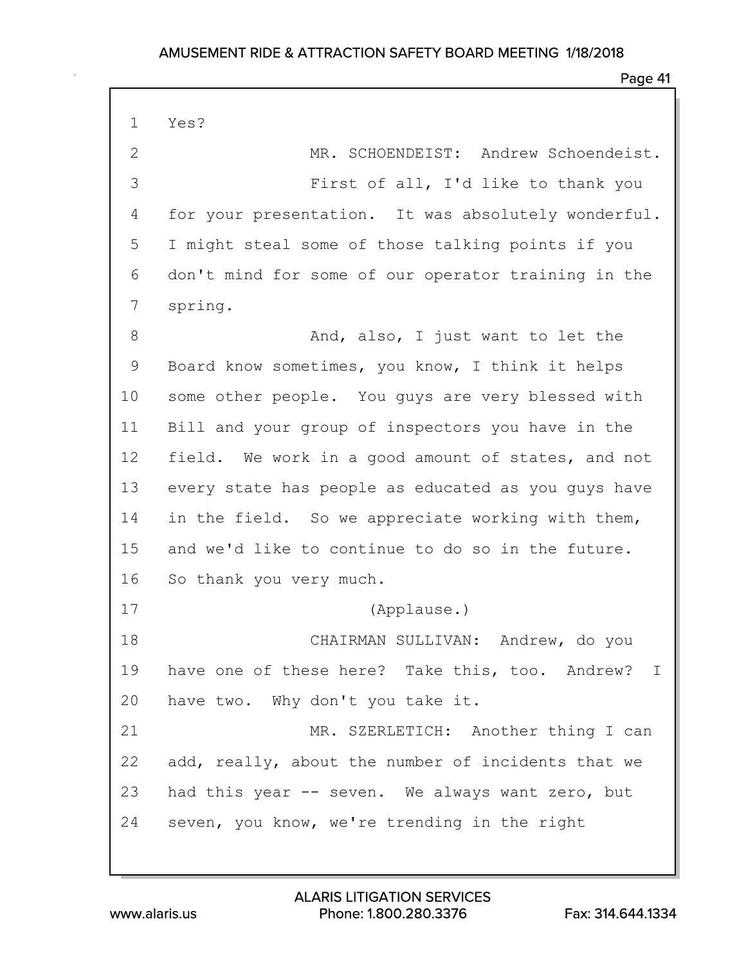### Page 41

1 Yes?

2 MR. SCHOENDEIST: Andrew Schoendeist. 3 First of all, I'd like to thank you 4 for your presentation. It was absolutely wonderful. 5 I might steal some of those talking points if you 6 don't mind for some of our operator training in the 7 spring.

8 And, also, I just want to let the 9 Board know sometimes, you know, I think it helps 10 some other people. You guys are very blessed with 11 Bill and your group of inspectors you have in the 12 field. We work in a good amount of states, and not 13 every state has people as educated as you guys have 14 in the field. So we appreciate working with them, 15 and we'd like to continue to do so in the future. 16 So thank you very much.

17 (Applause.)

18 CHAIRMAN SULLIVAN: Andrew, do you 19 have one of these here? Take this, too. Andrew? I 20 have two. Why don't you take it.

21 MR. SZERLETICH: Another thing I can 22 add, really, about the number of incidents that we 23 had this year -- seven. We always want zero, but 24 seven, you know, we're trending in the right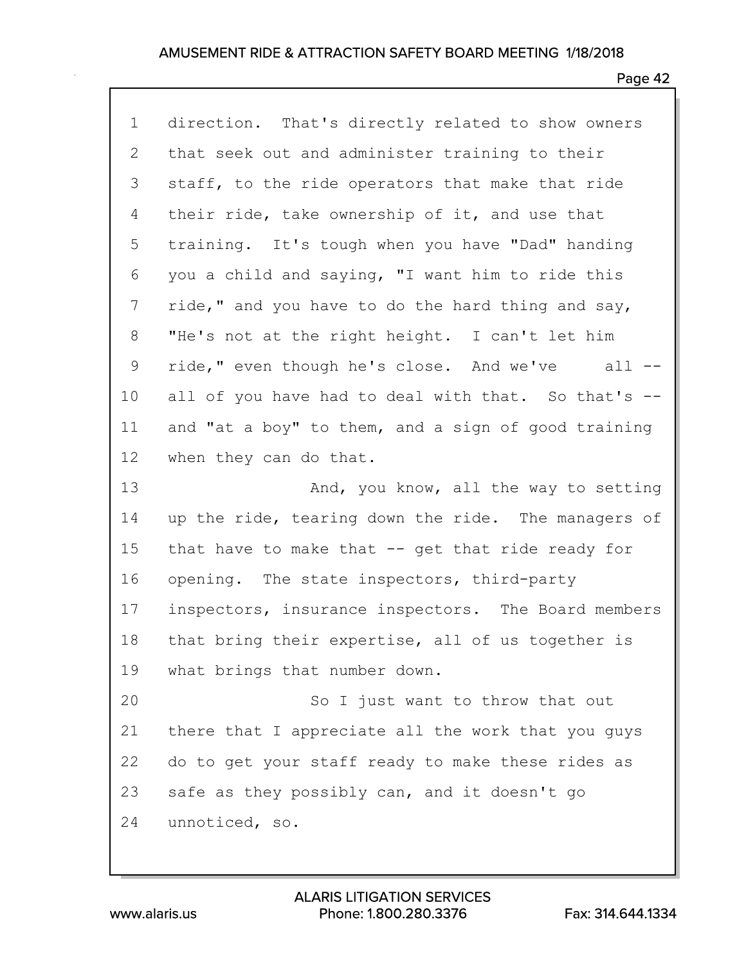| $\mathbf 1$ | direction. That's directly related to show owners   |
|-------------|-----------------------------------------------------|
| 2           | that seek out and administer training to their      |
| 3           | staff, to the ride operators that make that ride    |
| 4           | their ride, take ownership of it, and use that      |
| 5           | training. It's tough when you have "Dad" handing    |
| 6           | you a child and saying, "I want him to ride this    |
| 7           | ride," and you have to do the hard thing and say,   |
| 8           | "He's not at the right height. I can't let him      |
| 9           | ride," even though he's close. And we've all --     |
| 10          | all of you have had to deal with that. So that's -- |
| 11          | and "at a boy" to them, and a sign of good training |
| 12          | when they can do that.                              |
|             |                                                     |
| 13          | And, you know, all the way to setting               |
| 14          | up the ride, tearing down the ride. The managers of |
| 15          | that have to make that -- get that ride ready for   |
| 16          | opening. The state inspectors, third-party          |
| 17          | inspectors, insurance inspectors. The Board members |
| 18          | that bring their expertise, all of us together is   |
| 19          | what brings that number down.                       |
| 20          | So I just want to throw that out                    |
| 21          | there that I appreciate all the work that you guys  |
| 22          | do to get your staff ready to make these rides as   |
| 23          | safe as they possibly can, and it doesn't go        |
| 24          | unnoticed, so.                                      |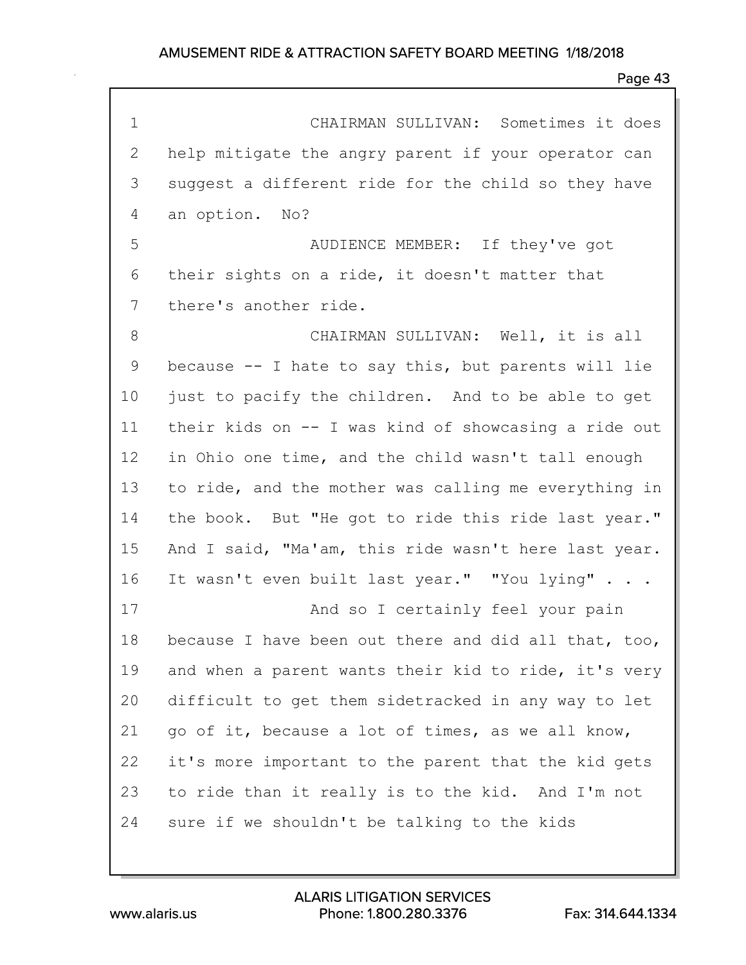| $\mathbf 1$ | CHAIRMAN SULLIVAN: Sometimes it does                 |
|-------------|------------------------------------------------------|
| 2           | help mitigate the angry parent if your operator can  |
| 3           | suggest a different ride for the child so they have  |
| 4           | an option. No?                                       |
| 5           | AUDIENCE MEMBER: If they've got                      |
| 6           | their sights on a ride, it doesn't matter that       |
| 7           | there's another ride.                                |
| 8           | CHAIRMAN SULLIVAN: Well, it is all                   |
| 9           | because -- I hate to say this, but parents will lie  |
| 10          | just to pacify the children. And to be able to get   |
| 11          | their kids on -- I was kind of showcasing a ride out |
| 12          | in Ohio one time, and the child wasn't tall enough   |
| 13          | to ride, and the mother was calling me everything in |
| 14          | the book. But "He got to ride this ride last year."  |
| 15          | And I said, "Ma'am, this ride wasn't here last year. |
| 16          | It wasn't even built last year." "You lying"         |
| 17          | And so I certainly feel your pain                    |
| 18          | because I have been out there and did all that, too, |
| 19          | and when a parent wants their kid to ride, it's very |
| 20          | difficult to get them sidetracked in any way to let  |
| 21          | go of it, because a lot of times, as we all know,    |
| 22          | it's more important to the parent that the kid gets  |
| 23          | to ride than it really is to the kid. And I'm not    |
| 24          | sure if we shouldn't be talking to the kids          |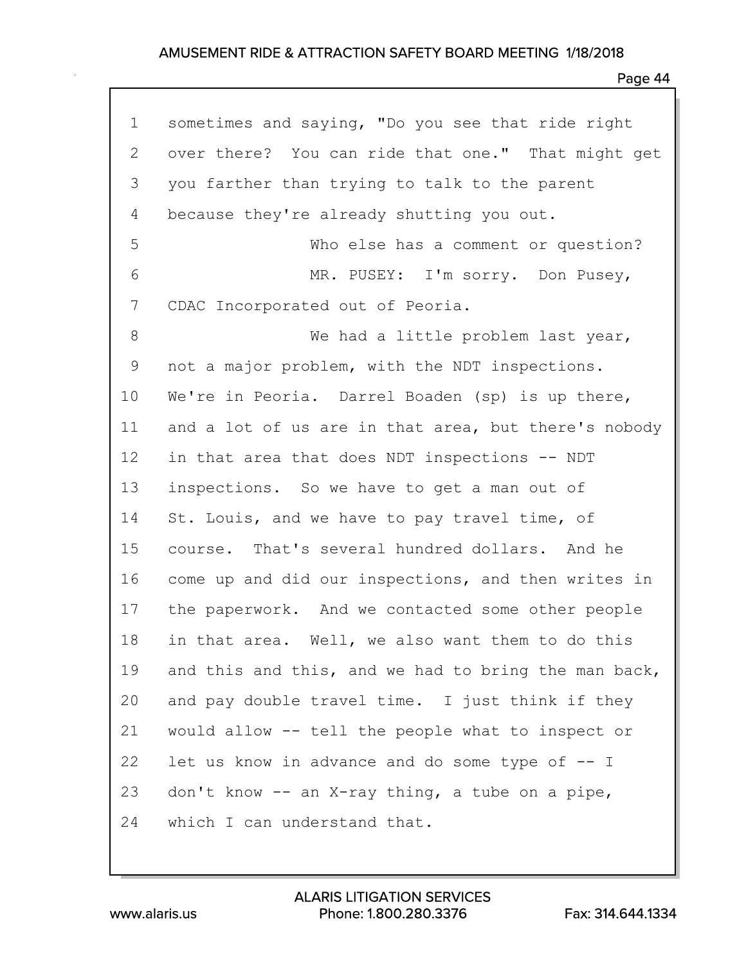| $\mathbf 1$ | sometimes and saying, "Do you see that ride right    |
|-------------|------------------------------------------------------|
| 2           | over there? You can ride that one." That might get   |
| 3           | you farther than trying to talk to the parent        |
| 4           | because they're already shutting you out.            |
| 5           | Who else has a comment or question?                  |
| 6           | MR. PUSEY: I'm sorry. Don Pusey,                     |
| 7           | CDAC Incorporated out of Peoria.                     |
| 8           | We had a little problem last year,                   |
| 9           | not a major problem, with the NDT inspections.       |
| 10          | We're in Peoria. Darrel Boaden (sp) is up there,     |
| 11          | and a lot of us are in that area, but there's nobody |
| 12          | in that area that does NDT inspections -- NDT        |
| 13          | inspections. So we have to get a man out of          |
| 14          | St. Louis, and we have to pay travel time, of        |
| 15          | course. That's several hundred dollars. And he       |
| 16          | come up and did our inspections, and then writes in  |
| 17          | the paperwork. And we contacted some other people    |
| 18          | in that area. Well, we also want them to do this     |
| 19          | and this and this, and we had to bring the man back, |
| 20          | and pay double travel time. I just think if they     |
| 21          | would allow -- tell the people what to inspect or    |
| 22          | let us know in advance and do some type of -- I      |
| 23          | don't know -- an X-ray thing, a tube on a pipe,      |
| 24          | which I can understand that.                         |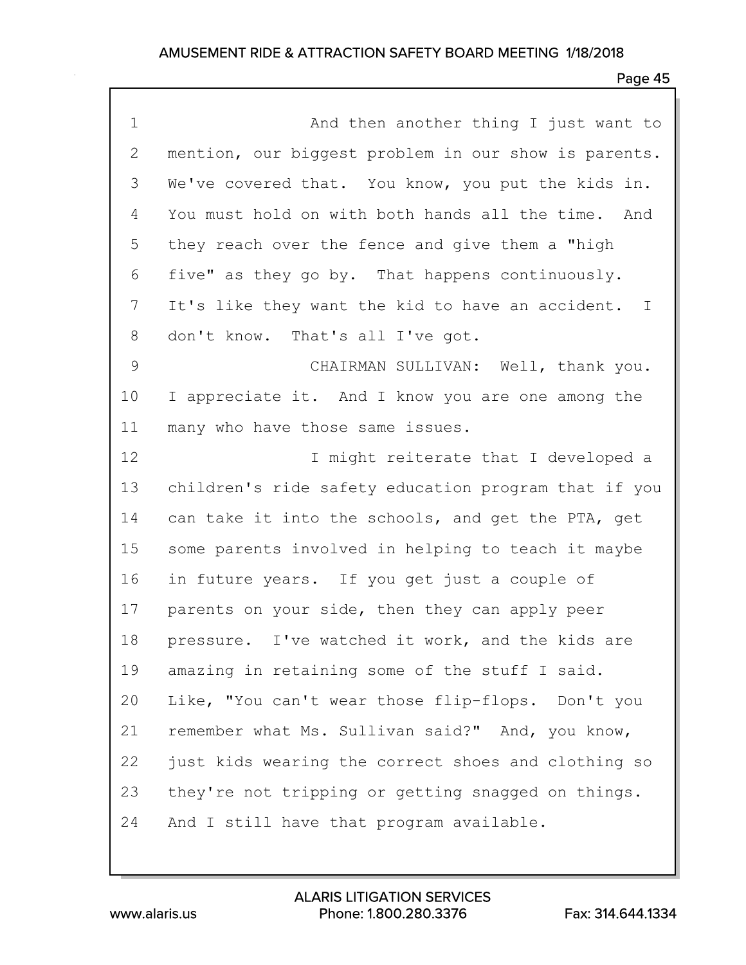| $\mathbf 1$ | And then another thing I just want to                |
|-------------|------------------------------------------------------|
| 2           | mention, our biggest problem in our show is parents. |
| 3           | We've covered that. You know, you put the kids in.   |
| 4           | You must hold on with both hands all the time. And   |
| 5           | they reach over the fence and give them a "high      |
| 6           | five" as they go by. That happens continuously.      |
| 7           | It's like they want the kid to have an accident. I   |
| 8           | don't know. That's all I've got.                     |
| 9           | CHAIRMAN SULLIVAN: Well, thank you.                  |
| 10          | I appreciate it. And I know you are one among the    |
| 11          | many who have those same issues.                     |
| 12          | I might reiterate that I developed a                 |
| 13          | children's ride safety education program that if you |
| 14          | can take it into the schools, and get the PTA, get   |
| 15          | some parents involved in helping to teach it maybe   |
| 16          | in future years. If you get just a couple of         |
| 17          | parents on your side, then they can apply peer       |
| 18          | pressure. I've watched it work, and the kids are     |
| 19          | amazing in retaining some of the stuff I said.       |
| 20          | Like, "You can't wear those flip-flops. Don't you    |
| 21          | remember what Ms. Sullivan said?" And, you know,     |
| 22          | just kids wearing the correct shoes and clothing so  |
| 23          | they're not tripping or getting snagged on things.   |
| 24          | And I still have that program available.             |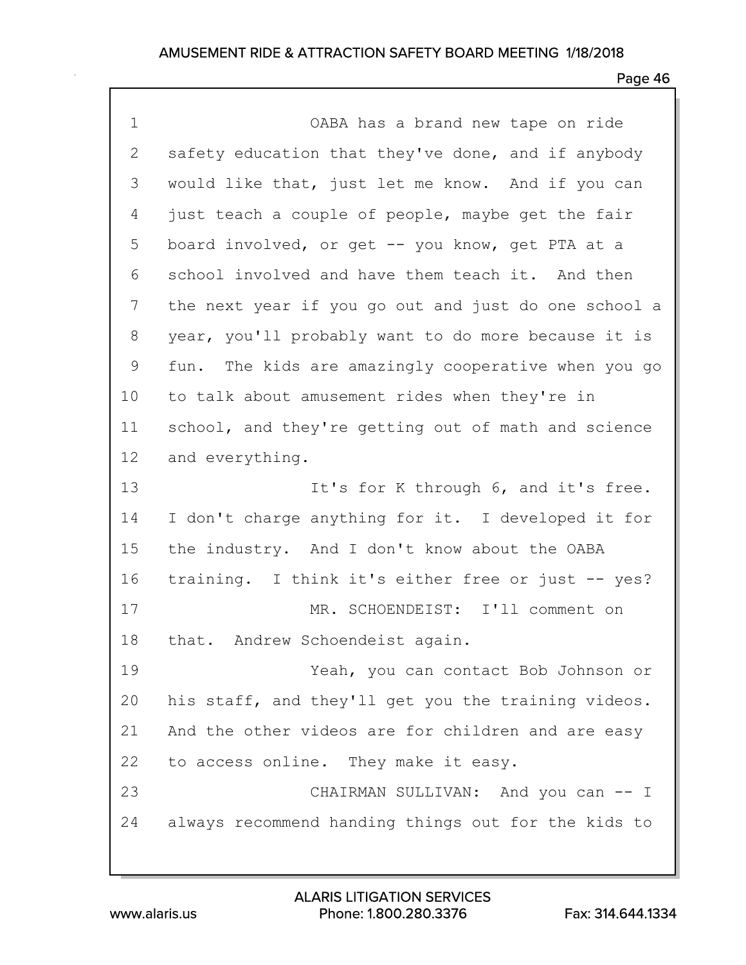| $\mathbf 1$ | OABA has a brand new tape on ride                      |
|-------------|--------------------------------------------------------|
| 2           | safety education that they've done, and if anybody     |
| 3           | would like that, just let me know. And if you can      |
| 4           | just teach a couple of people, maybe get the fair      |
| 5           | board involved, or get -- you know, get PTA at a       |
| 6           | school involved and have them teach it. And then       |
| 7           | the next year if you go out and just do one school a   |
| 8           | year, you'll probably want to do more because it is    |
| 9           | The kids are amazingly cooperative when you go<br>fun. |
| 10          | to talk about amusement rides when they're in          |
| 11          | school, and they're getting out of math and science    |
| 12          | and everything.                                        |
| 13          | It's for K through 6, and it's free.                   |
| 14          | I don't charge anything for it. I developed it for     |
| 15          | the industry. And I don't know about the OABA          |
| 16          | training. I think it's either free or just -- yes?     |
| 17          | MR. SCHOENDEIST: I'll comment on                       |
| 18          | that. Andrew Schoendeist again.                        |
| 19          | Yeah, you can contact Bob Johnson or                   |
| 20          | his staff, and they'll get you the training videos.    |
| 21          | And the other videos are for children and are easy     |
| 22          | to access online. They make it easy.                   |
| 23          | CHAIRMAN SULLIVAN: And you can -- I                    |
| 24          | always recommend handing things out for the kids to    |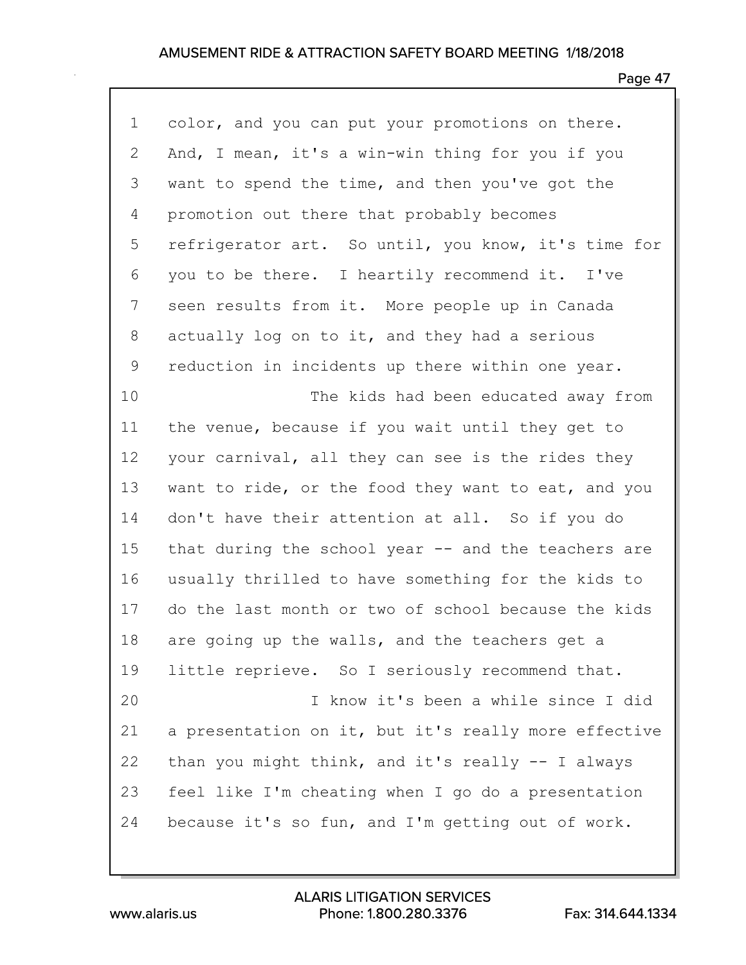| $\mathbf 1$  | color, and you can put your promotions on there.     |
|--------------|------------------------------------------------------|
| $\mathbf{2}$ | And, I mean, it's a win-win thing for you if you     |
| 3            | want to spend the time, and then you've got the      |
| 4            | promotion out there that probably becomes            |
| 5            | refrigerator art. So until, you know, it's time for  |
| 6            | you to be there. I heartily recommend it. I've       |
| 7            | seen results from it. More people up in Canada       |
| 8            | actually log on to it, and they had a serious        |
| 9            | reduction in incidents up there within one year.     |
| 10           | The kids had been educated away from                 |
| 11           | the venue, because if you wait until they get to     |
| 12           | your carnival, all they can see is the rides they    |
| 13           | want to ride, or the food they want to eat, and you  |
| 14           | don't have their attention at all. So if you do      |
| 15           | that during the school year -- and the teachers are  |
| 16           | usually thrilled to have something for the kids to   |
| 17           | do the last month or two of school because the kids  |
| 18           | are going up the walls, and the teachers get a       |
| 19           | little reprieve. So I seriously recommend that.      |
| 20           | I know it's been a while since I did                 |
| 21           | a presentation on it, but it's really more effective |
| 22           | than you might think, and it's really -- I always    |
| 23           | feel like I'm cheating when I go do a presentation   |
| 24           | because it's so fun, and I'm getting out of work.    |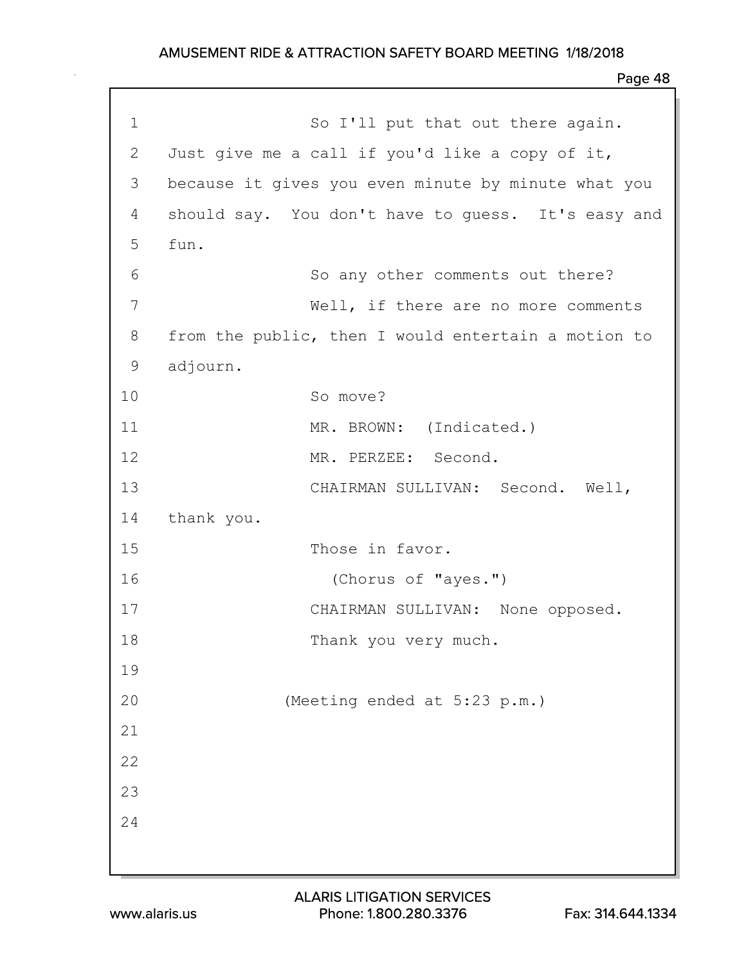| $\mathbf 1$  | So I'll put that out there again.                   |
|--------------|-----------------------------------------------------|
| $\mathbf{2}$ | Just give me a call if you'd like a copy of it,     |
| 3            | because it gives you even minute by minute what you |
| 4            | should say. You don't have to guess. It's easy and  |
| 5            | fun.                                                |
| 6            | So any other comments out there?                    |
| 7            | Well, if there are no more comments                 |
| 8            | from the public, then I would entertain a motion to |
| 9            | adjourn.                                            |
| 10           | So move?                                            |
| 11           | MR. BROWN: (Indicated.)                             |
| 12           | MR. PERZEE: Second.                                 |
| 13           | CHAIRMAN SULLIVAN: Second. Well,                    |
| 14           | thank you.                                          |
| 15           | Those in favor.                                     |
| 16           | (Chorus of "ayes.")                                 |
| 17           | CHAIRMAN SULLIVAN: None opposed.                    |
| 18           | Thank you very much.                                |
| 19           |                                                     |
| 20           | (Meeting ended at 5:23 p.m.)                        |
| 21           |                                                     |
| 22           |                                                     |
| 23           |                                                     |
| 24           |                                                     |
|              |                                                     |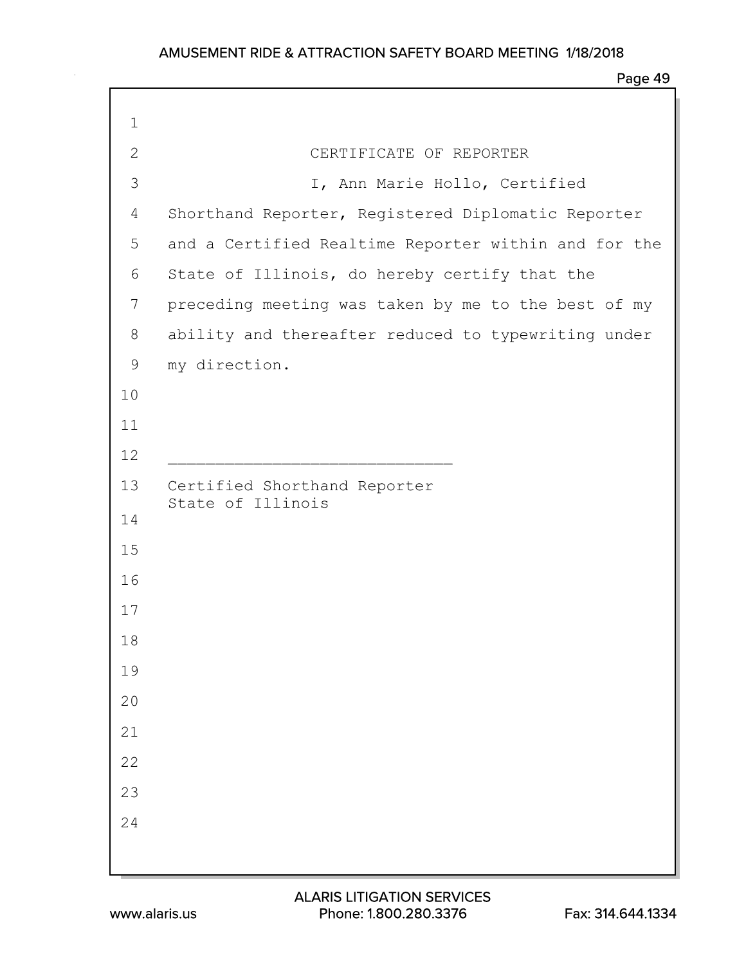| $\mathbf 1$  |                                                      |
|--------------|------------------------------------------------------|
| $\mathbf{2}$ | CERTIFICATE OF REPORTER                              |
| 3            | I, Ann Marie Hollo, Certified                        |
| 4            | Shorthand Reporter, Registered Diplomatic Reporter   |
| 5            | and a Certified Realtime Reporter within and for the |
| 6            | State of Illinois, do hereby certify that the        |
| 7            | preceding meeting was taken by me to the best of my  |
| 8            | ability and thereafter reduced to typewriting under  |
| 9            | my direction.                                        |
| 10           |                                                      |
| 11           |                                                      |
| 12           |                                                      |
| 13           | Certified Shorthand Reporter<br>State of Illinois    |
| 14           |                                                      |
| 15           |                                                      |
| 16           |                                                      |
| 17           |                                                      |
| 18           |                                                      |
| 19           |                                                      |
| $20$         |                                                      |
| 21           |                                                      |
| 22           |                                                      |
| 23           |                                                      |
| 24           |                                                      |
|              |                                                      |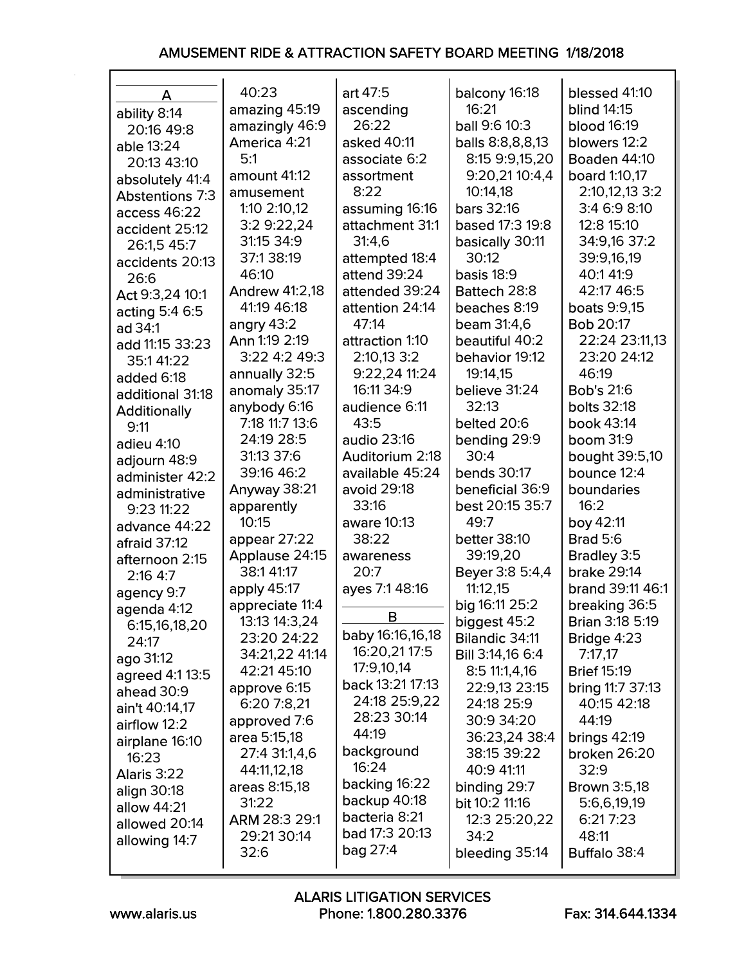| A                      | 40:23                 | art 47:5             | balcony 16:18           | blessed 41:10           |
|------------------------|-----------------------|----------------------|-------------------------|-------------------------|
| ability 8:14           | amazing 45:19         | ascending            | 16:21                   | <b>blind 14:15</b>      |
| 20:16 49:8             | amazingly 46:9        | 26:22                | <b>ball 9:6 10:3</b>    | <b>blood 16:19</b>      |
|                        | America 4:21          | asked 40:11          | balls 8:8,8,8,13        | blowers 12:2            |
| able 13:24             | 5:1                   | associate 6:2        | 8:15 9:9,15,20          | Boaden 44:10            |
| 20:13 43:10            | amount 41:12          | assortment           | 9:20,21 10:4,4          | <b>board</b> 1:10,17    |
| absolutely 41:4        | amusement             | 8:22                 | 10:14,18                | 2:10,12,13 3:2          |
| <b>Abstentions 7:3</b> | 1:10 2:10,12          | assuming 16:16       | <b>bars</b> 32:16       | 3:4 6:9 8:10            |
| access 46:22           |                       |                      | based 17:3 19:8         | 12:8 15:10              |
| accident 25:12         | 3:2 9:22,24           | attachment 31:1      |                         |                         |
| 26:1,5 45:7            | 31:15 34:9            | 31:4,6               | basically 30:11         | 34:9,16 37:2            |
| accidents 20:13        | 37:138:19             | attempted 18:4       | 30:12                   | 39:9,16,19              |
| 26:6                   | 46:10                 | attend 39:24         | <b>basis 18:9</b>       | 40:141:9                |
| Act 9:3,24 10:1        | <b>Andrew 41:2,18</b> | attended 39:24       | Battech 28:8            | 42:17 46:5              |
| acting 5:4 6:5         | 41:19 46:18           | attention 24:14      | beaches 8:19            | <b>boats 9:9,15</b>     |
| ad 34:1                | angry $43:2$          | 47:14                | <b>beam</b> 31:4,6      | <b>Bob 20:17</b>        |
| add 11:15 33:23        | Ann 1:19 2:19         | attraction 1:10      | beautiful 40:2          | 22:24 23:11,13          |
| 35:141:22              | 3:22 4:2 49:3         | 2:10,13 3:2          | behavior 19:12          | 23:20 24:12             |
| added 6:18             | annually 32:5         | 9:22,24 11:24        | 19:14,15                | 46:19                   |
| additional 31:18       | anomaly 35:17         | 16:11 34:9           | believe 31:24           | <b>Bob's 21:6</b>       |
| <b>Additionally</b>    | anybody 6:16          | audience 6:11        | 32:13                   | <b>bolts</b> 32:18      |
| 9:11                   | 7:18 11:7 13:6        | 43:5                 | belted 20:6             | book 43:14              |
| adieu 4:10             | 24:19 28:5            | audio 23:16          | bending 29:9            | <b>boom</b> 31:9        |
| adjourn 48:9           | 31:13 37:6            | Auditorium 2:18      | 30:4                    | <b>bought</b> 39:5,10   |
| administer 42:2        | 39:16 46:2            | available 45:24      | <b>bends</b> 30:17      | bounce 12:4             |
| administrative         | Anyway 38:21          | avoid 29:18          | beneficial 36:9         | boundaries              |
| 9:23 11:22             | apparently            | 33:16                | best 20:15 35:7         | 16:2                    |
| advance 44:22          | 10:15                 | aware 10:13          | 49:7                    | boy 42:11               |
| afraid 37:12           | appear 27:22          | 38:22                | <b>better 38:10</b>     | <b>Brad 5:6</b>         |
| afternoon 2:15         | Applause 24:15        | awareness            | 39:19,20                | Bradley 3:5             |
| 2:164:7                | 38:1 41:17            | 20:7                 | <b>Beyer</b> 3:8 5:4,4  | <b>brake 29:14</b>      |
| agency 9:7             | apply 45:17           | ayes 7:1 48:16       | 11:12,15                | brand 39:11 46:1        |
| agenda 4:12            | appreciate 11:4       |                      | big 16:11 25:2          | breaking 36:5           |
| 6:15,16,18,20          | 13:13 14:3,24         | B                    | biggest 45:2            | <b>Brian 3:18 5:19</b>  |
| 24:17                  | 23:20 24:22           | baby 16:16,16,18     | Bilandic 34:11          | <b>Bridge 4:23</b>      |
| ago 31:12              | 34:21,22 41:14        | 16:20,21 17:5        | <b>Bill</b> 3:14,16 6:4 | 7:17,17                 |
| agreed 4:1 13:5        | 42:21 45:10           | 17:9,10,14           | 8:511:1,4,16            | <b>Brief 15:19</b>      |
| ahead 30:9             | approve 6:15          | back 13:21 17:13     | 22:9,13 23:15           | <b>bring 11:7 37:13</b> |
| ain't 40:14,17         | 6:20 7:8,21           | 24:18 25:9,22        | 24:18 25:9              | 40:15 42:18             |
| airflow 12:2           | approved 7:6          | 28:23 30:14          | 30:9 34:20              | 44:19                   |
| airplane 16:10         | area 5:15,18          | 44:19                | 36:23,24 38:4           | brings $42:19$          |
| 16:23                  | 27:4 31:1,4,6         | background           | 38:15 39:22             | broken 26:20            |
| Alaris 3:22            | 44:11,12,18           | 16:24                | 40:9 41:11              | 32:9                    |
| align 30:18            | areas 8:15,18         | backing 16:22        | binding 29:7            | <b>Brown</b> 3:5,18     |
| allow 44:21            | 31:22                 | <b>backup</b> 40:18  | <b>bit 10:2 11:16</b>   | 5:6,6,19,19             |
| allowed 20:14          | ARM 28:3 29:1         | <b>bacteria</b> 8:21 | 12:3 25:20,22           | 6:217:23                |
| allowing 14:7          | 29:21 30:14           | bad 17:3 20:13       | 34:2                    | 48:11                   |
|                        | 32:6                  | bag 27:4             | bleeding 35:14          | <b>Buffalo</b> 38:4     |
|                        |                       |                      |                         |                         |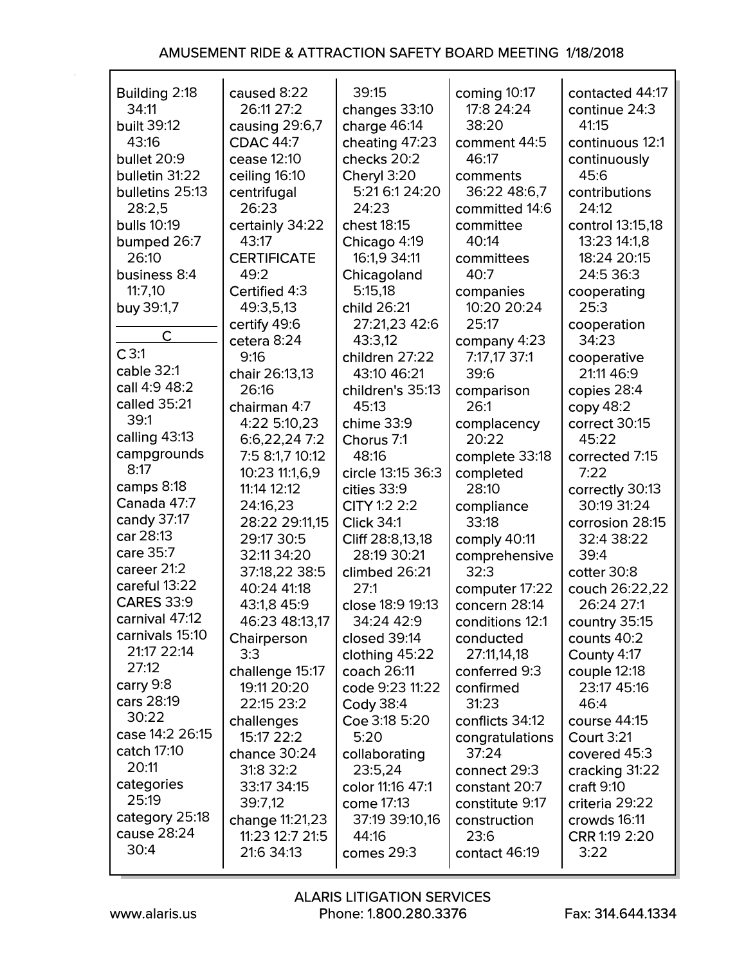| Building 2:18      | caused 8:22        | 39:15             | coming 10:17    | contacted 44:17   |
|--------------------|--------------------|-------------------|-----------------|-------------------|
| 34:11              | 26:11 27:2         | changes 33:10     | 17:8 24:24      | continue 24:3     |
| built 39:12        | causing 29:6,7     | charge 46:14      | 38:20           | 41:15             |
| 43:16              | <b>CDAC 44:7</b>   | cheating 47:23    | comment 44:5    | continuous 12:1   |
| bullet 20:9        | cease 12:10        | checks 20:2       | 46:17           |                   |
|                    |                    |                   |                 | continuously      |
| bulletin 31:22     | ceiling 16:10      | Cheryl 3:20       | comments        | 45:6              |
| bulletins 25:13    | centrifugal        | 5:21 6:1 24:20    | 36:22 48:6,7    | contributions     |
| 28:2,5             | 26:23              | 24:23             | committed 14:6  | 24:12             |
| <b>bulls 10:19</b> | certainly 34:22    | chest 18:15       | committee       | control 13:15,18  |
| bumped 26:7        | 43:17              | Chicago 4:19      | 40:14           | 13:23 14:1,8      |
| 26:10              | <b>CERTIFICATE</b> | 16:1,9 34:11      | committees      | 18:24 20:15       |
| business 8:4       | 49:2               | Chicagoland       | 40:7            | 24:5 36:3         |
|                    |                    |                   |                 |                   |
| 11:7,10            | Certified 4:3      | 5:15,18           | companies       | cooperating       |
| buy 39:1,7         | 49:3,5,13          | child 26:21       | 10:20 20:24     | 25:3              |
|                    | certify 49:6       | 27:21,23 42:6     | 25:17           | cooperation       |
| C                  | cetera 8:24        | 43:3,12           | company 4:23    | 34:23             |
| C3:1               | 9:16               | children 27:22    | 7:17,17 37:1    | cooperative       |
| cable 32:1         | chair 26:13,13     | 43:10 46:21       | 39:6            | 21:11 46:9        |
| call 4:9 48:2      | 26:16              | children's 35:13  | comparison      | copies 28:4       |
| called 35:21       | chairman 4:7       | 45:13             | 26:1            | copy 48:2         |
| 39:1               |                    |                   |                 |                   |
| calling 43:13      | 4:22 5:10,23       | chime 33:9        | complacency     | correct 30:15     |
|                    | 6:6,22,247:2       | Chorus 7:1        | 20:22           | 45:22             |
| campgrounds        | 7:5 8:1,7 10:12    | 48:16             | complete 33:18  | corrected 7:15    |
| 8:17               | 10:23 11:1,6,9     | circle 13:15 36:3 | completed       | 7:22              |
| camps 8:18         | 11:14 12:12        | cities 33:9       | 28:10           | correctly 30:13   |
| Canada 47:7        | 24:16,23           | CITY 1:2 2:2      | compliance      | 30:19 31:24       |
| candy 37:17        | 28:22 29:11,15     | <b>Click 34:1</b> | 33:18           | corrosion 28:15   |
| car 28:13          | 29:17 30:5         | Cliff 28:8,13,18  | comply 40:11    | 32:4 38:22        |
| care 35:7          | 32:11 34:20        | 28:19 30:21       | comprehensive   | 39:4              |
| career 21:2        | 37:18,22 38:5      | climbed 26:21     | 32:3            | cotter 30:8       |
| careful 13:22      |                    | 27:1              |                 |                   |
| <b>CARES 33:9</b>  | 40:24 41:18        |                   | computer 17:22  | couch 26:22,22    |
|                    | 43:1,8 45:9        | close 18:9 19:13  | concern 28:14   | 26:24 27:1        |
| carnival 47:12     | 46:23 48:13,17     | 34:24 42:9        | conditions 12:1 | country 35:15     |
| carnivals 15:10    | Chairperson        | closed 39:14      | conducted       | counts 40:2       |
| 21:17 22:14        | 3:3                | clothing 45:22    | 27:11,14,18     | County 4:17       |
| 27:12              | challenge 15:17    | coach 26:11       | conferred 9:3   | couple 12:18      |
| carry 9:8          | 19:11 20:20        | code 9:23 11:22   | confirmed       | 23:17 45:16       |
| cars 28:19         | 22:15 23:2         | Cody 38:4         | 31:23           | 46:4              |
| 30:22              |                    | Coe 3:18 5:20     | conflicts 34:12 |                   |
| case 14:2 26:15    | challenges         |                   |                 | course 44:15      |
|                    | 15:17 22:2         | 5:20              | congratulations | <b>Court 3:21</b> |
| catch 17:10        | chance 30:24       | collaborating     | 37:24           | covered 45:3      |
| 20:11              | 31:8 32:2          | 23:5,24           | connect 29:3    | cracking 31:22    |
| categories         | 33:17 34:15        | color 11:16 47:1  | constant 20:7   | craft 9:10        |
| 25:19              | 39:7,12            | come 17:13        | constitute 9:17 | criteria 29:22    |
| category 25:18     | change 11:21,23    | 37:19 39:10,16    | construction    | crowds 16:11      |
| cause 28:24        | 11:23 12:7 21:5    | 44:16             | 23:6            | CRR 1:19 2:20     |
| 30:4               | 21:6 34:13         | comes 29:3        | contact 46:19   | 3:22              |
|                    |                    |                   |                 |                   |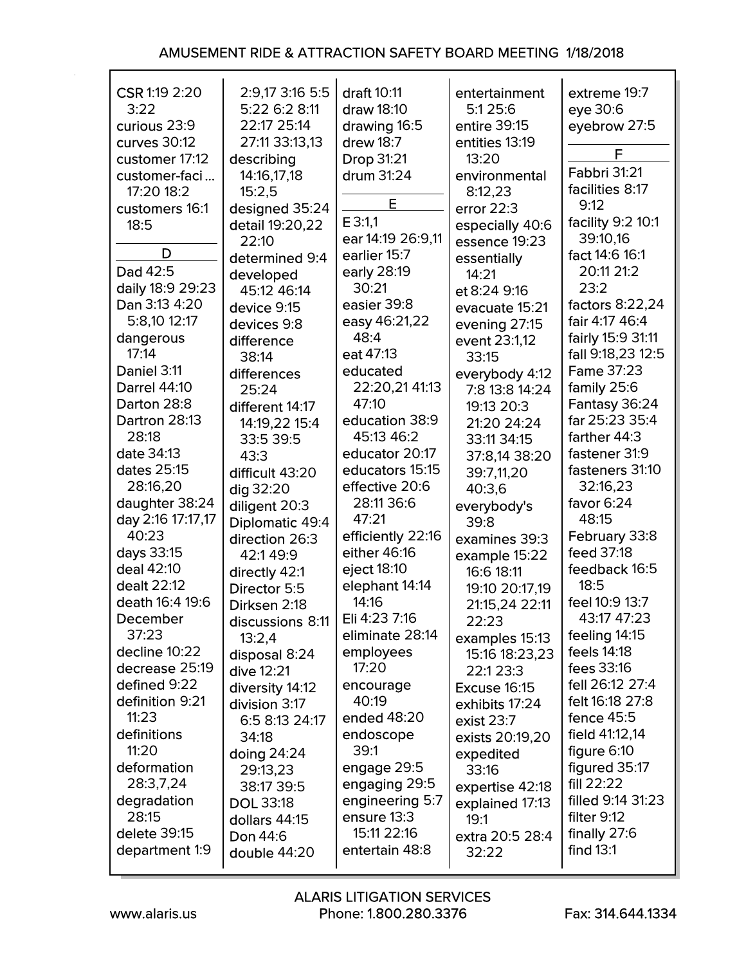| CSR 1:19 2:20<br>3:22<br>curious 23:9 | 2:9,17 3:16 5:5<br>5:22 6:2 8:11<br>22:17 25:14 | draft 10:11<br>draw 18:10<br>drawing 16:5 | entertainment<br>5:1 25:6<br>entire 39:15 | extreme 19:7<br>eye 30:6<br>eyebrow 27:5 |
|---------------------------------------|-------------------------------------------------|-------------------------------------------|-------------------------------------------|------------------------------------------|
| curves 30:12                          | 27:11 33:13,13                                  | drew 18:7                                 | entities 13:19                            | F                                        |
| customer 17:12                        | describing                                      | <b>Drop 31:21</b>                         | 13:20                                     | <b>Fabbri 31:21</b>                      |
| customer-faci                         | 14:16,17,18                                     | drum 31:24                                | environmental                             | facilities 8:17                          |
| 17:20 18:2                            | 15:2,5                                          | E                                         | 8:12,23                                   | 9:12                                     |
| customers 16:1                        | designed 35:24                                  | E 3:1,1                                   | error $22:3$                              | facility 9:2 10:1                        |
| 18:5                                  | detail 19:20,22                                 | ear 14:19 26:9,11                         | especially 40:6                           | 39:10,16                                 |
| D                                     | 22:10                                           | earlier 15:7                              | essence 19:23                             | fact 14:6 16:1                           |
| Dad 42:5                              | determined 9:4                                  | early 28:19                               | essentially                               | 20:11 21:2                               |
| daily 18:9 29:23                      | developed                                       | 30:21                                     | 14:21                                     | 23:2                                     |
| Dan 3:13 4:20                         | 45:12 46:14                                     | easier 39:8                               | et 8:24 9:16                              | factors 8:22,24                          |
| 5:8,10 12:17                          | device 9:15                                     | easy 46:21,22                             | evacuate 15:21                            | fair 4:17 46:4                           |
| dangerous                             | devices 9:8                                     | 48:4                                      | evening 27:15                             | fairly 15:9 31:11                        |
| 17:14                                 | difference                                      | eat 47:13                                 | event 23:1,12                             | fall 9:18,23 12:5                        |
| Daniel 3:11                           | 38:14                                           | educated                                  | 33:15                                     | <b>Fame 37:23</b>                        |
| <b>Darrel 44:10</b>                   | differences                                     | 22:20,21 41:13                            | everybody 4:12<br>7:8 13:8 14:24          | family 25:6                              |
| Darton 28:8                           | 25:24                                           | 47:10                                     |                                           | Fantasy 36:24                            |
| Dartron 28:13                         | different 14:17                                 | education 38:9                            | 19:13 20:3                                | far 25:23 35:4                           |
| 28:18                                 | 14:19,22 15:4                                   | 45:13 46:2                                | 21:20 24:24                               | farther 44:3                             |
| date 34:13                            | 33:5 39:5<br>43:3                               | educator 20:17                            | 33:11 34:15                               | fastener 31:9                            |
| dates 25:15                           | difficult 43:20                                 | educators 15:15                           | 37:8,14 38:20<br>39:7,11,20               | fasteners 31:10                          |
| 28:16,20                              | dig 32:20                                       | effective 20:6                            | 40:3,6                                    | 32:16,23                                 |
| daughter 38:24                        | diligent 20:3                                   | 28:11 36:6                                |                                           | favor $6:24$                             |
| day 2:16 17:17,17                     | Diplomatic 49:4                                 | 47:21                                     | everybody's<br>39:8                       | 48:15                                    |
| 40:23                                 | direction 26:3                                  | efficiently 22:16                         | examines 39:3                             | February 33:8                            |
| days 33:15                            | 42:149:9                                        | either 46:16                              | example 15:22                             | feed 37:18                               |
| deal 42:10                            | directly 42:1                                   | eject 18:10                               | 16:6 18:11                                | feedback 16:5                            |
| dealt 22:12                           | Director 5:5                                    | elephant 14:14                            | 19:10 20:17,19                            | 18:5                                     |
| death 16:4 19:6                       | Dirksen 2:18                                    | 14:16                                     | 21:15,24 22:11                            | feel 10:9 13:7                           |
| December                              | discussions 8:11                                | Eli 4:23 7:16                             | 22:23                                     | 43:17 47:23                              |
| 37:23                                 | 13:2,4                                          | eliminate 28:14                           | examples 15:13                            | feeling 14:15                            |
| decline 10:22                         | disposal 8:24                                   | employees                                 | 15:16 18:23,23                            | feels 14:18                              |
| decrease 25:19                        | dive 12:21                                      | 17:20                                     | 22:123:3                                  | fees 33:16                               |
| defined 9:22                          | diversity 14:12                                 | encourage                                 | <b>Excuse 16:15</b>                       | fell 26:12 27:4                          |
| definition 9:21                       | division 3:17                                   | 40:19                                     | exhibits 17:24                            | felt 16:18 27:8                          |
| 11:23                                 | 6:5 8:13 24:17                                  | ended 48:20                               | exist 23:7                                | fence $45:5$                             |
| definitions                           | 34:18                                           | endoscope                                 | exists 20:19,20                           | field 41:12,14                           |
| 11:20                                 | doing $24:24$                                   | 39:1                                      | expedited                                 | figure 6:10                              |
| deformation                           | 29:13,23                                        | engage 29:5                               | 33:16                                     | figured 35:17                            |
| 28:3,7,24                             | 38:17 39:5                                      | engaging 29:5                             | expertise 42:18                           | fill $22:22$                             |
| degradation                           | <b>DOL 33:18</b>                                | engineering 5:7                           | explained 17:13                           | filled 9:14 31:23                        |
| 28:15                                 | dollars 44:15                                   | ensure 13:3                               | 19:1                                      | filter 9:12                              |
| delete 39:15                          | <b>Don 44:6</b>                                 | 15:11 22:16                               | extra 20:5 28:4                           | finally 27:6                             |
| department 1:9                        | double 44:20                                    | entertain 48:8                            | 32:22                                     | find $13:1$                              |
|                                       |                                                 |                                           |                                           |                                          |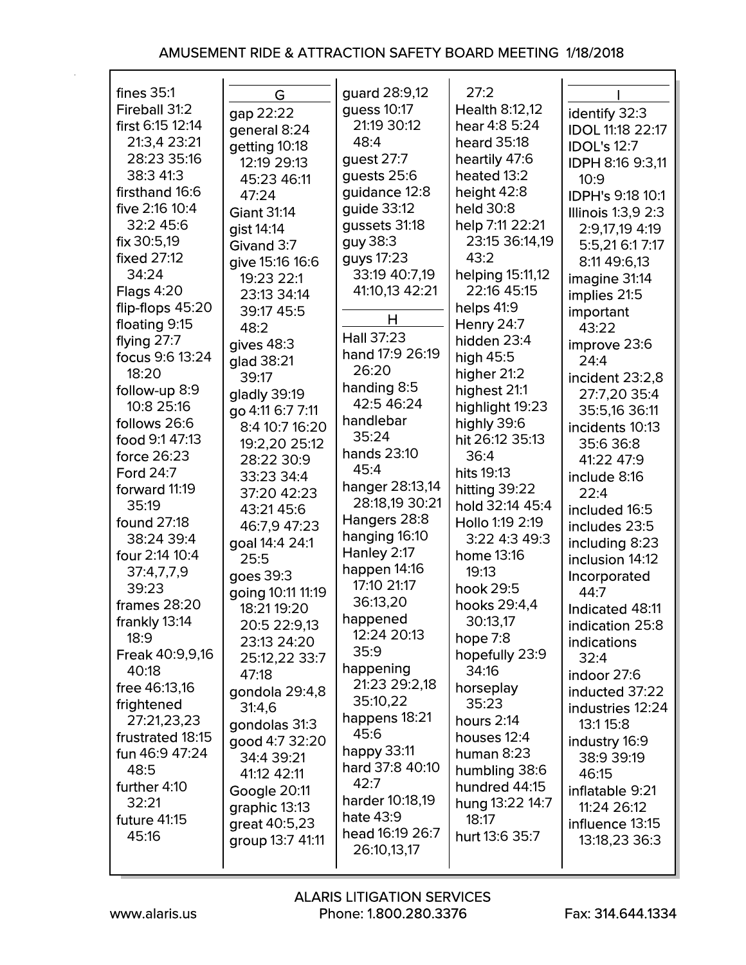| fines $35:1$           | G                  | guard 28:9,12      | 27:2             |                           |
|------------------------|--------------------|--------------------|------------------|---------------------------|
| Fireball 31:2          | gap 22:22          | guess 10:17        | Health 8:12,12   | identify 32:3             |
| first 6:15 12:14       | general 8:24       | 21:19 30:12        | hear 4:8 5:24    | <b>IDOL 11:18 22:17</b>   |
| 21:3,4 23:21           | getting 10:18      | 48:4               | heard 35:18      | <b>IDOL's 12:7</b>        |
| 28:23 35:16            | 12:19 29:13        | guest 27:7         | heartily 47:6    | <b>IDPH 8:16 9:3,11</b>   |
| 38:3 41:3              | 45:23 46:11        | guests 25:6        | heated 13:2      | 10:9                      |
| firsthand 16:6         | 47:24              | guidance 12:8      | height 42:8      | <b>IDPH's 9:18 10:1</b>   |
| five 2:16 10:4         | <b>Giant 31:14</b> | quide 33:12        | held 30:8        | <b>Illinois 1:3,9 2:3</b> |
| 32:2 45:6              | gist 14:14         | gussets 31:18      | help 7:11 22:21  | 2:9,17,19 4:19            |
| fix 30:5,19            | Givand 3:7         | guy 38:3           | 23:15 36:14,19   | 5:5,21 6:1 7:17           |
| <b>fixed 27:12</b>     |                    | guys 17:23         | 43:2             |                           |
| 34:24                  | give 15:16 16:6    | 33:19 40:7,19      | helping 15:11,12 | 8:11 49:6,13              |
| Flags $4:20$           | 19:23 22:1         | 41:10,13 42:21     | 22:16 45:15      | imagine 31:14             |
| flip-flops $45:20$     | 23:13 34:14        |                    |                  | implies 21:5              |
|                        | 39:17 45:5         | н                  | helps $41:9$     | important                 |
| floating 9:15          | 48:2               | Hall 37:23         | Henry $24:7$     | 43:22                     |
| flying $27:7$          | gives $48:3$       | hand 17:9 26:19    | hidden 23:4      | improve 23:6              |
| focus 9:6 13:24        | glad 38:21         | 26:20              | high $45:5$      | 24:4                      |
| 18:20                  | 39:17              | handing 8:5        | higher 21:2      | incident 23:2,8           |
| follow-up 8:9          | gladly 39:19       | 42:5 46:24         | highest 21:1     | 27:7,20 35:4              |
| 10:8 25:16             | go 4:11 6:7 7:11   |                    | highlight 19:23  | 35:5,16 36:11             |
| follows 26:6           | 8:4 10:7 16:20     | handlebar          | highly 39:6      | incidents 10:13           |
| food 9:1 47:13         | 19:2,20 25:12      | 35:24              | hit 26:12 35:13  | 35:6 36:8                 |
| force 26:23            | 28:22 30:9         | <b>hands</b> 23:10 | 36:4             | 41:22 47:9                |
| <b>Ford 24:7</b>       | 33:23 34:4         | 45:4               | hits 19:13       | include 8:16              |
| forward 11:19          | 37:20 42:23        | hanger 28:13,14    | hitting 39:22    | 22:4                      |
| 35:19                  | 43:21 45:6         | 28:18,19 30:21     | hold 32:14 45:4  | included 16:5             |
| <b>found 27:18</b>     | 46:7,9 47:23       | Hangers 28:8       | Hollo 1:19 2:19  | includes 23:5             |
| 38:24 39:4             | goal 14:4 24:1     | hanging 16:10      | 3:22 4:3 49:3    | including 8:23            |
| four 2:14 10:4         | 25:5               | Hanley 2:17        | home 13:16       | inclusion 14:12           |
| 37:4,7,7,9             | goes 39:3          | happen 14:16       | 19:13            | Incorporated              |
| 39:23                  | going 10:11 11:19  | 17:10 21:17        | hook 29:5        | 44:7                      |
| frames $28:20$         | 18:21 19:20        | 36:13,20           | hooks 29:4,4     | Indicated 48:11           |
| frankly 13:14          | 20:5 22:9,13       | happened           | 30:13,17         | indication 25:8           |
| 18:9                   | 23:13 24:20        | 12:24 20:13        | hope 7:8         | indications               |
| <b>Freak 40:9,9,16</b> | 25:12,22 33:7      | 35:9               | hopefully 23:9   | 32:4                      |
| 40:18                  | 47:18              | happening          | 34:16            | indoor 27:6               |
| free 46:13,16          | gondola 29:4,8     | 21:23 29:2,18      | horseplay        | inducted 37:22            |
| frightened             | 31:4,6             | 35:10,22           | 35:23            | industries 12:24          |
| 27:21,23,23            | gondolas 31:3      | happens 18:21      | hours 2:14       | 13:1 15:8                 |
| frustrated 18:15       | good 4:7 32:20     | 45:6               | houses 12:4      | industry 16:9             |
| fun 46:9 47:24         | 34:4 39:21         | happy 33:11        | human $8:23$     | 38:9 39:19                |
| 48:5                   | 41:12 42:11        | hard 37:8 40:10    | humbling 38:6    | 46:15                     |
| further 4:10           |                    | 42:7               | hundred 44:15    |                           |
| 32:21                  | Google 20:11       | harder 10:18,19    | hung 13:22 14:7  | inflatable 9:21           |
| future 41:15           | graphic 13:13      | hate 43:9          | 18:17            | 11:24 26:12               |
| 45:16                  | great 40:5,23      | head 16:19 26:7    | hurt 13:6 35:7   | influence 13:15           |
|                        | group 13:7 41:11   | 26:10,13,17        |                  | 13:18,23 36:3             |
|                        |                    |                    |                  |                           |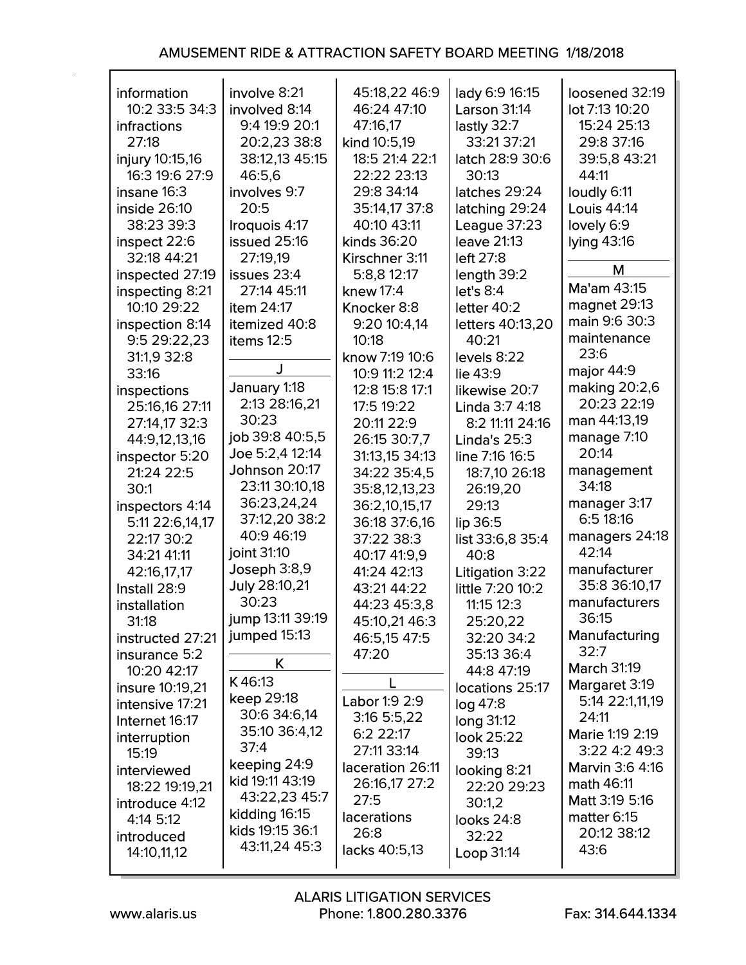| information<br>10:2 33:5 34:3<br>infractions<br>27:18<br>injury 10:15,16<br>16:3 19:6 27:9<br>insane 16:3<br>inside 26:10<br>38:23 39:3<br>inspect 22:6<br>32:18 44:21<br>inspected 27:19<br>inspecting 8:21<br>10:10 29:22<br>inspection 8:14<br>9:5 29:22,23<br>31:1,9 32:8    | involve 8:21<br>involved 8:14<br>9:4 19:9 20:1<br>20:2,23 38:8<br>38:12,13 45:15<br>46:5,6<br>involves 9:7<br>20:5<br>Iroquois 4:17<br>issued 25:16<br>27:19,19<br>issues 23:4<br>27:14 45:11<br>item 24:17<br>itemized 40:8<br>items 12:5                 | 45:18,22 46:9<br>46:24 47:10<br>47:16,17<br>kind 10:5,19<br>18:5 21:4 22:1<br>22:22 23:13<br>29:8 34:14<br>35:14,17 37:8<br>40:10 43:11<br>kinds 36:20<br>Kirschner 3:11<br>5:8,8 12:17<br>knew $17:4$<br>Knocker 8:8<br>9:20 10:4,14<br>10:18<br>know 7:19 10:6                        | lady 6:9 16:15<br>Larson 31:14<br>lastly 32:7<br>33:21 37:21<br>latch 28:9 30:6<br>30:13<br>latches 29:24<br>latching 29:24<br>League 37:23<br><b>leave 21:13</b><br>left 27:8<br>length 39:2<br>let's 8:4<br>letter $40:2$<br>letters 40:13,20<br>40:21<br>levels 8:22     | loosened 32:19<br>lot 7:13 10:20<br>15:24 25:13<br>29:8 37:16<br>39:5,8 43:21<br>44:11<br>loudly 6:11<br>Louis 44:14<br>lovely 6:9<br>lying 43:16<br>M<br>Ma'am 43:15<br>magnet 29:13<br>main 9:6 30:3<br>maintenance<br>23:6                        |
|----------------------------------------------------------------------------------------------------------------------------------------------------------------------------------------------------------------------------------------------------------------------------------|------------------------------------------------------------------------------------------------------------------------------------------------------------------------------------------------------------------------------------------------------------|-----------------------------------------------------------------------------------------------------------------------------------------------------------------------------------------------------------------------------------------------------------------------------------------|-----------------------------------------------------------------------------------------------------------------------------------------------------------------------------------------------------------------------------------------------------------------------------|------------------------------------------------------------------------------------------------------------------------------------------------------------------------------------------------------------------------------------------------------|
| 33:16<br>inspections<br>25:16,16 27:11<br>27:14,17 32:3<br>44:9,12,13,16<br>inspector 5:20<br>21:24 22:5<br>30:1<br>inspectors 4:14<br>5:11 22:6,14,17<br>22:17 30:2<br>34:21 41:11<br>42:16,17,17<br>Install 28:9<br>installation<br>31:18<br>instructed 27:21<br>insurance 5:2 | January 1:18<br>2:13 28:16,21<br>30:23<br>job 39:8 40:5,5<br>Joe 5:2,4 12:14<br>Johnson 20:17<br>23:11 30:10,18<br>36:23,24,24<br>37:12,20 38:2<br>40:9 46:19<br>joint 31:10<br>Joseph 3:8,9<br>July 28:10,21<br>30:23<br>jump 13:11 39:19<br>jumped 15:13 | 10:9 11:2 12:4<br>12:8 15:8 17:1<br>17:5 19:22<br>20:11 22:9<br>26:15 30:7,7<br>31:13,15 34:13<br>34:22 35:4,5<br>35:8,12,13,23<br>36:2,10,15,17<br>36:18 37:6,16<br>37:22 38:3<br>40:17 41:9,9<br>41:24 42:13<br>43:21 44:22<br>44:23 45:3,8<br>45:10,21 46:3<br>46:5,15 47:5<br>47:20 | lie 43:9<br>likewise 20:7<br>Linda 3:7 4:18<br>8:2 11:11 24:16<br>Linda's 25:3<br>line 7:16 16:5<br>18:7,10 26:18<br>26:19,20<br>29:13<br>lip 36:5<br>list 33:6,8 35:4<br>40:8<br>Litigation 3:22<br>little 7:20 10:2<br>11:15 12:3<br>25:20,22<br>32:20 34:2<br>35:13 36:4 | major 44:9<br>making 20:2,6<br>20:23 22:19<br>man 44:13,19<br>manage 7:10<br>20:14<br>management<br>34:18<br>manager 3:17<br>6:518:16<br>managers 24:18<br>42:14<br>manufacturer<br>35:8 36:10,17<br>manufacturers<br>36:15<br>Manufacturing<br>32:7 |
| 10:20 42:17<br>insure 10:19,21<br>intensive 17:21<br>Internet 16:17<br>interruption<br>15:19<br>interviewed<br>18:22 19:19,21<br>introduce 4:12<br>4:14 5:12<br>introduced<br>14:10,11,12                                                                                        | K.<br>K46:13<br>keep 29:18<br>30:6 34:6,14<br>35:10 36:4,12<br>37:4<br>keeping 24:9<br>kid 19:11 43:19<br>43:22,23 45:7<br>kidding 16:15<br>kids 19:15 36:1<br>43:11,24 45:3                                                                               | L<br>Labor 1:9 2:9<br>3:16 5:5,22<br>6:2 22:17<br>27:11 33:14<br>laceration 26:11<br>26:16,17 27:2<br>27:5<br><b>lacerations</b><br>26:8<br>lacks 40:5,13                                                                                                                               | 44:8 47:19<br>locations 25:17<br>log 47:8<br>long 31:12<br>look 25:22<br>39:13<br>looking 8:21<br>22:20 29:23<br>30:1,2<br>looks 24:8<br>32:22<br>Loop 31:14                                                                                                                | <b>March 31:19</b><br>Margaret 3:19<br>5:14 22:1,11,19<br>24:11<br>Marie 1:19 2:19<br>3:22 4:2 49:3<br>Marvin 3:6 4:16<br>math 46:11<br>Matt 3:19 5:16<br>matter 6:15<br>20:12 38:12<br>43:6                                                         |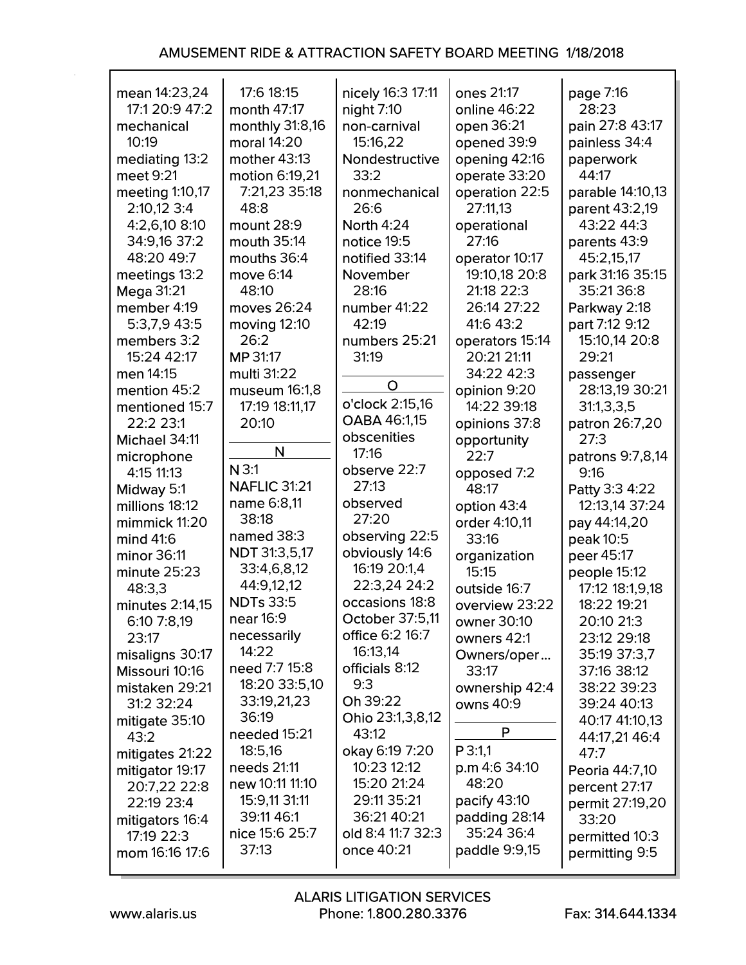| mean 14:23,24     | 17:6 18:15              | nicely 16:3 17:11      | ones 21:17           | page 7:16              |
|-------------------|-------------------------|------------------------|----------------------|------------------------|
| 17:1 20:9 47:2    | month 47:17             | night $7:10$           | online 46:22         | 28:23                  |
| mechanical        | monthly 31:8,16         | non-carnival           | open 36:21           | pain 27:8 43:17        |
| 10:19             | moral 14:20             | 15:16,22               | opened 39:9          | painless 34:4          |
| mediating 13:2    | mother 43:13            | Nondestructive         | opening 42:16        | paperwork              |
| meet 9:21         | motion 6:19,21          | 33:2                   | operate 33:20        | 44:17                  |
| meeting 1:10,17   | 7:21,23 35:18           | nonmechanical          | operation 22:5       | parable 14:10,13       |
| 2:10,12 3:4       | 48:8                    | 26:6                   | 27:11,13             | parent 43:2,19         |
| 4:2,6,10 8:10     | mount 28:9              | <b>North 4:24</b>      | operational          | 43:22 44:3             |
| 34:9,16 37:2      | mouth 35:14             | notice 19:5            | 27:16                | parents 43:9           |
| 48:20 49:7        | mouths 36:4             | notified 33:14         | operator 10:17       | 45:2,15,17             |
| meetings 13:2     | move 6:14               | November               | 19:10,18 20:8        | park 31:16 35:15       |
| <b>Mega 31:21</b> | 48:10                   | 28:16                  | 21:18 22:3           | 35:21 36:8             |
| member 4:19       | moves 26:24             | number 41:22           | 26:14 27:22          | Parkway 2:18           |
| 5:3,7,9 43:5      | moving $12:10$          | 42:19                  | 41:6 43:2            | part 7:12 9:12         |
| members 3:2       | 26:2                    | numbers 25:21          | operators 15:14      | 15:10,14 20:8          |
| 15:24 42:17       | <b>MP 31:17</b>         | 31:19                  | 20:21 21:11          | 29:21                  |
| men 14:15         | multi 31:22             |                        | 34:22 42:3           | passenger              |
| mention 45:2      | museum 16:1,8           | O                      | opinion 9:20         | 28:13,19 30:21         |
| mentioned 15:7    | 17:19 18:11,17          | o'clock 2:15,16        | 14:22 39:18          | 31:1,3,3,5             |
| 22:2 23:1         | 20:10                   | <b>OABA 46:1,15</b>    | opinions 37:8        | patron 26:7,20         |
| Michael 34:11     |                         | obscenities            | opportunity          | 27:3                   |
| microphone        | N                       | 17:16                  | 22:7                 | patrons 9:7,8,14       |
| 4:15 11:13        | $N$ 3:1                 | observe 22:7           | opposed 7:2          | 9:16                   |
| Midway 5:1        | <b>NAFLIC 31:21</b>     | 27:13                  | 48:17                | Patty 3:3 4:22         |
| millions 18:12    | name 6:8,11             | observed               | option 43:4          | 12:13,14 37:24         |
| mimmick 11:20     | 38:18                   | 27:20                  | order 4:10,11        | pay 44:14,20           |
| mind 41:6         | named 38:3              | observing 22:5         | 33:16                | peak 10:5              |
| minor 36:11       | <b>NDT</b> 31:3,5,17    | obviously 14:6         | organization         | peer 45:17             |
| minute 25:23      | 33:4,6,8,12             | 16:19 20:1,4           | 15:15                | people 15:12           |
| 48:3,3            | 44:9,12,12              | 22:3,24 24:2           | outside 16:7         | 17:12 18:1,9,18        |
| minutes 2:14,15   | <b>NDTs 33:5</b>        | occasions 18:8         | overview 23:22       | 18:22 19:21            |
| 6:10 7:8,19       | near 16:9               | <b>October 37:5.11</b> | owner 30:10          | 20:10 21:3             |
| 23:17             | necessarily             | <b>office 6:2 16:7</b> | owners 42:1          | 23:12 29:18            |
| misaligns 30:17   | 14:22                   | 16:13,14               | Owners/oper          | 35:19 37:3,7           |
| Missouri 10:16    | need 7:7 15:8           | officials 8:12         | 33:17                | 37:16 38:12            |
| mistaken 29:21    | 18:20 33:5,10           | 9:3                    | ownership 42:4       | 38:22 39:23            |
| 31:2 32:24        | 33:19,21,23             | Oh 39:22               | owns 40:9            | 39:24 40:13            |
| mitigate 35:10    | 36:19                   | Ohio 23:1,3,8,12       | P                    | 40:17 41:10,13         |
| 43:2              | needed 15:21            | 43:12                  |                      | 44:17,21 46:4          |
| mitigates 21:22   | 18:5,16                 | okay 6:19 7:20         | P 3:1,1              | 47:7                   |
| mitigator 19:17   | needs 21:11             | 10:23 12:12            | $p.m$ 4:6 34:10      | <b>Peoria</b> 44:7,10  |
| 20:7,22 22:8      | new 10:11 11:10         | 15:20 21:24            | 48:20                | percent 27:17          |
| 22:19 23:4        | 15:9,11 31:11           | 29:11 35:21            | pacify 43:10         | <b>permit 27:19,20</b> |
| mitigators 16:4   | 39:11 46:1              | 36:21 40:21            | padding 28:14        | 33:20                  |
| 17:19 22:3        | nice 15:6 25:7<br>37:13 | old 8:4 11:7 32:3      | 35:24 36:4           | permitted 10:3         |
| mom 16:16 17:6    |                         | once 40:21             | <b>paddle</b> 9:9,15 | permitting 9:5         |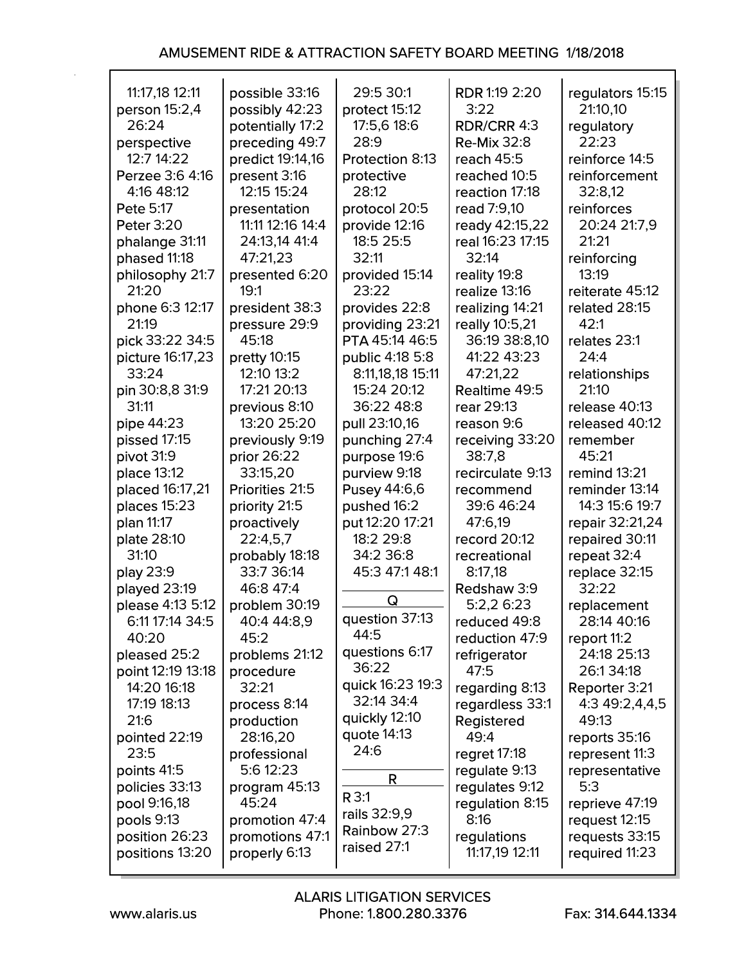| 11:17,18 12:11                    | possible 33:16              | 29:5 30:1                         | RDR 1:19 2:20                | regulators 15:15           |
|-----------------------------------|-----------------------------|-----------------------------------|------------------------------|----------------------------|
| person 15:2,4                     | possibly 42:23              | protect 15:12                     | 3:22                         | 21:10,10                   |
| 26:24                             | potentially 17:2            | 17:5,6 18:6                       | RDR/CRR 4:3                  | regulatory                 |
| perspective                       | preceding 49:7              | 28:9                              | <b>Re-Mix 32:8</b>           | 22:23                      |
| 12:7 14:22                        | predict 19:14,16            | Protection 8:13                   | reach 45:5                   | reinforce 14:5             |
| Perzee 3:6 4:16                   | present 3:16                | protective                        | reached 10:5                 | reinforcement              |
| 4:16 48:12                        | 12:15 15:24                 | 28:12                             | reaction 17:18               | 32:8,12                    |
| <b>Pete 5:17</b>                  | presentation                | protocol 20:5                     | read 7:9.10                  | reinforces                 |
| <b>Peter 3:20</b>                 | 11:11 12:16 14:4            | provide 12:16                     | ready 42:15,22               | 20:24 21:7,9               |
| phalange 31:11                    | 24:13,14 41:4               | 18:5 25:5                         | real 16:23 17:15             | 21:21                      |
| phased 11:18                      | 47:21,23                    | 32:11                             | 32:14                        | reinforcing                |
| philosophy 21:7                   | presented 6:20              | provided 15:14                    | reality 19:8                 | 13:19                      |
| 21:20                             | 19:1                        | 23:22                             | realize 13:16                | reiterate 45:12            |
| phone 6:3 12:17                   | president 38:3              | provides 22:8                     | realizing 14:21              | related 28:15              |
| 21:19<br>pick 33:22 34:5          | pressure 29:9<br>45:18      | providing 23:21<br>PTA 45:14 46:5 | really 10:5,21               | 42:1<br>relates 23:1       |
| picture 16:17,23                  |                             | public 4:18 5:8                   | 36:19 38:8,10<br>41:22 43:23 | 24:4                       |
| 33:24                             | pretty 10:15<br>12:10 13:2  | 8:11,18,18 15:11                  | 47:21,22                     |                            |
| pin 30:8,8 31:9                   | 17:21 20:13                 | 15:24 20:12                       | Realtime 49:5                | relationships<br>21:10     |
| 31:11                             | previous 8:10               | 36:22 48:8                        | rear 29:13                   | release 40:13              |
| pipe 44:23                        | 13:20 25:20                 | pull 23:10,16                     | reason 9:6                   | released 40:12             |
| pissed 17:15                      | previously 9:19             | punching 27:4                     | receiving 33:20              | remember                   |
| pivot 31:9                        | prior 26:22                 | purpose 19:6                      | 38:7,8                       | 45:21                      |
| place 13:12                       | 33:15,20                    | purview 9:18                      | recirculate 9:13             | remind 13:21               |
| placed 16:17,21                   | Priorities 21:5             | Pusey 44:6,6                      | recommend                    | reminder 13:14             |
| places 15:23                      | priority 21:5               | pushed 16:2                       | 39:6 46:24                   | 14:3 15:6 19:7             |
| plan 11:17                        | proactively                 | put 12:20 17:21                   | 47:6,19                      | repair 32:21,24            |
| plate 28:10                       | 22:4,5,7                    | 18:2 29:8                         | record 20:12                 | repaired 30:11             |
| 31:10                             | probably 18:18              | 34:2 36:8                         | recreational                 | repeat 32:4                |
| play 23:9                         | 33:7 36:14                  | 45:3 47:1 48:1                    | 8:17,18                      | replace 32:15              |
| played 23:19                      | 46:8 47:4                   | Q                                 | Redshaw 3:9                  | 32:22                      |
| please 4:13 5:12                  | problem 30:19               | question 37:13                    | 5:2,2 6:23                   | replacement                |
| 6:11 17:14 34:5                   | 40:4 44:8,9                 | 44:5                              | reduced 49:8                 | 28:14 40:16                |
| 40:20                             | 45:2                        | questions 6:17                    | reduction 47:9               | report 11:2<br>24:18 25:13 |
| pleased 25:2<br>point 12:19 13:18 | problems 21:12<br>procedure | 36:22                             | refrigerator<br>47:5         | 26:134:18                  |
| 14:20 16:18                       | 32:21                       | quick 16:23 19:3                  | regarding 8:13               | Reporter 3:21              |
| 17:19 18:13                       | process 8:14                | 32:14 34:4                        | regardless 33:1              | 4:3 49:2,4,4,5             |
| 21:6                              | production                  | quickly 12:10                     | <b>Registered</b>            | 49:13                      |
| pointed 22:19                     | 28:16,20                    | quote 14:13                       | 49:4                         | reports 35:16              |
| 23:5                              | professional                | 24:6                              | regret $17:18$               | represent 11:3             |
| points 41:5                       | 5:6 12:23                   |                                   | regulate 9:13                | representative             |
| policies 33:13                    | program 45:13               | R                                 | regulates 9:12               | 5:3                        |
| pool 9:16,18                      | 45:24                       | R 3:1                             | regulation 8:15              | reprieve 47:19             |
| pools 9:13                        | promotion 47:4              | rails 32:9,9                      | 8:16                         | request $12:15$            |
| position 26:23                    | promotions 47:1             | Rainbow 27:3                      | regulations                  | requests 33:15             |
| positions 13:20                   | properly 6:13               | raised 27:1                       | 11:17,19 12:11               | required 11:23             |
|                                   |                             |                                   |                              |                            |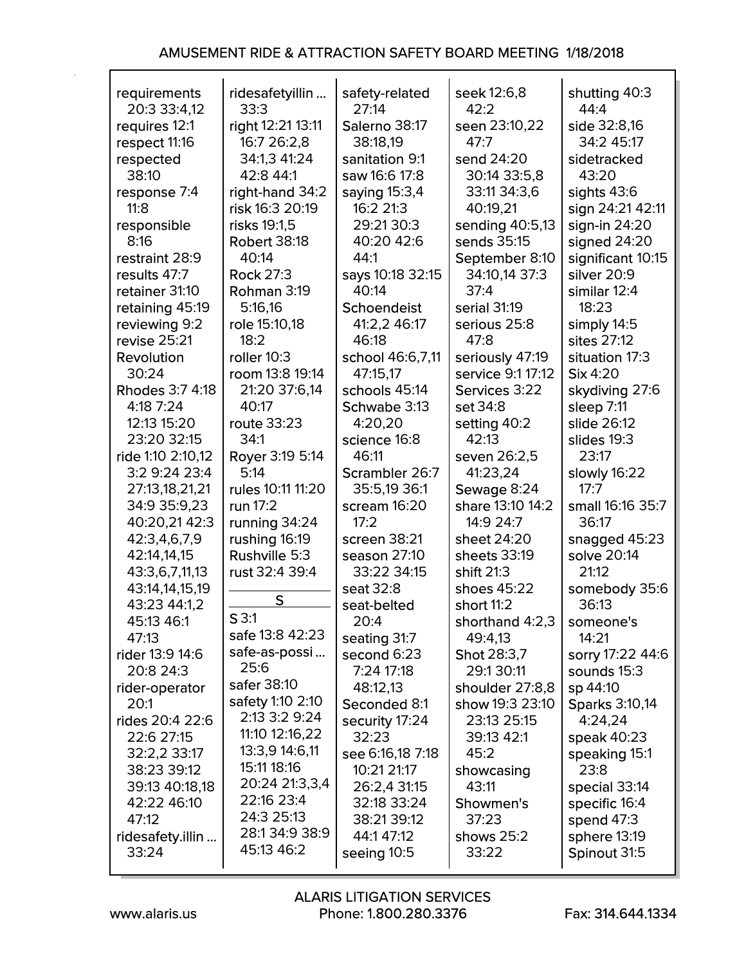| requirements           | ridesafetyillin     | safety-related   | seek 12:6,8        | shutting 40:3         |
|------------------------|---------------------|------------------|--------------------|-----------------------|
| 20:3 33:4,12           | 33:3                | 27:14            | 42:2               | 44:4                  |
| requires 12:1          | right 12:21 13:11   | Salerno 38:17    | seen 23:10,22      | side 32:8,16          |
| respect 11:16          | 16:7 26:2,8         | 38:18,19         | 47:7               | 34:2 45:17            |
| respected              | 34:1,3 41:24        | sanitation 9:1   | send 24:20         | sidetracked           |
| 38:10                  | 42:8 44:1           | saw 16:6 17:8    | 30:14 33:5,8       | 43:20                 |
|                        |                     |                  |                    |                       |
| response 7:4           | right-hand 34:2     | saying 15:3,4    | 33:11 34:3,6       | sights $43:6$         |
| 11:8                   | risk 16:3 20:19     | 16:2 21:3        | 40:19,21           | sign 24:21 42:11      |
| responsible            | risks 19:1,5        | 29:21 30:3       | sending 40:5,13    | sign-in $24:20$       |
| 8:16                   | <b>Robert 38:18</b> | 40:20 42:6       | sends 35:15        | signed 24:20          |
| restraint 28:9         | 40:14               | 44:1             | September 8:10     | significant 10:15     |
| results 47:7           | <b>Rock 27:3</b>    | says 10:18 32:15 | 34:10,14 37:3      | silver 20:9           |
| retainer 31:10         | Rohman 3:19         | 40:14            | 37:4               | similar 12:4          |
|                        |                     |                  |                    |                       |
| retaining 45:19        | 5:16,16             | Schoendeist      | serial 31:19       | 18:23                 |
| reviewing 9:2          | role 15:10,18       | 41:2,2 46:17     | serious 25:8       | simply 14:5           |
| revise 25:21           | 18:2                | 46:18            | 47:8               | sites 27:12           |
| Revolution             | roller 10:3         | school 46:6,7,11 | seriously 47:19    | situation 17:3        |
| 30:24                  | room 13:8 19:14     | 47:15,17         | service 9:1 17:12  | $\textsf{Six }4:20$   |
| <b>Rhodes 3:7 4:18</b> | 21:20 37:6,14       | schools 45:14    | Services 3:22      | skydiving 27:6        |
| 4:18 7:24              | 40:17               | Schwabe 3:13     | set 34:8           | sleep 7:11            |
| 12:13 15:20            | <b>route 33:23</b>  | 4:20,20          | setting 40:2       | slide 26:12           |
| 23:20 32:15            | 34:1                | science 16:8     | 42:13              | slides 19:3           |
| ride 1:10 2:10,12      | Royer 3:19 5:14     | 46:11            | seven 26:2,5       | 23:17                 |
|                        |                     |                  |                    |                       |
| 3:2 9:24 23:4          | 5:14                | Scrambler 26:7   | 41:23,24           | slowly 16:22          |
| 27:13,18,21,21         | rules 10:11 11:20   | 35:5,19 36:1     | Sewage 8:24        | 17:7                  |
| 34:9 35:9,23           | run 17:2            | scream 16:20     | share 13:10 14:2   | small 16:16 35:7      |
| 40:20,21 42:3          | running 34:24       | 17:2             | 14:9 24:7          | 36:17                 |
| 42:3,4,6,7,9           | rushing 16:19       | screen 38:21     | sheet 24:20        | snagged 45:23         |
| 42:14,14,15            | Rushville 5:3       | season 27:10     | sheets 33:19       | solve 20:14           |
| 43:3,6,7,11,13         | rust 32:4 39:4      | 33:22 34:15      | shift 21:3         | 21:12                 |
| 43:14,14,15,19         |                     | seat 32:8        | shoes 45:22        | somebody 35:6         |
| 43:23 44:1,2           | S                   | seat-belted      | short 11:2         | 36:13                 |
| 45:13 46:1             | S3:1                | 20:4             | shorthand 4:2,3    | someone's             |
| 47:13                  | safe 13:8 42:23     | seating 31:7     | 49:4,13            | 14:21                 |
|                        | safe-as-possi       | second 6:23      |                    |                       |
| rider 13:9 14:6        | 25:6                |                  | <b>Shot 28:3,7</b> | sorry 17:22 44:6      |
| 20:8 24:3              |                     | 7:24 17:18       | 29:1 30:11         | sounds 15:3           |
| rider-operator         | safer 38:10         | 48:12,13         | shoulder 27:8,8    | sp 44:10              |
| 20:1                   | safety 1:10 2:10    | Seconded 8:1     | show 19:3 23:10    | <b>Sparks 3:10,14</b> |
| rides 20:4 22:6        | 2:13 3:2 9:24       | security 17:24   | 23:13 25:15        | 4:24,24               |
| 22:6 27:15             | 11:10 12:16,22      | 32:23            | 39:13 42:1         | speak 40:23           |
| 32:2,2 33:17           | 13:3,9 14:6,11      | see 6:16,18 7:18 | 45:2               | speaking 15:1         |
| 38:23 39:12            | 15:11 18:16         | 10:21 21:17      | showcasing         | 23:8                  |
| 39:13 40:18,18         | 20:24 21:3,3,4      | 26:2,4 31:15     | 43:11              | special 33:14         |
| 42:22 46:10            | 22:16 23:4          | 32:18 33:24      | Showmen's          | specific 16:4         |
| 47:12                  | 24:3 25:13          | 38:21 39:12      | 37:23              | spend 47:3            |
|                        | 28:134:938:9        |                  |                    |                       |
| ridesafety.illin       | 45:13 46:2          | 44:1 47:12       | shows 25:2         | sphere 13:19          |
| 33:24                  |                     | seeing 10:5      | 33:22              | Spinout 31:5          |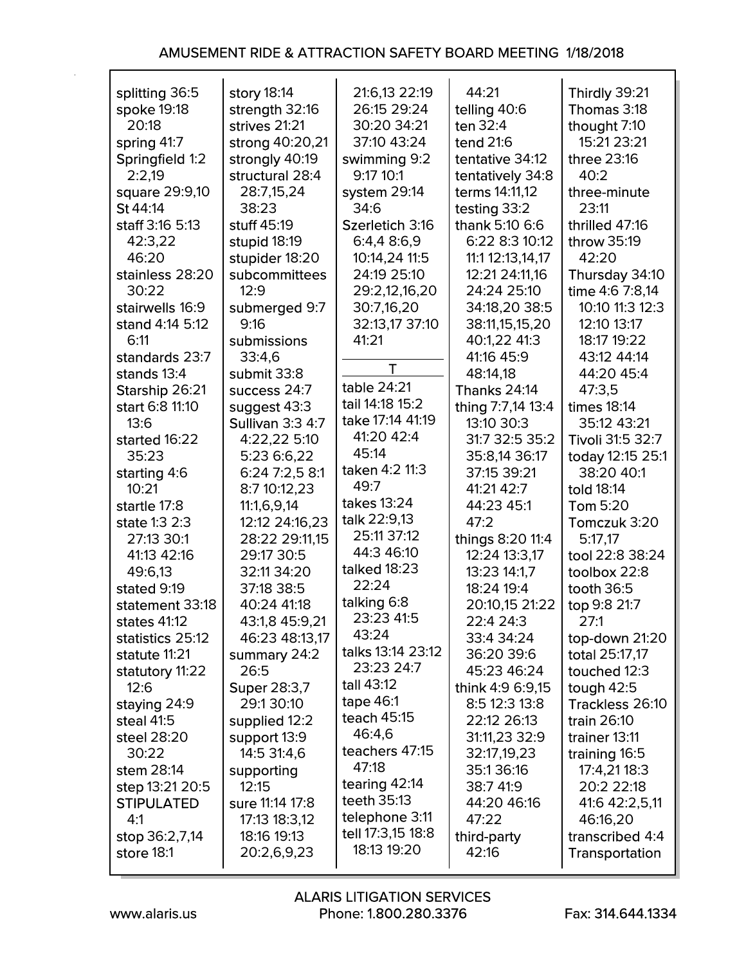| splitting 36:5    | story 18:14             | 21:6,13 22:19     | 44:21               | Thirdly 39:21      |
|-------------------|-------------------------|-------------------|---------------------|--------------------|
| spoke 19:18       | strength 32:16          | 26:15 29:24       | telling 40:6        | Thomas 3:18        |
| 20:18             | strives 21:21           | 30:20 34:21       | ten 32:4            | thought 7:10       |
| spring 41:7       | strong 40:20,21         | 37:10 43:24       | tend 21:6           | 15:21 23:21        |
| Springfield 1:2   | strongly 40:19          | swimming 9:2      | tentative 34:12     | three 23:16        |
| 2:2,19            | structural 28:4         | 9:17 10:1         | tentatively 34:8    | 40:2               |
| square 29:9,10    | 28:7,15,24              | system 29:14      | terms 14:11,12      | three-minute       |
| St 44:14          | 38:23                   | 34:6              | testing 33:2        | 23:11              |
| staff 3:16 5:13   | stuff 45:19             | Szerletich 3:16   | thank 5:10 6:6      | thrilled 47:16     |
| 42:3,22           | stupid 18:19            | 6:4,4 8:6,9       | 6:22 8:3 10:12      | throw 35:19        |
| 46:20             | stupider 18:20          | 10:14,24 11:5     | 11:1 12:13,14,17    | 42:20              |
| stainless 28:20   | subcommittees           | 24:19 25:10       | 12:21 24:11,16      | Thursday 34:10     |
| 30:22             | 12:9                    | 29:2,12,16,20     | 24:24 25:10         | time 4:6 7:8,14    |
| stairwells 16:9   | submerged 9:7           | 30:7,16,20        | 34:18,20 38:5       | 10:10 11:3 12:3    |
| stand 4:14 5:12   | 9:16                    | 32:13,17 37:10    | 38:11,15,15,20      | 12:10 13:17        |
| 6:11              | submissions             | 41:21             | 40:1,22 41:3        | 18:17 19:22        |
| standards 23:7    | 33:4,6                  |                   | 41:16 45:9          | 43:12 44:14        |
| stands 13:4       | submit 33:8             | Т                 | 48:14.18            | 44:20 45:4         |
| Starship 26:21    | success 24:7            | table 24:21       | <b>Thanks 24:14</b> | 47:3,5             |
| start 6:8 11:10   | suggest 43:3            | tail 14:18 15:2   | thing 7:7,14 13:4   | <b>times 18:14</b> |
| 13:6              | <b>Sullivan 3:3 4:7</b> | take 17:14 41:19  | 13:10 30:3          | 35:12 43:21        |
| started 16:22     | 4:22,22 5:10            | 41:20 42:4        | 31:7 32:5 35:2      | Tivoli 31:5 32:7   |
| 35:23             | 5:23 6:6,22             | 45:14             | 35:8,14 36:17       | today 12:15 25:1   |
| starting 4:6      | 6:24 7:2,5 8:1          | taken 4:2 11:3    | 37:15 39:21         | 38:20 40:1         |
| 10:21             | 8:7 10:12,23            | 49:7              | 41:21 42:7          | told 18:14         |
| startle 17:8      | 11:1,6,9,14             | takes 13:24       | 44:23 45:1          | <b>Tom 5:20</b>    |
| state 1:3 2:3     | 12:12 24:16,23          | talk 22:9,13      | 47:2                | Tomczuk 3:20       |
| 27:13 30:1        | 28:22 29:11,15          | 25:11 37:12       | things 8:20 11:4    | 5:17,17            |
| 41:13 42:16       | 29:17 30:5              | 44:3 46:10        | 12:24 13:3,17       | tool 22:8 38:24    |
| 49:6,13           | 32:11 34:20             | talked 18:23      | 13:23 14:1,7        | toolbox 22:8       |
| stated 9:19       | 37:18 38:5              | 22:24             | 18:24 19:4          | tooth $36:5$       |
| statement 33:18   | 40:24 41:18             | talking 6:8       | 20:10,15 21:22      | top 9:8 21:7       |
| states 41:12      | 43:1,8 45:9,21          | 23:23 41:5        | 22:4 24:3           | 27:1               |
| statistics 25:12  | 46:23 48:13,17          | 43:24             | 33:4 34:24          | top-down 21:20     |
| statute 11:21     | summary 24:2            | talks 13:14 23:12 | 36:20 39:6          | total 25:17,17     |
| statutory 11:22   | 26:5                    | 23:23 24:7        | 45:23 46:24         | touched 12:3       |
| 12:6              | <b>Super 28:3,7</b>     | tall 43:12        | think 4:9 6:9,15    | tough $42:5$       |
| staying 24:9      | 29:130:10               | tape 46:1         | 8:5 12:3 13:8       | Trackless 26:10    |
| steal 41:5        | supplied 12:2           | teach 45:15       | 22:12 26:13         | train 26:10        |
| steel 28:20       | support 13:9            | 46:4,6            | 31:11,23 32:9       | trainer 13:11      |
| 30:22             | 14:5 31:4,6             | teachers 47:15    | 32:17,19,23         | training 16:5      |
| stem 28:14        | supporting              | 47:18             | 35:136:16           | 17:4,21 18:3       |
| step 13:21 20:5   | 12:15                   | tearing 42:14     | 38:7 41:9           | 20:2 22:18         |
| <b>STIPULATED</b> | sure 11:14 17:8         | teeth 35:13       | 44:20 46:16         | 41:6 42:2,5,11     |
| 4:1               | 17:13 18:3,12           | telephone 3:11    | 47:22               | 46:16,20           |
| stop 36:2,7,14    | 18:16 19:13             | tell 17:3,15 18:8 | third-party         | transcribed 4:4    |
| store 18:1        | 20:2,6,9,23             | 18:13 19:20       | 42:16               | Transportation     |
|                   |                         |                   |                     |                    |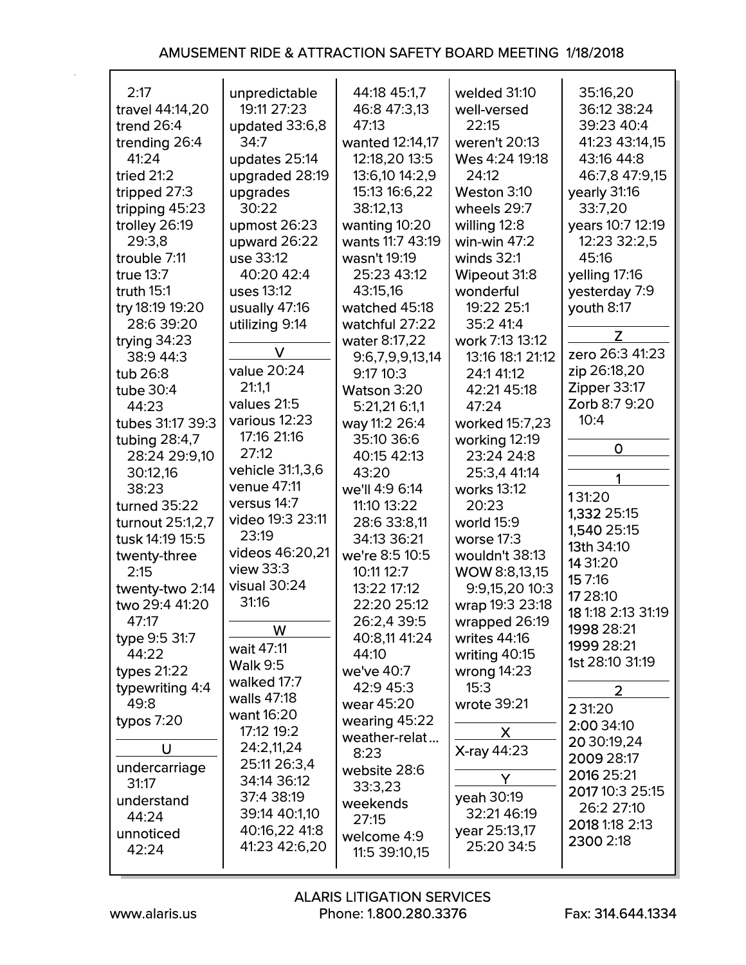| 2:17<br>travel 44:14,20<br>trend $26:4$<br>trending 26:4<br>41:24           | unpredictable<br>19:11 27:23<br>updated 33:6,8<br>34:7<br>updates 25:14                                    | 44:18 45:1,7<br>46:8 47:3,13<br>47:13<br>wanted 12:14,17<br>12:18,20 13:5            | welded 31:10<br>well-versed<br>22:15<br>weren't 20:13<br>Wes 4:24 19:18               | 35:16,20<br>36:12 38:24<br>39:23 40:4<br>41:23 43:14.15<br>43:16 44:8                    |
|-----------------------------------------------------------------------------|------------------------------------------------------------------------------------------------------------|--------------------------------------------------------------------------------------|---------------------------------------------------------------------------------------|------------------------------------------------------------------------------------------|
| tried $21:2$<br>tripped 27:3<br>tripping 45:23<br>trolley 26:19<br>29:3,8   | upgraded 28:19<br>upgrades<br>30:22<br>upmost $26:23$<br>upward 26:22                                      | 13:6,10 14:2,9<br>15:13 16:6,22<br>38:12,13<br>wanting 10:20<br>wants 11:7 43:19     | 24:12<br>Weston 3:10<br>wheels 29:7<br>willing 12:8<br>win-win $47:2$                 | 46:7,8 47:9,15<br>yearly 31:16<br>33:7,20<br>years 10:7 12:19<br>12:23 32:2,5            |
| trouble 7:11<br>true 13:7<br>truth $15:1$<br>try 18:19 19:20<br>28:6 39:20  | use 33:12<br>40:20 42:4<br>uses 13:12<br>usually 47:16<br>utilizing 9:14                                   | wasn't 19:19<br>25:23 43:12<br>43:15,16<br>watched 45:18<br>watchful 27:22           | winds $32:1$<br>Wipeout 31:8<br>wonderful<br>19:22 25:1<br>35:2 41:4                  | 45:16<br>yelling 17:16<br>yesterday 7:9<br>youth 8:17                                    |
| trying 34:23<br>38:9 44:3<br>tub 26:8<br>tube 30:4<br>44:23                 | V<br>value 20:24<br>21:1,1<br>values 21:5                                                                  | water 8:17,22<br>9:6,7,9,9,13,14<br>9:17 10:3<br>Watson 3:20<br>5:21,21 6:1,1        | work 7:13 13:12<br>13:16 18:1 21:12<br>24:1 41:12<br>42:21 45:18<br>47:24             | Z<br>zero 26:3 41:23<br>zip 26:18,20<br>Zipper 33:17<br>Zorb 8:7 9:20                    |
| tubes 31:17 39:3<br>tubing 28:4,7<br>28:24 29:9,10<br>30:12,16<br>38:23     | various 12:23<br>17:16 21:16<br>27:12<br>vehicle 31:1,3,6<br>venue 47:11                                   | way 11:2 26:4<br>35:10 36:6<br>40:15 42:13<br>43:20<br>we'll 4:9 6:14                | worked 15:7,23<br>working 12:19<br>23:24 24:8<br>25:3,4 41:14<br>works 13:12          | 10:4<br>O<br>1<br>131:20                                                                 |
| turned 35:22<br>turnout 25:1,2,7<br>tusk 14:19 15:5<br>twenty-three<br>2:15 | versus 14:7<br>video 19:3 23:11<br>23:19<br>videos 46:20,21<br>view $33:3$                                 | 11:10 13:22<br>28:6 33:8,11<br>34:13 36:21<br>we're 8:5 10:5<br>10:11 12:7           | 20:23<br>world 15:9<br>worse $17:3$<br>wouldn't 38:13<br>WOW 8:8,13,15                | 1,332 25:15<br>1,540 25:15<br>13th 34:10<br>14 31:20<br>15 7:16                          |
| twenty-two 2:14<br>two 29:4 41:20<br>47:17<br>type 9:5 31:7<br>44:22        | visual 30:24<br>31:16<br>W<br>wait 47:11                                                                   | 13:22 17:12<br>22:20 25:12<br>26:2,4 39:5<br>40:8,11 41:24<br>44:10                  | 9:9,15,20 10:3<br>wrap 19:3 23:18<br>wrapped 26:19<br>writes 44:16<br>writing $40:15$ | 17 28:10<br>18 1:18 2:13 31:19<br>1998 28:21<br>1999 28:21<br><b>1st 28:10 31:19</b>     |
| types $21:22$<br>typewriting 4:4<br>49:8<br>typos $7:20$                    | <b>Walk 9:5</b><br>walked 17:7<br>walls 47:18<br>want 16:20<br>17:12 19:2                                  | we've 40:7<br>42:9 45:3<br>wear 45:20<br>wearing 45:22<br>weather-relat              | wrong $14:23$<br>15:3<br>wrote 39:21<br>X                                             | $\overline{2}$<br>2 31:20<br>2:00 34:10<br>20 30:19,24                                   |
| U<br>undercarriage<br>31:17<br>understand<br>44:24<br>unnoticed<br>42:24    | 24:2,11,24<br>25:11 26:3,4<br>34:14 36:12<br>37:4 38:19<br>39:14 40:1,10<br>40:16,22 41:8<br>41:23 42:6,20 | 8:23<br>website 28:6<br>33:3,23<br>weekends<br>27:15<br>welcome 4:9<br>11:5 39:10,15 | <b>X-ray 44:23</b><br>Y<br>yeah 30:19<br>32:21 46:19<br>year 25:13,17<br>25:20 34:5   | 2009 28:17<br>2016 25:21<br>2017 10:3 25:15<br>26:2 27:10<br>2018 1:18 2:13<br>2300 2:18 |